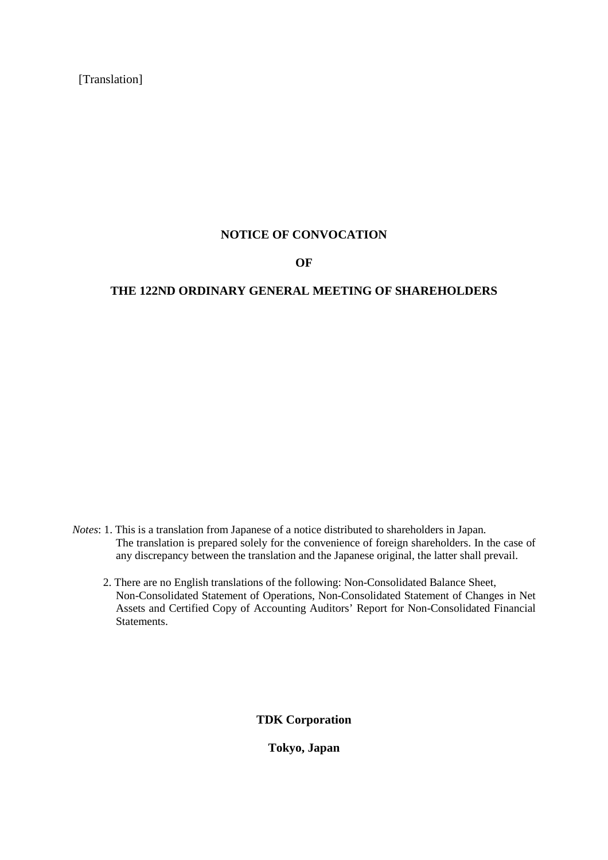[Translation]

# **NOTICE OF CONVOCATION**

# **OF**

# **THE 122ND ORDINARY GENERAL MEETING OF SHAREHOLDERS**

- *Notes*: 1. This is a translation from Japanese of a notice distributed to shareholders in Japan. The translation is prepared solely for the convenience of foreign shareholders. In the case of any discrepancy between the translation and the Japanese original, the latter shall prevail.
	- 2. There are no English translations of the following: Non-Consolidated Balance Sheet, Non-Consolidated Statement of Operations, Non-Consolidated Statement of Changes in Net Assets and Certified Copy of Accounting Auditors' Report for Non-Consolidated Financial Statements.

**TDK Corporation**

**Tokyo, Japan**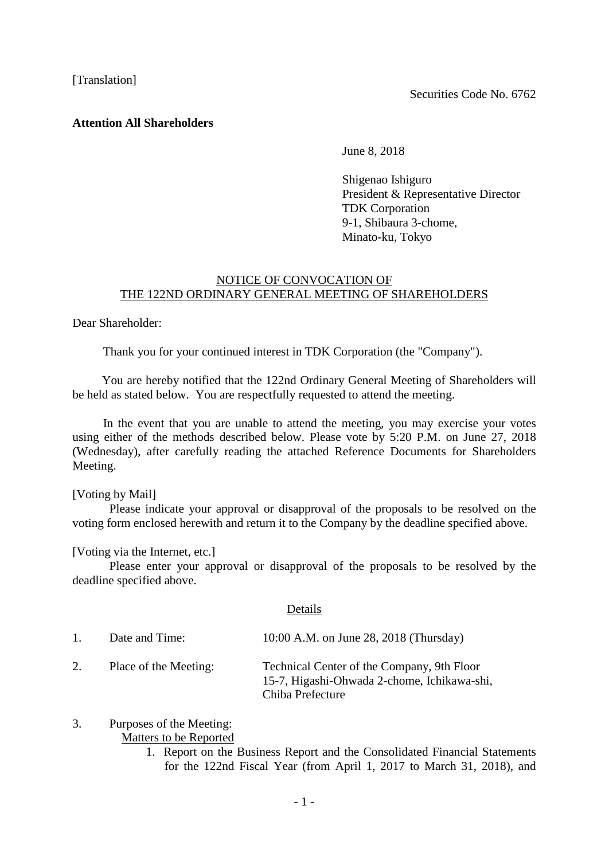# **Attention All Shareholders**

June 8, 2018

Shigenao Ishiguro President & Representative Director TDK Corporation 9-1, Shibaura 3-chome, Minato-ku, Tokyo

# NOTICE OF CONVOCATION OF THE 122ND ORDINARY GENERAL MEETING OF SHAREHOLDERS

Dear Shareholder:

Thank you for your continued interest in TDK Corporation (the "Company").

You are hereby notified that the 122nd Ordinary General Meeting of Shareholders will be held as stated below. You are respectfully requested to attend the meeting.

In the event that you are unable to attend the meeting, you may exercise your votes using either of the methods described below. Please vote by 5:20 P.M. on June 27, 2018 (Wednesday), after carefully reading the attached Reference Documents for Shareholders Meeting.

[Voting by Mail]

Please indicate your approval or disapproval of the proposals to be resolved on the voting form enclosed herewith and return it to the Company by the deadline specified above.

[Voting via the Internet, etc.]

Please enter your approval or disapproval of the proposals to be resolved by the deadline specified above.

#### Details

| $1_{-}$ | Date and Time:        | 10:00 A.M. on June 28, 2018 (Thursday)                                                                        |
|---------|-----------------------|---------------------------------------------------------------------------------------------------------------|
| 2.      | Place of the Meeting: | Technical Center of the Company, 9th Floor<br>15-7, Higashi-Ohwada 2-chome, Ichikawa-shi,<br>Chiba Prefecture |

# 3. Purposes of the Meeting:

Matters to be Reported

1. Report on the Business Report and the Consolidated Financial Statements for the 122nd Fiscal Year (from April 1, 2017 to March 31, 2018), and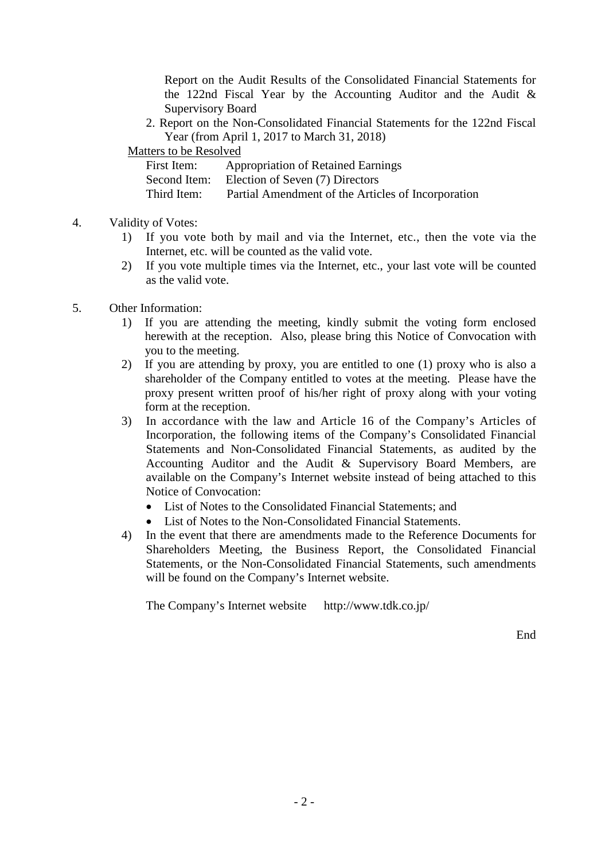Report on the Audit Results of the Consolidated Financial Statements for the 122nd Fiscal Year by the Accounting Auditor and the Audit & Supervisory Board

2. Report on the Non-Consolidated Financial Statements for the 122nd Fiscal Year (from April 1, 2017 to March 31, 2018)

Matters to be Resolved

| First Item:  | <b>Appropriation of Retained Earnings</b>          |
|--------------|----------------------------------------------------|
| Second Item: | Election of Seven (7) Directors                    |
| Third Item:  | Partial Amendment of the Articles of Incorporation |

- 4. Validity of Votes:
	- 1) If you vote both by mail and via the Internet, etc., then the vote via the Internet, etc. will be counted as the valid vote.
	- 2) If you vote multiple times via the Internet, etc., your last vote will be counted as the valid vote.
- 5. Other Information:
	- 1) If you are attending the meeting, kindly submit the voting form enclosed herewith at the reception. Also, please bring this Notice of Convocation with you to the meeting.
	- 2) If you are attending by proxy, you are entitled to one (1) proxy who is also a shareholder of the Company entitled to votes at the meeting. Please have the proxy present written proof of his/her right of proxy along with your voting form at the reception.
	- 3) In accordance with the law and Article 16 of the Company's Articles of Incorporation, the following items of the Company's Consolidated Financial Statements and Non-Consolidated Financial Statements, as audited by the Accounting Auditor and the Audit & Supervisory Board Members, are available on the Company's Internet website instead of being attached to this Notice of Convocation:
		- List of Notes to the Consolidated Financial Statements: and
		- List of Notes to the Non-Consolidated Financial Statements.
	- 4) In the event that there are amendments made to the Reference Documents for Shareholders Meeting, the Business Report, the Consolidated Financial Statements, or the Non-Consolidated Financial Statements, such amendments will be found on the Company's Internet website.

The Company's Internet website http://www.tdk.co.jp/

End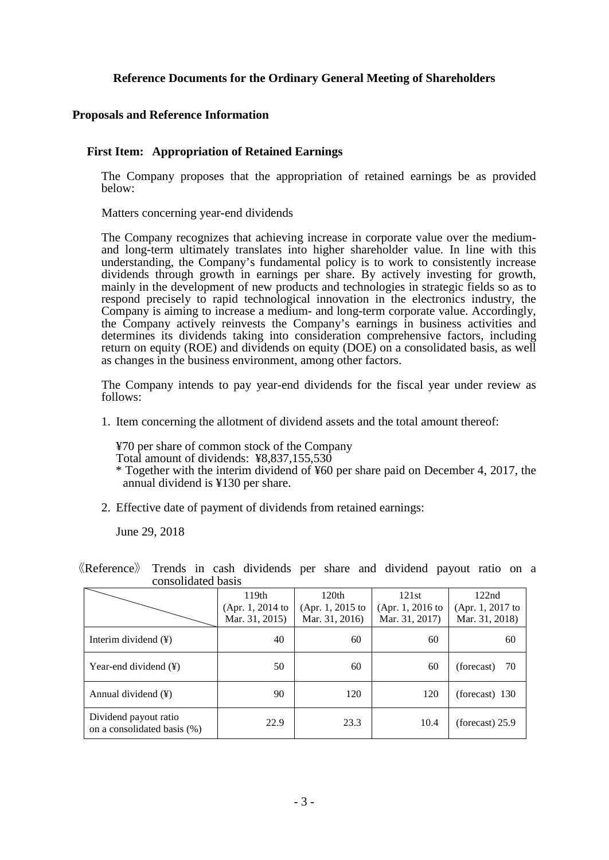# **Reference Documents for the Ordinary General Meeting of Shareholders**

# **Proposals and Reference Information**

# **First Item: Appropriation of Retained Earnings**

The Company proposes that the appropriation of retained earnings be as provided below:

Matters concerning year-end dividends

The Company recognizes that achieving increase in corporate value over the mediumand long-term ultimately translates into higher shareholder value. In line with this understanding, the Company's fundamental policy is to work to consistently increase dividends through growth in earnings per share. By actively investing for growth, mainly in the development of new products and technologies in strategic fields so as to respond precisely to rapid technological innovation in the electronics industry, the Company is aiming to increase a medium- and long-term corporate value. Accordingly, the Company actively reinvests the Company's earnings in business activities and determines its dividends taking into consideration comprehensive factors, including return on equity (ROE) and dividends on equity (DOE) on a consolidated basis, as well as changes in the business environment, among other factors.

The Company intends to pay year-end dividends for the fiscal year under review as follows:

1. Item concerning the allotment of dividend assets and the total amount thereof:

¥70 per share of common stock of the Company

Total amount of dividends: ¥8,837,155,530

- \* Together with the interim dividend of ¥60 per share paid on December 4, 2017, the annual dividend is ¥130 per share.
- 2. Effective date of payment of dividends from retained earnings:

June 29, 2018

《Reference》 Trends in cash dividends per share and dividend payout ratio on a consolidated basis

|                                                      | 119th<br>(Apr. 1, 2014 to<br>Mar. 31, 2015) | 120th<br>(Apr. 1, 2015 to<br>Mar. 31, 2016) | 121st<br>(Apr. 1, 2016 to<br>Mar. 31, 2017) | 122nd<br>(Apr. 1, 2017 to<br>Mar. 31, 2018) |
|------------------------------------------------------|---------------------------------------------|---------------------------------------------|---------------------------------------------|---------------------------------------------|
| Interim dividend $(\frac{y}{x})$                     | 40                                          | 60                                          | 60                                          | 60                                          |
| Year-end dividend $(\frac{1}{2})$                    | 50                                          | 60                                          | 60                                          | 70<br>(forecast)                            |
| Annual dividend $(\frac{1}{2})$                      | 90                                          | 120                                         | 120                                         | $(forecast)$ 130                            |
| Dividend payout ratio<br>on a consolidated basis (%) | 22.9                                        | 23.3                                        | 10.4                                        | (forecast) $25.9$                           |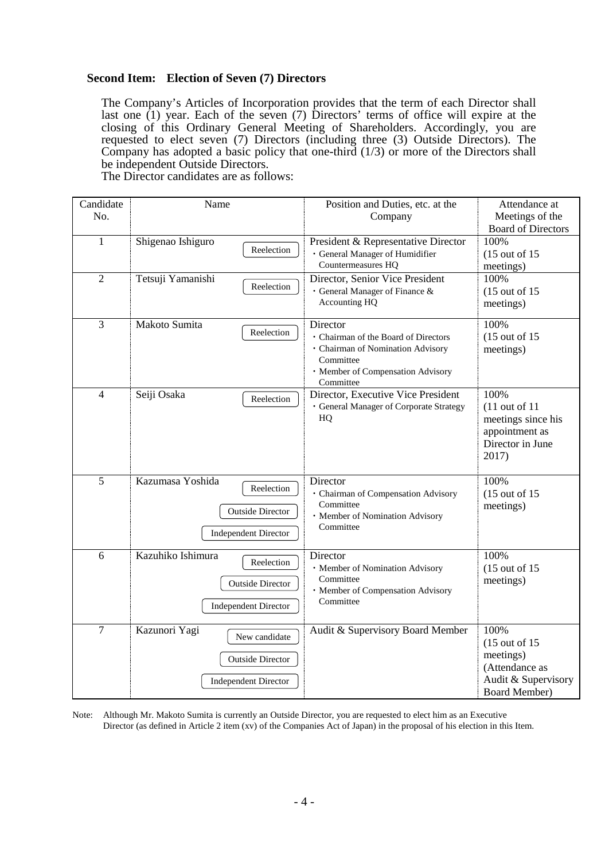# **Second Item: Election of Seven (7) Directors**

The Company's Articles of Incorporation provides that the term of each Director shall last one (1) year. Each of the seven (7) Directors' terms of office will expire at the closing of this Ordinary General Meeting of Shareholders. Accordingly, you are requested to elect seven (7) Directors (including three (3) Outside Directors). The Company has adopted a basic policy that one-third  $(1/3)$  or more of the Directors shall be independent Outside Directors.

The Director candidates are as follows:

| Candidate      | Name                           | Position and Duties, etc. at the        | Attendance at             |
|----------------|--------------------------------|-----------------------------------------|---------------------------|
| No.            |                                | Company                                 | Meetings of the           |
|                |                                |                                         | <b>Board of Directors</b> |
| $\mathbf{1}$   | Shigenao Ishiguro              | President & Representative Director     | 100%                      |
|                | Reelection                     | · General Manager of Humidifier         | $(15$ out of $15$         |
|                |                                | Countermeasures HQ                      | meetings)                 |
| $\overline{2}$ | Tetsuji Yamanishi              | Director, Senior Vice President         | 100%                      |
|                | Reelection                     | · General Manager of Finance &          | $(15$ out of $15$         |
|                |                                | Accounting HQ                           | meetings)                 |
|                |                                |                                         |                           |
| 3              | Makoto Sumita                  | Director                                | 100%                      |
|                | Reelection                     | · Chairman of the Board of Directors    | $(15$ out of $15$         |
|                |                                | · Chairman of Nomination Advisory       | meetings)                 |
|                |                                | Committee                               |                           |
|                |                                | · Member of Compensation Advisory       |                           |
|                |                                | Committee                               |                           |
| $\overline{4}$ | Seiji Osaka<br>Reelection      | Director, Executive Vice President      | 100%                      |
|                |                                | · General Manager of Corporate Strategy | $(11$ out of $11$         |
|                |                                | HQ                                      | meetings since his        |
|                |                                |                                         | appointment as            |
|                |                                |                                         | Director in June          |
|                |                                |                                         | 2017)                     |
|                |                                |                                         |                           |
| $\overline{5}$ | Kazumasa Yoshida               | Director                                | 100%                      |
|                | Reelection                     | · Chairman of Compensation Advisory     | $(15$ out of $15$         |
|                | <b>Outside Director</b>        | Committee                               | meetings)                 |
|                |                                | · Member of Nomination Advisory         |                           |
|                | <b>Independent Director</b>    | Committee                               |                           |
|                |                                |                                         |                           |
| 6              | Kazuhiko Ishimura              | Director                                | 100%                      |
|                | Reelection                     | · Member of Nomination Advisory         | $(15$ out of $15$         |
|                | <b>Outside Director</b>        | Committee                               | meetings)                 |
|                |                                | · Member of Compensation Advisory       |                           |
|                | <b>Independent Director</b>    | Committee                               |                           |
|                |                                |                                         |                           |
| $\overline{7}$ | Kazunori Yagi<br>New candidate | Audit & Supervisory Board Member        | 100%                      |
|                |                                |                                         | $(15$ out of 15           |
|                | <b>Outside Director</b>        |                                         | meetings)                 |
|                |                                |                                         | (Attendance as            |
|                | <b>Independent Director</b>    |                                         | Audit & Supervisory       |
|                |                                |                                         | <b>Board Member)</b>      |

Note: Although Mr. Makoto Sumita is currently an Outside Director, you are requested to elect him as an Executive Director (as defined in Article 2 item (xv) of the Companies Act of Japan) in the proposal of his election in this Item.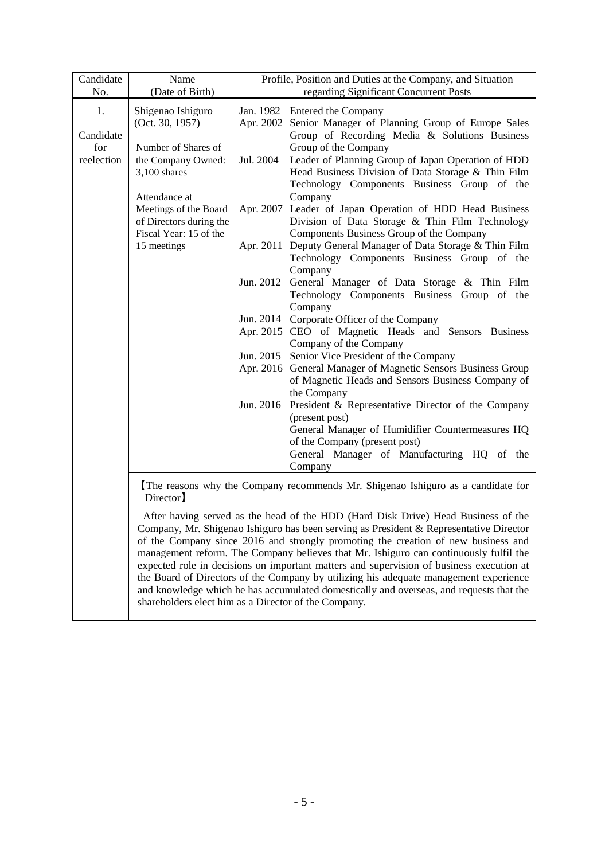| Candidate  | Name                                                                                     | Profile, Position and Duties at the Company, and Situation                             |                                                                                 |  |
|------------|------------------------------------------------------------------------------------------|----------------------------------------------------------------------------------------|---------------------------------------------------------------------------------|--|
| No.        | (Date of Birth)                                                                          | regarding Significant Concurrent Posts                                                 |                                                                                 |  |
| 1.         | Shigenao Ishiguro                                                                        |                                                                                        | Jan. 1982 Entered the Company                                                   |  |
|            | (Oct. 30, 1957)                                                                          |                                                                                        | Apr. 2002 Senior Manager of Planning Group of Europe Sales                      |  |
| Candidate  |                                                                                          |                                                                                        | Group of Recording Media & Solutions Business                                   |  |
| for        | Number of Shares of                                                                      |                                                                                        | Group of the Company                                                            |  |
| reelection | the Company Owned:                                                                       | Jul. 2004                                                                              | Leader of Planning Group of Japan Operation of HDD                              |  |
|            | $3,100$ shares                                                                           |                                                                                        | Head Business Division of Data Storage & Thin Film                              |  |
|            |                                                                                          |                                                                                        | Technology Components Business Group of the                                     |  |
|            | Attendance at                                                                            |                                                                                        | Company                                                                         |  |
|            | Meetings of the Board                                                                    |                                                                                        | Apr. 2007 Leader of Japan Operation of HDD Head Business                        |  |
|            | of Directors during the                                                                  |                                                                                        | Division of Data Storage & Thin Film Technology                                 |  |
|            | Fiscal Year: 15 of the                                                                   |                                                                                        | Components Business Group of the Company                                        |  |
|            | 15 meetings                                                                              |                                                                                        | Apr. 2011 Deputy General Manager of Data Storage & Thin Film                    |  |
|            |                                                                                          |                                                                                        | Technology Components Business Group of the                                     |  |
|            |                                                                                          |                                                                                        | Company                                                                         |  |
|            |                                                                                          |                                                                                        | Jun. 2012 General Manager of Data Storage & Thin Film                           |  |
|            |                                                                                          |                                                                                        | Technology Components Business Group of the                                     |  |
|            |                                                                                          |                                                                                        | Company<br>Jun. 2014 Corporate Officer of the Company                           |  |
|            |                                                                                          |                                                                                        | Apr. 2015 CEO of Magnetic Heads and Sensors Business                            |  |
|            |                                                                                          |                                                                                        | Company of the Company                                                          |  |
|            |                                                                                          |                                                                                        | Jun. 2015 Senior Vice President of the Company                                  |  |
|            |                                                                                          |                                                                                        | Apr. 2016 General Manager of Magnetic Sensors Business Group                    |  |
|            |                                                                                          |                                                                                        | of Magnetic Heads and Sensors Business Company of                               |  |
|            |                                                                                          |                                                                                        | the Company                                                                     |  |
|            |                                                                                          |                                                                                        | Jun. 2016 President & Representative Director of the Company                    |  |
|            |                                                                                          |                                                                                        | (present post)                                                                  |  |
|            |                                                                                          |                                                                                        | General Manager of Humidifier Countermeasures HQ                                |  |
|            |                                                                                          |                                                                                        | of the Company (present post)                                                   |  |
|            |                                                                                          |                                                                                        | General Manager of Manufacturing HQ of the                                      |  |
|            |                                                                                          |                                                                                        | Company                                                                         |  |
|            | Director <sup>1</sup>                                                                    |                                                                                        | The reasons why the Company recommends Mr. Shigenao Ishiguro as a candidate for |  |
|            |                                                                                          | After having served as the head of the HDD (Hard Disk Drive) Head Business of the      |                                                                                 |  |
|            |                                                                                          | Company, Mr. Shigenao Ishiguro has been serving as President & Representative Director |                                                                                 |  |
|            |                                                                                          | of the Company since 2016 and strongly promoting the creation of new business and      |                                                                                 |  |
|            | management reform. The Company believes that Mr. Ishiguro can continuously fulfil the    |                                                                                        |                                                                                 |  |
|            | expected role in decisions on important matters and supervision of business execution at |                                                                                        |                                                                                 |  |
|            | the Board of Directors of the Company by utilizing his adequate management experience    |                                                                                        |                                                                                 |  |
|            | and knowledge which he has accumulated domestically and overseas, and requests that the  |                                                                                        |                                                                                 |  |

shareholders elect him as a Director of the Company.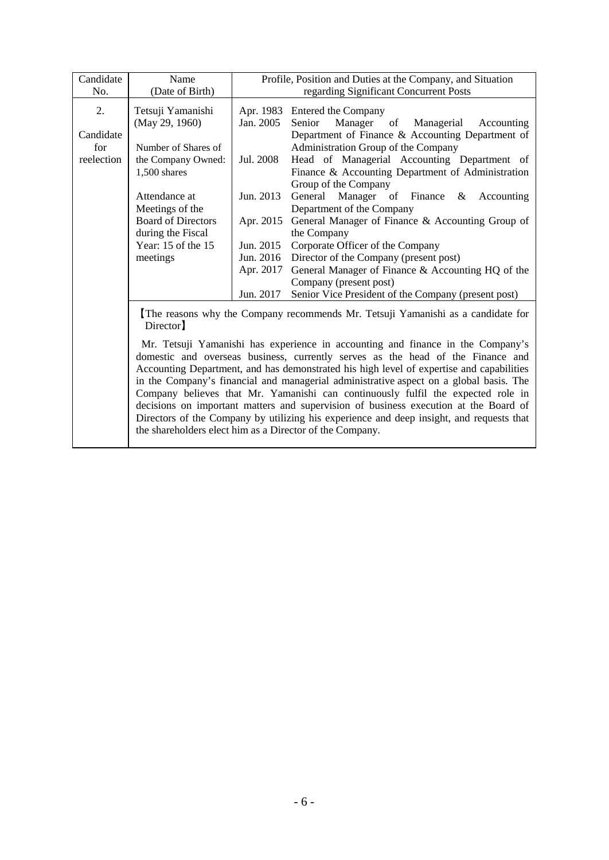| Candidate                      | Name                                                        |                        | Profile, Position and Duties at the Company, and Situation                                                                                                                                                                                                     |
|--------------------------------|-------------------------------------------------------------|------------------------|----------------------------------------------------------------------------------------------------------------------------------------------------------------------------------------------------------------------------------------------------------------|
| No.                            | (Date of Birth)                                             |                        | regarding Significant Concurrent Posts                                                                                                                                                                                                                         |
| 2.                             | Tetsuji Yamanishi<br>(May 29, 1960)                         | Apr. 1983<br>Jan. 2005 | Entered the Company<br>Manager of Managerial<br>Senior<br>Accounting                                                                                                                                                                                           |
| Candidate<br>for<br>reelection | Number of Shares of<br>the Company Owned:<br>$1,500$ shares | Jul. 2008              | Department of Finance & Accounting Department of<br>Administration Group of the Company<br>Head of Managerial Accounting Department of<br>Finance & Accounting Department of Administration<br>Group of the Company                                            |
|                                | Attendance at<br>Meetings of the                            | Jun. 2013              | General Manager of Finance &<br>Accounting<br>Department of the Company                                                                                                                                                                                        |
|                                | <b>Board of Directors</b><br>during the Fiscal              | Apr. 2015              | General Manager of Finance & Accounting Group of<br>the Company                                                                                                                                                                                                |
|                                | Year: 15 of the 15                                          | Jun. 2015              | Corporate Officer of the Company<br>Director of the Company (present post)                                                                                                                                                                                     |
|                                | meetings                                                    | Jun. 2016<br>Apr. 2017 | General Manager of Finance & Accounting HQ of the<br>Company (present post)                                                                                                                                                                                    |
|                                |                                                             | Jun. 2017              | Senior Vice President of the Company (present post)                                                                                                                                                                                                            |
|                                | Director <sup>]</sup>                                       |                        | The reasons why the Company recommends Mr. Tetsuji Yamanishi as a candidate for                                                                                                                                                                                |
|                                |                                                             |                        | Mr. Tetsuji Yamanishi has experience in accounting and finance in the Company's<br>domestic and overseas business, currently serves as the head of the Finance and<br>Accounting Department, and has demonstrated his high level of expertise and capabilities |

in the Company's financial and managerial administrative aspect on a global basis. The Company believes that Mr. Yamanishi can continuously fulfil the expected role in decisions on important matters and supervision of business execution at the Board of Directors of the Company by utilizing his experience and deep insight, and requests that the shareholders elect him as a Director of the Company.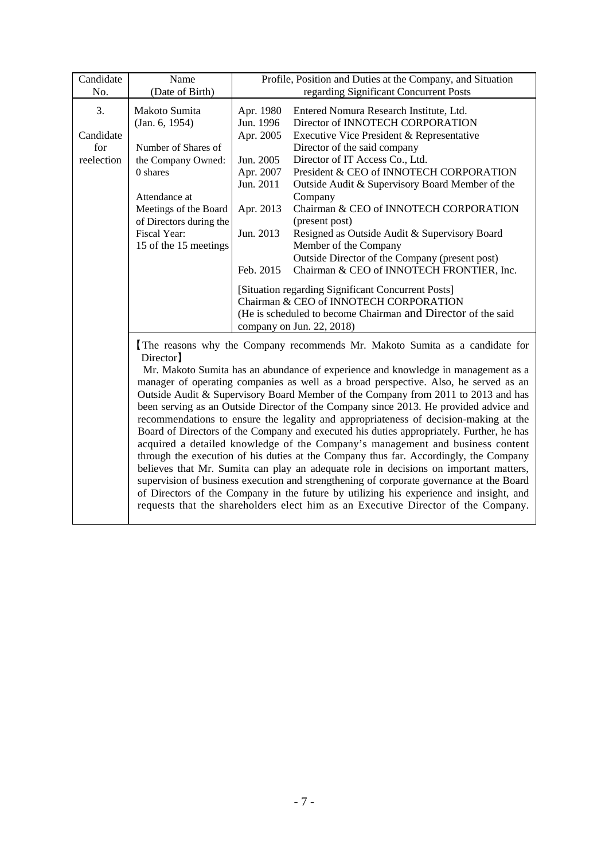| Candidate                            | Name                                                                                                                                                                                                     | Profile, Position and Duties at the Company, and Situation                                                                                                                                                                                                                                                                                                                                                                                                                                                                                                                                                                                                                                                                                                                                                                                                                                                                                                                                                                                                                                                                                                                                             |
|--------------------------------------|----------------------------------------------------------------------------------------------------------------------------------------------------------------------------------------------------------|--------------------------------------------------------------------------------------------------------------------------------------------------------------------------------------------------------------------------------------------------------------------------------------------------------------------------------------------------------------------------------------------------------------------------------------------------------------------------------------------------------------------------------------------------------------------------------------------------------------------------------------------------------------------------------------------------------------------------------------------------------------------------------------------------------------------------------------------------------------------------------------------------------------------------------------------------------------------------------------------------------------------------------------------------------------------------------------------------------------------------------------------------------------------------------------------------------|
| No.                                  | (Date of Birth)                                                                                                                                                                                          | regarding Significant Concurrent Posts                                                                                                                                                                                                                                                                                                                                                                                                                                                                                                                                                                                                                                                                                                                                                                                                                                                                                                                                                                                                                                                                                                                                                                 |
| 3.<br>Candidate<br>for<br>reelection | Makoto Sumita<br>(Jan. 6, 1954)<br>Number of Shares of<br>the Company Owned:<br>$0$ shares<br>Attendance at<br>Meetings of the Board<br>of Directors during the<br>Fiscal Year:<br>15 of the 15 meetings | Apr. 1980<br>Entered Nomura Research Institute, Ltd.<br>Jun. 1996<br>Director of INNOTECH CORPORATION<br>Apr. 2005<br>Executive Vice President & Representative<br>Director of the said company<br>Jun. 2005<br>Director of IT Access Co., Ltd.<br>Apr. 2007<br>President & CEO of INNOTECH CORPORATION<br>Jun. 2011<br>Outside Audit & Supervisory Board Member of the<br>Company<br>Chairman & CEO of INNOTECH CORPORATION<br>Apr. 2013<br>(present post)<br>Jun. 2013<br>Resigned as Outside Audit & Supervisory Board<br>Member of the Company<br>Outside Director of the Company (present post)<br>Chairman & CEO of INNOTECH FRONTIER, Inc.<br>Feb. 2015<br>[Situation regarding Significant Concurrent Posts]<br>Chairman & CEO of INNOTECH CORPORATION<br>(He is scheduled to become Chairman and Director of the said                                                                                                                                                                                                                                                                                                                                                                         |
|                                      | Director]                                                                                                                                                                                                | company on Jun. 22, 2018)<br>The reasons why the Company recommends Mr. Makoto Sumita as a candidate for<br>Mr. Makoto Sumita has an abundance of experience and knowledge in management as a<br>manager of operating companies as well as a broad perspective. Also, he served as an<br>Outside Audit & Supervisory Board Member of the Company from 2011 to 2013 and has<br>been serving as an Outside Director of the Company since 2013. He provided advice and<br>recommendations to ensure the legality and appropriateness of decision-making at the<br>Board of Directors of the Company and executed his duties appropriately. Further, he has<br>acquired a detailed knowledge of the Company's management and business content<br>through the execution of his duties at the Company thus far. Accordingly, the Company<br>believes that Mr. Sumita can play an adequate role in decisions on important matters,<br>supervision of business execution and strengthening of corporate governance at the Board<br>of Directors of the Company in the future by utilizing his experience and insight, and<br>requests that the shareholders elect him as an Executive Director of the Company. |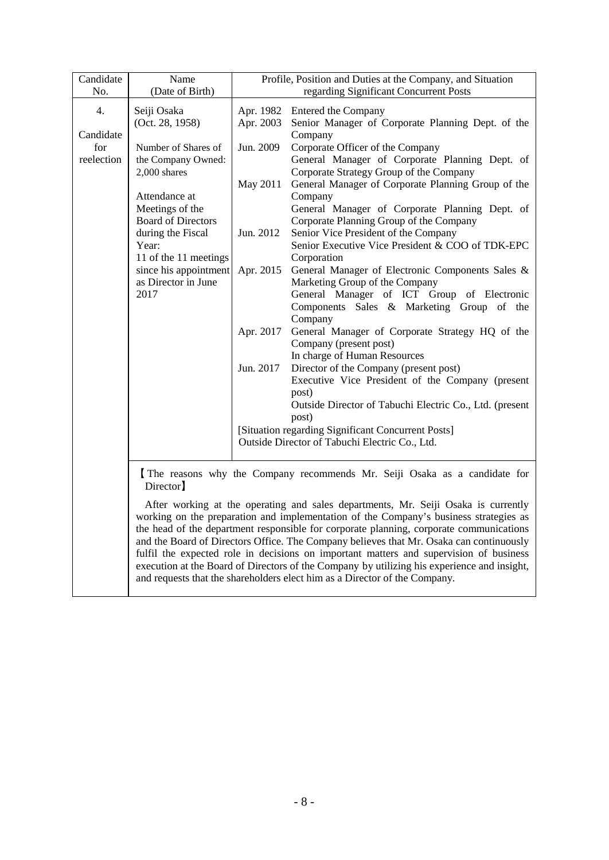| Candidate  | Name                                         |                                                                                                                                                                                                                                                                                                                                                                                                                                                                                                                                                                                                                                          | Profile, Position and Duties at the Company, and Situation                                 |  |
|------------|----------------------------------------------|------------------------------------------------------------------------------------------------------------------------------------------------------------------------------------------------------------------------------------------------------------------------------------------------------------------------------------------------------------------------------------------------------------------------------------------------------------------------------------------------------------------------------------------------------------------------------------------------------------------------------------------|--------------------------------------------------------------------------------------------|--|
| No.        | (Date of Birth)                              | regarding Significant Concurrent Posts                                                                                                                                                                                                                                                                                                                                                                                                                                                                                                                                                                                                   |                                                                                            |  |
| 4.         | Seiji Osaka<br>(Oct. 28, 1958)               | Apr. 2003                                                                                                                                                                                                                                                                                                                                                                                                                                                                                                                                                                                                                                | Apr. 1982 Entered the Company<br>Senior Manager of Corporate Planning Dept. of the         |  |
| Candidate  |                                              |                                                                                                                                                                                                                                                                                                                                                                                                                                                                                                                                                                                                                                          | Company                                                                                    |  |
| for        | Number of Shares of                          | Jun. 2009                                                                                                                                                                                                                                                                                                                                                                                                                                                                                                                                                                                                                                | Corporate Officer of the Company                                                           |  |
| reelection | the Company Owned:<br>2,000 shares           |                                                                                                                                                                                                                                                                                                                                                                                                                                                                                                                                                                                                                                          | General Manager of Corporate Planning Dept. of<br>Corporate Strategy Group of the Company  |  |
|            |                                              | May 2011                                                                                                                                                                                                                                                                                                                                                                                                                                                                                                                                                                                                                                 | General Manager of Corporate Planning Group of the                                         |  |
|            | Attendance at                                |                                                                                                                                                                                                                                                                                                                                                                                                                                                                                                                                                                                                                                          | Company                                                                                    |  |
|            | Meetings of the<br><b>Board of Directors</b> |                                                                                                                                                                                                                                                                                                                                                                                                                                                                                                                                                                                                                                          | General Manager of Corporate Planning Dept. of<br>Corporate Planning Group of the Company  |  |
|            | during the Fiscal                            | Jun. 2012                                                                                                                                                                                                                                                                                                                                                                                                                                                                                                                                                                                                                                | Senior Vice President of the Company                                                       |  |
|            | Year:                                        |                                                                                                                                                                                                                                                                                                                                                                                                                                                                                                                                                                                                                                          | Senior Executive Vice President & COO of TDK-EPC                                           |  |
|            | 11 of the 11 meetings                        |                                                                                                                                                                                                                                                                                                                                                                                                                                                                                                                                                                                                                                          | Corporation                                                                                |  |
|            | since his appointment<br>as Director in June | Apr. 2015                                                                                                                                                                                                                                                                                                                                                                                                                                                                                                                                                                                                                                | General Manager of Electronic Components Sales &<br>Marketing Group of the Company         |  |
|            | 2017                                         |                                                                                                                                                                                                                                                                                                                                                                                                                                                                                                                                                                                                                                          | General Manager of ICT Group of Electronic                                                 |  |
|            |                                              |                                                                                                                                                                                                                                                                                                                                                                                                                                                                                                                                                                                                                                          | Components Sales & Marketing Group of the                                                  |  |
|            |                                              |                                                                                                                                                                                                                                                                                                                                                                                                                                                                                                                                                                                                                                          | Company                                                                                    |  |
|            |                                              | Apr. 2017                                                                                                                                                                                                                                                                                                                                                                                                                                                                                                                                                                                                                                | General Manager of Corporate Strategy HQ of the                                            |  |
|            |                                              |                                                                                                                                                                                                                                                                                                                                                                                                                                                                                                                                                                                                                                          | Company (present post)                                                                     |  |
|            |                                              |                                                                                                                                                                                                                                                                                                                                                                                                                                                                                                                                                                                                                                          | In charge of Human Resources                                                               |  |
|            |                                              | Jun. 2017                                                                                                                                                                                                                                                                                                                                                                                                                                                                                                                                                                                                                                | Director of the Company (present post)<br>Executive Vice President of the Company (present |  |
|            |                                              |                                                                                                                                                                                                                                                                                                                                                                                                                                                                                                                                                                                                                                          | post)                                                                                      |  |
|            |                                              |                                                                                                                                                                                                                                                                                                                                                                                                                                                                                                                                                                                                                                          | Outside Director of Tabuchi Electric Co., Ltd. (present                                    |  |
|            |                                              |                                                                                                                                                                                                                                                                                                                                                                                                                                                                                                                                                                                                                                          | post)                                                                                      |  |
|            |                                              |                                                                                                                                                                                                                                                                                                                                                                                                                                                                                                                                                                                                                                          | [Situation regarding Significant Concurrent Posts]                                         |  |
|            |                                              |                                                                                                                                                                                                                                                                                                                                                                                                                                                                                                                                                                                                                                          | Outside Director of Tabuchi Electric Co., Ltd.                                             |  |
|            | Director]                                    | The reasons why the Company recommends Mr. Seiji Osaka as a candidate for                                                                                                                                                                                                                                                                                                                                                                                                                                                                                                                                                                |                                                                                            |  |
|            |                                              | After working at the operating and sales departments, Mr. Seiji Osaka is currently<br>working on the preparation and implementation of the Company's business strategies as<br>the head of the department responsible for corporate planning, corporate communications<br>and the Board of Directors Office. The Company believes that Mr. Osaka can continuously<br>fulfil the expected role in decisions on important matters and supervision of business<br>execution at the Board of Directors of the Company by utilizing his experience and insight,<br>and requests that the shareholders elect him as a Director of the Company. |                                                                                            |  |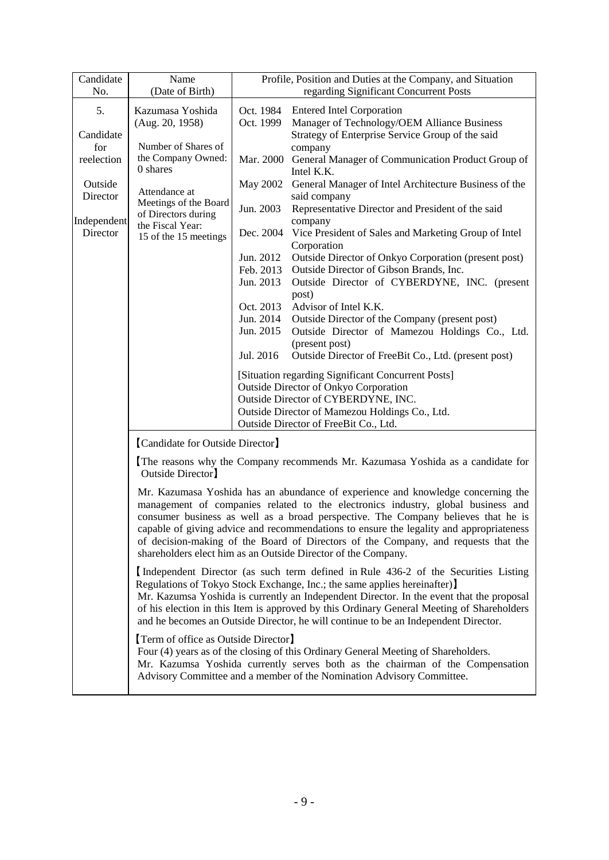| Candidate   | Name                                                                                                                                                                                                                                                                         |                                                                                                                                                        | Profile, Position and Duties at the Company, and Situation                                                                                                                                                                                                                                                                                                                                                                                                                                                  |  |
|-------------|------------------------------------------------------------------------------------------------------------------------------------------------------------------------------------------------------------------------------------------------------------------------------|--------------------------------------------------------------------------------------------------------------------------------------------------------|-------------------------------------------------------------------------------------------------------------------------------------------------------------------------------------------------------------------------------------------------------------------------------------------------------------------------------------------------------------------------------------------------------------------------------------------------------------------------------------------------------------|--|
| No.         | (Date of Birth)                                                                                                                                                                                                                                                              |                                                                                                                                                        | regarding Significant Concurrent Posts                                                                                                                                                                                                                                                                                                                                                                                                                                                                      |  |
|             |                                                                                                                                                                                                                                                                              |                                                                                                                                                        |                                                                                                                                                                                                                                                                                                                                                                                                                                                                                                             |  |
| 5.          | Kazumasa Yoshida                                                                                                                                                                                                                                                             | Oct. 1984                                                                                                                                              | <b>Entered Intel Corporation</b>                                                                                                                                                                                                                                                                                                                                                                                                                                                                            |  |
|             | (Aug. 20, 1958)                                                                                                                                                                                                                                                              | Oct. 1999                                                                                                                                              | Manager of Technology/OEM Alliance Business                                                                                                                                                                                                                                                                                                                                                                                                                                                                 |  |
| Candidate   |                                                                                                                                                                                                                                                                              |                                                                                                                                                        | Strategy of Enterprise Service Group of the said                                                                                                                                                                                                                                                                                                                                                                                                                                                            |  |
| for         | Number of Shares of                                                                                                                                                                                                                                                          |                                                                                                                                                        | company                                                                                                                                                                                                                                                                                                                                                                                                                                                                                                     |  |
| reelection  | the Company Owned:<br>0 shares                                                                                                                                                                                                                                               |                                                                                                                                                        | Mar. 2000 General Manager of Communication Product Group of                                                                                                                                                                                                                                                                                                                                                                                                                                                 |  |
| Outside     |                                                                                                                                                                                                                                                                              |                                                                                                                                                        | Intel K.K.                                                                                                                                                                                                                                                                                                                                                                                                                                                                                                  |  |
| Director    | Attendance at                                                                                                                                                                                                                                                                | May 2002                                                                                                                                               | General Manager of Intel Architecture Business of the<br>said company                                                                                                                                                                                                                                                                                                                                                                                                                                       |  |
|             | Meetings of the Board                                                                                                                                                                                                                                                        | Jun. 2003                                                                                                                                              | Representative Director and President of the said                                                                                                                                                                                                                                                                                                                                                                                                                                                           |  |
| Independent | of Directors during<br>the Fiscal Year:                                                                                                                                                                                                                                      |                                                                                                                                                        | company                                                                                                                                                                                                                                                                                                                                                                                                                                                                                                     |  |
| Director    | 15 of the 15 meetings                                                                                                                                                                                                                                                        |                                                                                                                                                        | Dec. 2004 Vice President of Sales and Marketing Group of Intel                                                                                                                                                                                                                                                                                                                                                                                                                                              |  |
|             |                                                                                                                                                                                                                                                                              |                                                                                                                                                        | Corporation                                                                                                                                                                                                                                                                                                                                                                                                                                                                                                 |  |
|             |                                                                                                                                                                                                                                                                              | Jun. 2012                                                                                                                                              | Outside Director of Onkyo Corporation (present post)                                                                                                                                                                                                                                                                                                                                                                                                                                                        |  |
|             |                                                                                                                                                                                                                                                                              | Feb. 2013                                                                                                                                              | Outside Director of Gibson Brands, Inc.                                                                                                                                                                                                                                                                                                                                                                                                                                                                     |  |
|             |                                                                                                                                                                                                                                                                              | Jun. 2013                                                                                                                                              | Outside Director of CYBERDYNE, INC. (present                                                                                                                                                                                                                                                                                                                                                                                                                                                                |  |
|             |                                                                                                                                                                                                                                                                              |                                                                                                                                                        | post)                                                                                                                                                                                                                                                                                                                                                                                                                                                                                                       |  |
|             |                                                                                                                                                                                                                                                                              | Oct. 2013                                                                                                                                              | Advisor of Intel K.K.                                                                                                                                                                                                                                                                                                                                                                                                                                                                                       |  |
|             |                                                                                                                                                                                                                                                                              | Jun. 2014                                                                                                                                              | Outside Director of the Company (present post)                                                                                                                                                                                                                                                                                                                                                                                                                                                              |  |
|             |                                                                                                                                                                                                                                                                              | Jun. 2015                                                                                                                                              | Outside Director of Mamezou Holdings Co., Ltd.                                                                                                                                                                                                                                                                                                                                                                                                                                                              |  |
|             |                                                                                                                                                                                                                                                                              | Jul. 2016                                                                                                                                              | (present post)<br>Outside Director of FreeBit Co., Ltd. (present post)                                                                                                                                                                                                                                                                                                                                                                                                                                      |  |
|             |                                                                                                                                                                                                                                                                              |                                                                                                                                                        |                                                                                                                                                                                                                                                                                                                                                                                                                                                                                                             |  |
|             |                                                                                                                                                                                                                                                                              |                                                                                                                                                        | [Situation regarding Significant Concurrent Posts]                                                                                                                                                                                                                                                                                                                                                                                                                                                          |  |
|             |                                                                                                                                                                                                                                                                              | <b>Outside Director of Onkyo Corporation</b>                                                                                                           |                                                                                                                                                                                                                                                                                                                                                                                                                                                                                                             |  |
|             |                                                                                                                                                                                                                                                                              |                                                                                                                                                        | Outside Director of CYBERDYNE, INC.                                                                                                                                                                                                                                                                                                                                                                                                                                                                         |  |
|             |                                                                                                                                                                                                                                                                              |                                                                                                                                                        | Outside Director of Mamezou Holdings Co., Ltd.                                                                                                                                                                                                                                                                                                                                                                                                                                                              |  |
|             |                                                                                                                                                                                                                                                                              |                                                                                                                                                        | Outside Director of FreeBit Co., Ltd.                                                                                                                                                                                                                                                                                                                                                                                                                                                                       |  |
|             | [Candidate for Outside Director]                                                                                                                                                                                                                                             |                                                                                                                                                        |                                                                                                                                                                                                                                                                                                                                                                                                                                                                                                             |  |
|             | The reasons why the Company recommends Mr. Kazumasa Yoshida as a candidate for<br>Outside Director                                                                                                                                                                           |                                                                                                                                                        |                                                                                                                                                                                                                                                                                                                                                                                                                                                                                                             |  |
|             |                                                                                                                                                                                                                                                                              |                                                                                                                                                        |                                                                                                                                                                                                                                                                                                                                                                                                                                                                                                             |  |
|             |                                                                                                                                                                                                                                                                              |                                                                                                                                                        | Mr. Kazumasa Yoshida has an abundance of experience and knowledge concerning the<br>management of companies related to the electronics industry, global business and<br>consumer business as well as a broad perspective. The Company believes that he is<br>capable of giving advice and recommendations to ensure the legality and appropriateness<br>of decision-making of the Board of Directors of the Company, and requests that the<br>shareholders elect him as an Outside Director of the Company. |  |
|             | Independent Director (as such term defined in Rule 436-2 of the Securities Listing<br>Regulations of Tokyo Stock Exchange, Inc.; the same applies hereinafter)                                                                                                               |                                                                                                                                                        |                                                                                                                                                                                                                                                                                                                                                                                                                                                                                                             |  |
|             | Mr. Kazumsa Yoshida is currently an Independent Director. In the event that the proposal<br>of his election in this Item is approved by this Ordinary General Meeting of Shareholders<br>and he becomes an Outside Director, he will continue to be an Independent Director. |                                                                                                                                                        |                                                                                                                                                                                                                                                                                                                                                                                                                                                                                                             |  |
|             | [Term of office as Outside Director]                                                                                                                                                                                                                                         |                                                                                                                                                        |                                                                                                                                                                                                                                                                                                                                                                                                                                                                                                             |  |
|             |                                                                                                                                                                                                                                                                              |                                                                                                                                                        | Four (4) years as of the closing of this Ordinary General Meeting of Shareholders.                                                                                                                                                                                                                                                                                                                                                                                                                          |  |
|             |                                                                                                                                                                                                                                                                              | Mr. Kazumsa Yoshida currently serves both as the chairman of the Compensation<br>Advisory Committee and a member of the Nomination Advisory Committee. |                                                                                                                                                                                                                                                                                                                                                                                                                                                                                                             |  |
|             |                                                                                                                                                                                                                                                                              |                                                                                                                                                        |                                                                                                                                                                                                                                                                                                                                                                                                                                                                                                             |  |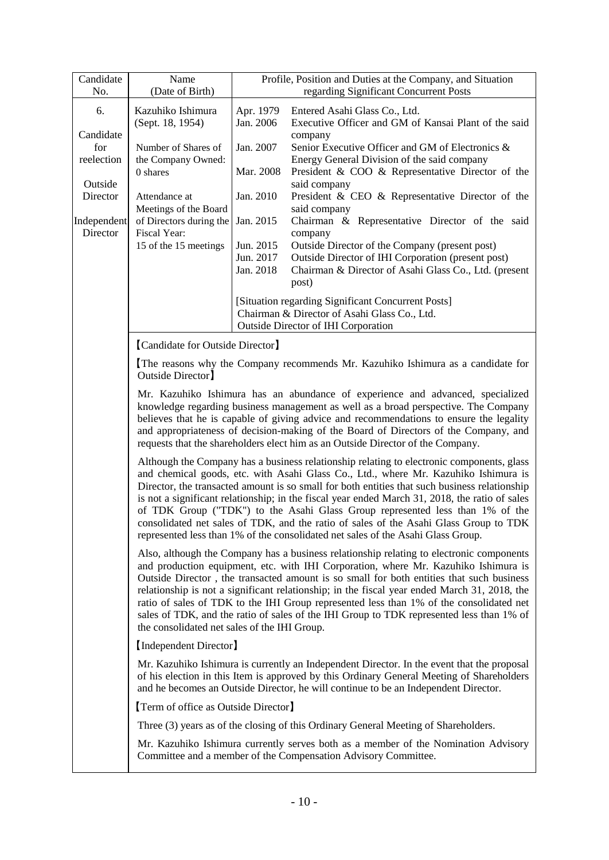| Candidate               | Name                                         |                                                                                                                                                                                                                                                                                                                                                                                                                                             | Profile, Position and Duties at the Company, and Situation                                                                                                                                                                                                                                                                                                                                                                                                                                                                                                                                                                                        |  |
|-------------------------|----------------------------------------------|---------------------------------------------------------------------------------------------------------------------------------------------------------------------------------------------------------------------------------------------------------------------------------------------------------------------------------------------------------------------------------------------------------------------------------------------|---------------------------------------------------------------------------------------------------------------------------------------------------------------------------------------------------------------------------------------------------------------------------------------------------------------------------------------------------------------------------------------------------------------------------------------------------------------------------------------------------------------------------------------------------------------------------------------------------------------------------------------------------|--|
| No.                     | (Date of Birth)                              |                                                                                                                                                                                                                                                                                                                                                                                                                                             | regarding Significant Concurrent Posts                                                                                                                                                                                                                                                                                                                                                                                                                                                                                                                                                                                                            |  |
| 6.                      | Kazuhiko Ishimura<br>(Sept. 18, 1954)        | Apr. 1979<br>Jan. 2006                                                                                                                                                                                                                                                                                                                                                                                                                      | Entered Asahi Glass Co., Ltd.<br>Executive Officer and GM of Kansai Plant of the said                                                                                                                                                                                                                                                                                                                                                                                                                                                                                                                                                             |  |
| Candidate<br>for        | Number of Shares of                          | Jan. 2007                                                                                                                                                                                                                                                                                                                                                                                                                                   | company<br>Senior Executive Officer and GM of Electronics &                                                                                                                                                                                                                                                                                                                                                                                                                                                                                                                                                                                       |  |
| reelection              | the Company Owned:<br>0 shares               | Mar. 2008                                                                                                                                                                                                                                                                                                                                                                                                                                   | Energy General Division of the said company<br>President & COO & Representative Director of the                                                                                                                                                                                                                                                                                                                                                                                                                                                                                                                                                   |  |
| Outside                 |                                              |                                                                                                                                                                                                                                                                                                                                                                                                                                             | said company                                                                                                                                                                                                                                                                                                                                                                                                                                                                                                                                                                                                                                      |  |
| Director                | Attendance at<br>Meetings of the Board       | Jan. 2010                                                                                                                                                                                                                                                                                                                                                                                                                                   | President & CEO & Representative Director of the<br>said company                                                                                                                                                                                                                                                                                                                                                                                                                                                                                                                                                                                  |  |
| Independent<br>Director | of Directors during the<br>Fiscal Year:      | Jan. 2015                                                                                                                                                                                                                                                                                                                                                                                                                                   | Chairman & Representative Director of the said<br>company                                                                                                                                                                                                                                                                                                                                                                                                                                                                                                                                                                                         |  |
|                         | 15 of the 15 meetings                        | Jun. 2015                                                                                                                                                                                                                                                                                                                                                                                                                                   | Outside Director of the Company (present post)                                                                                                                                                                                                                                                                                                                                                                                                                                                                                                                                                                                                    |  |
|                         |                                              | Jun. 2017<br>Jan. 2018                                                                                                                                                                                                                                                                                                                                                                                                                      | Outside Director of IHI Corporation (present post)<br>Chairman & Director of Asahi Glass Co., Ltd. (present                                                                                                                                                                                                                                                                                                                                                                                                                                                                                                                                       |  |
|                         |                                              |                                                                                                                                                                                                                                                                                                                                                                                                                                             | post)                                                                                                                                                                                                                                                                                                                                                                                                                                                                                                                                                                                                                                             |  |
|                         |                                              |                                                                                                                                                                                                                                                                                                                                                                                                                                             | [Situation regarding Significant Concurrent Posts]                                                                                                                                                                                                                                                                                                                                                                                                                                                                                                                                                                                                |  |
|                         |                                              |                                                                                                                                                                                                                                                                                                                                                                                                                                             | Chairman & Director of Asahi Glass Co., Ltd.                                                                                                                                                                                                                                                                                                                                                                                                                                                                                                                                                                                                      |  |
|                         |                                              |                                                                                                                                                                                                                                                                                                                                                                                                                                             | <b>Outside Director of IHI Corporation</b>                                                                                                                                                                                                                                                                                                                                                                                                                                                                                                                                                                                                        |  |
|                         | [Candidate for Outside Director]             |                                                                                                                                                                                                                                                                                                                                                                                                                                             |                                                                                                                                                                                                                                                                                                                                                                                                                                                                                                                                                                                                                                                   |  |
|                         | Outside Director                             |                                                                                                                                                                                                                                                                                                                                                                                                                                             | The reasons why the Company recommends Mr. Kazuhiko Ishimura as a candidate for                                                                                                                                                                                                                                                                                                                                                                                                                                                                                                                                                                   |  |
|                         |                                              | Mr. Kazuhiko Ishimura has an abundance of experience and advanced, specialized<br>knowledge regarding business management as well as a broad perspective. The Company<br>believes that he is capable of giving advice and recommendations to ensure the legality<br>and appropriateness of decision-making of the Board of Directors of the Company, and<br>requests that the shareholders elect him as an Outside Director of the Company. |                                                                                                                                                                                                                                                                                                                                                                                                                                                                                                                                                                                                                                                   |  |
|                         |                                              |                                                                                                                                                                                                                                                                                                                                                                                                                                             | Although the Company has a business relationship relating to electronic components, glass<br>and chemical goods, etc. with Asahi Glass Co., Ltd., where Mr. Kazuhiko Ishimura is<br>Director, the transacted amount is so small for both entities that such business relationship<br>is not a significant relationship; in the fiscal year ended March 31, 2018, the ratio of sales<br>of TDK Group ("TDK") to the Asahi Glass Group represented less than 1% of the<br>consolidated net sales of TDK, and the ratio of sales of the Asahi Glass Group to TDK<br>represented less than 1% of the consolidated net sales of the Asahi Glass Group. |  |
|                         | the consolidated net sales of the IHI Group. |                                                                                                                                                                                                                                                                                                                                                                                                                                             | Also, although the Company has a business relationship relating to electronic components<br>and production equipment, etc. with IHI Corporation, where Mr. Kazuhiko Ishimura is<br>Outside Director, the transacted amount is so small for both entities that such business<br>relationship is not a significant relationship; in the fiscal year ended March 31, 2018, the<br>ratio of sales of TDK to the IHI Group represented less than 1% of the consolidated net<br>sales of TDK, and the ratio of sales of the IHI Group to TDK represented less than 1% of                                                                                |  |
|                         | [Independent Director]                       |                                                                                                                                                                                                                                                                                                                                                                                                                                             |                                                                                                                                                                                                                                                                                                                                                                                                                                                                                                                                                                                                                                                   |  |
|                         |                                              | Mr. Kazuhiko Ishimura is currently an Independent Director. In the event that the proposal<br>of his election in this Item is approved by this Ordinary General Meeting of Shareholders<br>and he becomes an Outside Director, he will continue to be an Independent Director.                                                                                                                                                              |                                                                                                                                                                                                                                                                                                                                                                                                                                                                                                                                                                                                                                                   |  |
|                         | [Term of office as Outside Director]         |                                                                                                                                                                                                                                                                                                                                                                                                                                             |                                                                                                                                                                                                                                                                                                                                                                                                                                                                                                                                                                                                                                                   |  |
|                         |                                              |                                                                                                                                                                                                                                                                                                                                                                                                                                             | Three (3) years as of the closing of this Ordinary General Meeting of Shareholders.                                                                                                                                                                                                                                                                                                                                                                                                                                                                                                                                                               |  |
|                         |                                              |                                                                                                                                                                                                                                                                                                                                                                                                                                             | Mr. Kazuhiko Ishimura currently serves both as a member of the Nomination Advisory<br>Committee and a member of the Compensation Advisory Committee.                                                                                                                                                                                                                                                                                                                                                                                                                                                                                              |  |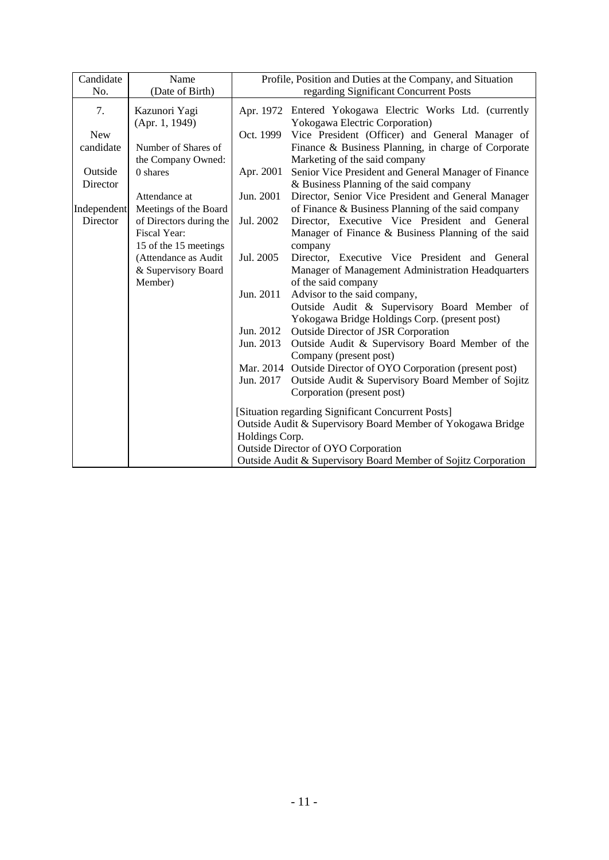| Candidate   | Name                            |                                                             | Profile, Position and Duties at the Company, and Situation                                  |
|-------------|---------------------------------|-------------------------------------------------------------|---------------------------------------------------------------------------------------------|
| No.         | (Date of Birth)                 |                                                             | regarding Significant Concurrent Posts                                                      |
| 7.          | Kazunori Yagi<br>(Apr. 1, 1949) |                                                             | Apr. 1972 Entered Yokogawa Electric Works Ltd. (currently<br>Yokogawa Electric Corporation) |
| <b>New</b>  |                                 | Oct. 1999                                                   | Vice President (Officer) and General Manager of                                             |
| candidate   | Number of Shares of             |                                                             | Finance & Business Planning, in charge of Corporate                                         |
|             | the Company Owned:              |                                                             | Marketing of the said company                                                               |
| Outside     | 0 shares                        | Apr. 2001                                                   | Senior Vice President and General Manager of Finance                                        |
| Director    |                                 |                                                             | & Business Planning of the said company                                                     |
|             | Attendance at                   | Jun. 2001                                                   | Director, Senior Vice President and General Manager                                         |
| Independent | Meetings of the Board           |                                                             | of Finance & Business Planning of the said company                                          |
| Director    | of Directors during the         | Jul. 2002                                                   | Director, Executive Vice President and General                                              |
|             | Fiscal Year:                    |                                                             | Manager of Finance & Business Planning of the said                                          |
|             | 15 of the 15 meetings           |                                                             | company                                                                                     |
|             | (Attendance as Audit            | Jul. 2005                                                   | Director, Executive Vice President and General                                              |
|             | & Supervisory Board             |                                                             | Manager of Management Administration Headquarters                                           |
|             | Member)                         |                                                             | of the said company                                                                         |
|             |                                 | Jun. 2011                                                   | Advisor to the said company,                                                                |
|             |                                 |                                                             | Outside Audit & Supervisory Board Member of                                                 |
|             |                                 |                                                             | Yokogawa Bridge Holdings Corp. (present post)                                               |
|             |                                 | Jun. 2012                                                   | <b>Outside Director of JSR Corporation</b>                                                  |
|             |                                 | Jun. 2013                                                   | Outside Audit & Supervisory Board Member of the<br>Company (present post)                   |
|             |                                 |                                                             | Mar. 2014 Outside Director of OYO Corporation (present post)                                |
|             |                                 | Jun. 2017                                                   | Outside Audit & Supervisory Board Member of Sojitz                                          |
|             |                                 |                                                             | Corporation (present post)                                                                  |
|             |                                 |                                                             | [Situation regarding Significant Concurrent Posts]                                          |
|             |                                 | Outside Audit & Supervisory Board Member of Yokogawa Bridge |                                                                                             |
|             |                                 | Holdings Corp.                                              |                                                                                             |
|             |                                 |                                                             | Outside Director of OYO Corporation                                                         |
|             |                                 |                                                             | Outside Audit & Supervisory Board Member of Sojitz Corporation                              |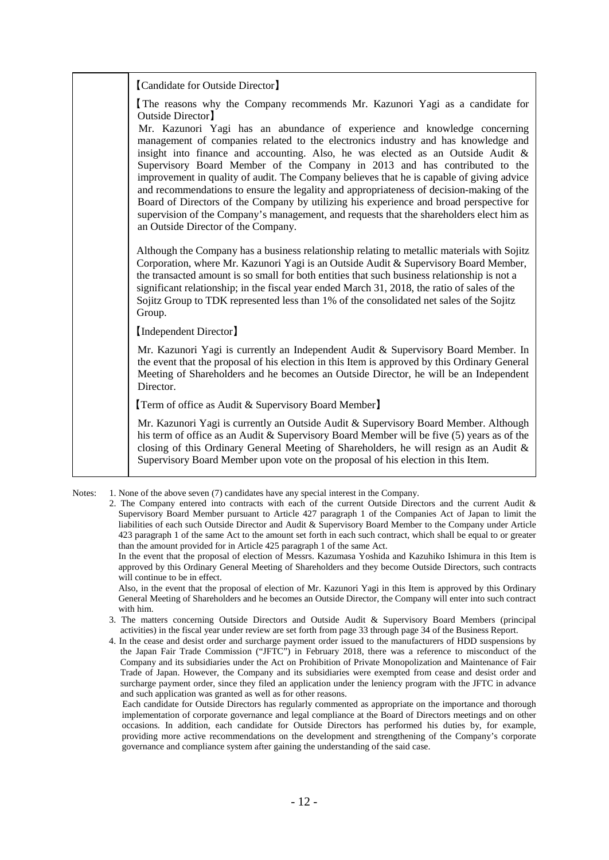| [Candidate for Outside Director]                                                                                                                                                                                                                                                                                                                                                                                                                                                                                                                                                                                                                                                                                                                       |
|--------------------------------------------------------------------------------------------------------------------------------------------------------------------------------------------------------------------------------------------------------------------------------------------------------------------------------------------------------------------------------------------------------------------------------------------------------------------------------------------------------------------------------------------------------------------------------------------------------------------------------------------------------------------------------------------------------------------------------------------------------|
| The reasons why the Company recommends Mr. Kazunori Yagi as a candidate for<br>Outside Director                                                                                                                                                                                                                                                                                                                                                                                                                                                                                                                                                                                                                                                        |
| Mr. Kazunori Yagi has an abundance of experience and knowledge concerning<br>management of companies related to the electronics industry and has knowledge and<br>insight into finance and accounting. Also, he was elected as an Outside Audit &<br>Supervisory Board Member of the Company in 2013 and has contributed to the<br>improvement in quality of audit. The Company believes that he is capable of giving advice<br>and recommendations to ensure the legality and appropriateness of decision-making of the<br>Board of Directors of the Company by utilizing his experience and broad perspective for<br>supervision of the Company's management, and requests that the shareholders elect him as<br>an Outside Director of the Company. |
| Although the Company has a business relationship relating to metallic materials with Sojitz<br>Corporation, where Mr. Kazunori Yagi is an Outside Audit & Supervisory Board Member,<br>the transacted amount is so small for both entities that such business relationship is not a<br>significant relationship; in the fiscal year ended March 31, 2018, the ratio of sales of the<br>Sojitz Group to TDK represented less than 1% of the consolidated net sales of the Sojitz<br>Group.                                                                                                                                                                                                                                                              |
| [Independent Director]                                                                                                                                                                                                                                                                                                                                                                                                                                                                                                                                                                                                                                                                                                                                 |
| Mr. Kazunori Yagi is currently an Independent Audit & Supervisory Board Member. In<br>the event that the proposal of his election in this Item is approved by this Ordinary General<br>Meeting of Shareholders and he becomes an Outside Director, he will be an Independent<br>Director.                                                                                                                                                                                                                                                                                                                                                                                                                                                              |
| <b>Term of office as Audit &amp; Supervisory Board Member</b>                                                                                                                                                                                                                                                                                                                                                                                                                                                                                                                                                                                                                                                                                          |
| Mr. Kazunori Yagi is currently an Outside Audit & Supervisory Board Member. Although<br>his term of office as an Audit & Supervisory Board Member will be five (5) years as of the<br>closing of this Ordinary General Meeting of Shareholders, he will resign as an Audit &<br>Supervisory Board Member upon vote on the proposal of his election in this Item.                                                                                                                                                                                                                                                                                                                                                                                       |
|                                                                                                                                                                                                                                                                                                                                                                                                                                                                                                                                                                                                                                                                                                                                                        |

Notes: 1. None of the above seven (7) candidates have any special interest in the Company.

In the event that the proposal of election of Messrs. Kazumasa Yoshida and Kazuhiko Ishimura in this Item is approved by this Ordinary General Meeting of Shareholders and they become Outside Directors, such contracts will continue to be in effect.

Also, in the event that the proposal of election of Mr. Kazunori Yagi in this Item is approved by this Ordinary General Meeting of Shareholders and he becomes an Outside Director, the Company will enter into such contract with him.

- 3. The matters concerning Outside Directors and Outside Audit & Supervisory Board Members (principal activities) in the fiscal year under review are set forth from page 33 through page 34 of the Business Report.
- 4. In the cease and desist order and surcharge payment order issued to the manufacturers of HDD suspensions by the Japan Fair Trade Commission ("JFTC") in February 2018, there was a reference to misconduct of the Company and its subsidiaries under the Act on Prohibition of Private Monopolization and Maintenance of Fair Trade of Japan. However, the Company and its subsidiaries were exempted from cease and desist order and surcharge payment order, since they filed an application under the leniency program with the JFTC in advance and such application was granted as well as for other reasons.

Each candidate for Outside Directors has regularly commented as appropriate on the importance and thorough implementation of corporate governance and legal compliance at the Board of Directors meetings and on other occasions. In addition, each candidate for Outside Directors has performed his duties by, for example, providing more active recommendations on the development and strengthening of the Company's corporate governance and compliance system after gaining the understanding of the said case.

<sup>2.</sup> The Company entered into contracts with each of the current Outside Directors and the current Audit & Supervisory Board Member pursuant to Article 427 paragraph 1 of the Companies Act of Japan to limit the liabilities of each such Outside Director and Audit & Supervisory Board Member to the Company under Article 423 paragraph 1 of the same Act to the amount set forth in each such contract, which shall be equal to or greater than the amount provided for in Article 425 paragraph 1 of the same Act.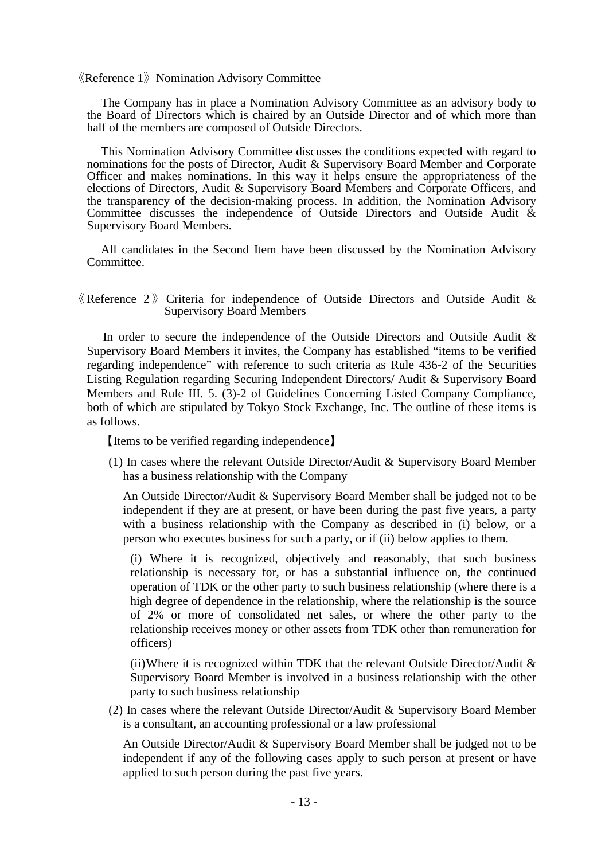$\langle$ Reference 1 $\rangle$  Nomination Advisory Committee

The Company has in place a Nomination Advisory Committee as an advisory body to the Board of Directors which is chaired by an Outside Director and of which more than half of the members are composed of Outside Directors.

This Nomination Advisory Committee discusses the conditions expected with regard to nominations for the posts of Director, Audit & Supervisory Board Member and Corporate Officer and makes nominations. In this way it helps ensure the appropriateness of the elections of Directors, Audit & Supervisory Board Members and Corporate Officers, and the transparency of the decision-making process. In addition, the Nomination Advisory Committee discusses the independence of Outside Directors and Outside Audit & Supervisory Board Members.

All candidates in the Second Item have been discussed by the Nomination Advisory Committee.

 $\langle$  Reference 2 $\rangle$  Criteria for independence of Outside Directors and Outside Audit & Supervisory Board Members

In order to secure the independence of the Outside Directors and Outside Audit & Supervisory Board Members it invites, the Company has established "items to be verified regarding independence" with reference to such criteria as Rule 436-2 of the Securities Listing Regulation regarding Securing Independent Directors/ Audit & Supervisory Board Members and Rule III. 5. (3)-2 of Guidelines Concerning Listed Company Compliance, both of which are stipulated by Tokyo Stock Exchange, Inc. The outline of these items is as follows.

【Items to be verified regarding independence】

(1) In cases where the relevant Outside Director/Audit & Supervisory Board Member has a business relationship with the Company

An Outside Director/Audit & Supervisory Board Member shall be judged not to be independent if they are at present, or have been during the past five years, a party with a business relationship with the Company as described in (i) below, or a person who executes business for such a party, or if (ii) below applies to them.

(i) Where it is recognized, objectively and reasonably, that such business relationship is necessary for, or has a substantial influence on, the continued operation of TDK or the other party to such business relationship (where there is a high degree of dependence in the relationship, where the relationship is the source of 2% or more of consolidated net sales, or where the other party to the relationship receives money or other assets from TDK other than remuneration for officers)

(ii) Where it is recognized within TDK that the relevant Outside Director/Audit  $\&$ Supervisory Board Member is involved in a business relationship with the other party to such business relationship

(2) In cases where the relevant Outside Director/Audit & Supervisory Board Member is a consultant, an accounting professional or a law professional

An Outside Director/Audit & Supervisory Board Member shall be judged not to be independent if any of the following cases apply to such person at present or have applied to such person during the past five years.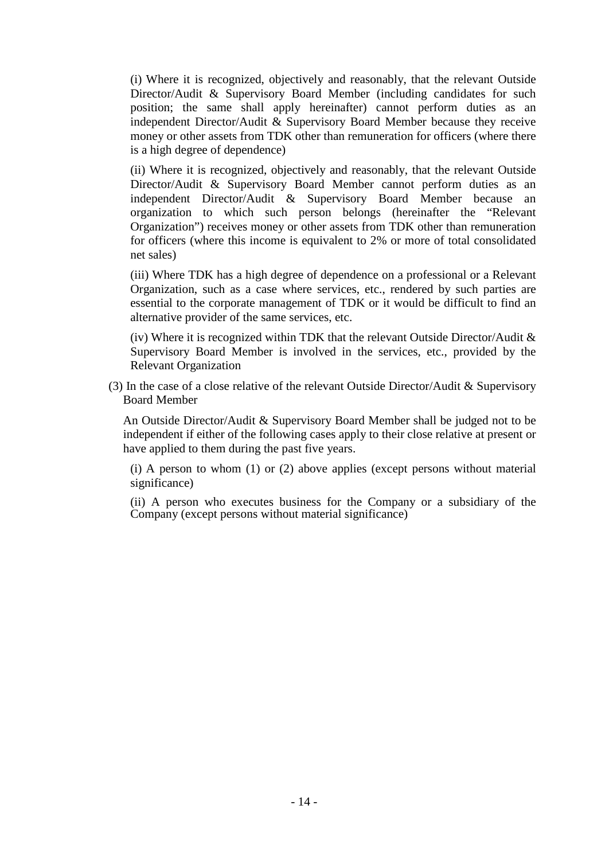(i) Where it is recognized, objectively and reasonably, that the relevant Outside Director/Audit & Supervisory Board Member (including candidates for such position; the same shall apply hereinafter) cannot perform duties as an independent Director/Audit & Supervisory Board Member because they receive money or other assets from TDK other than remuneration for officers (where there is a high degree of dependence)

(ii) Where it is recognized, objectively and reasonably, that the relevant Outside Director/Audit & Supervisory Board Member cannot perform duties as an independent Director/Audit & Supervisory Board Member because an organization to which such person belongs (hereinafter the "Relevant Organization") receives money or other assets from TDK other than remuneration for officers (where this income is equivalent to 2% or more of total consolidated net sales)

(iii) Where TDK has a high degree of dependence on a professional or a Relevant Organization, such as a case where services, etc., rendered by such parties are essential to the corporate management of TDK or it would be difficult to find an alternative provider of the same services, etc.

(iv) Where it is recognized within TDK that the relevant Outside Director/Audit  $\&$ Supervisory Board Member is involved in the services, etc., provided by the Relevant Organization

(3) In the case of a close relative of the relevant Outside Director/Audit & Supervisory Board Member

An Outside Director/Audit & Supervisory Board Member shall be judged not to be independent if either of the following cases apply to their close relative at present or have applied to them during the past five years.

(i) A person to whom (1) or (2) above applies (except persons without material significance)

(ii) A person who executes business for the Company or a subsidiary of the Company (except persons without material significance)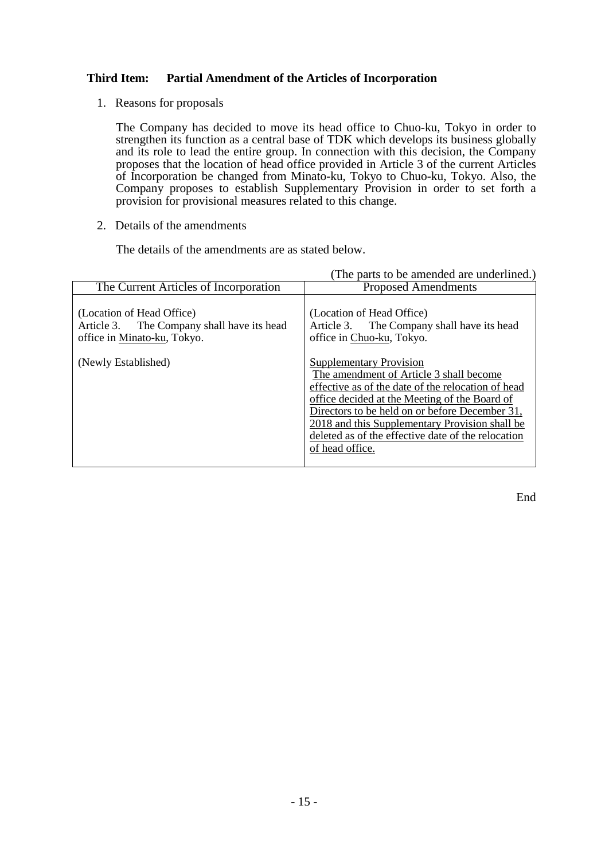# **Third Item: Partial Amendment of the Articles of Incorporation**

1. Reasons for proposals

The Company has decided to move its head office to Chuo-ku, Tokyo in order to strengthen its function as a central base of TDK which develops its business globally and its role to lead the entire group. In connection with this decision, the Company proposes that the location of head office provided in Article 3 of the current Articles of Incorporation be changed from Minato-ku, Tokyo to Chuo-ku, Tokyo. Also, the Company proposes to establish Supplementary Provision in order to set forth a provision for provisional measures related to this change.

2. Details of the amendments

The details of the amendments are as stated below.

|                                                                                                        | (The parts to be amended are underlined.)                                                                                                                                                                                                                                                                                                                     |
|--------------------------------------------------------------------------------------------------------|---------------------------------------------------------------------------------------------------------------------------------------------------------------------------------------------------------------------------------------------------------------------------------------------------------------------------------------------------------------|
| The Current Articles of Incorporation                                                                  | <b>Proposed Amendments</b>                                                                                                                                                                                                                                                                                                                                    |
| (Location of Head Office)<br>Article 3. The Company shall have its head<br>office in Minato-ku, Tokyo. | (Location of Head Office)<br>Article 3. The Company shall have its head<br>office in Chuo-ku, Tokyo.                                                                                                                                                                                                                                                          |
| (Newly Established)                                                                                    | <b>Supplementary Provision</b><br>The amendment of Article 3 shall become<br>effective as of the date of the relocation of head<br>office decided at the Meeting of the Board of<br>Directors to be held on or before December 31,<br>2018 and this Supplementary Provision shall be<br>deleted as of the effective date of the relocation<br>of head office. |

End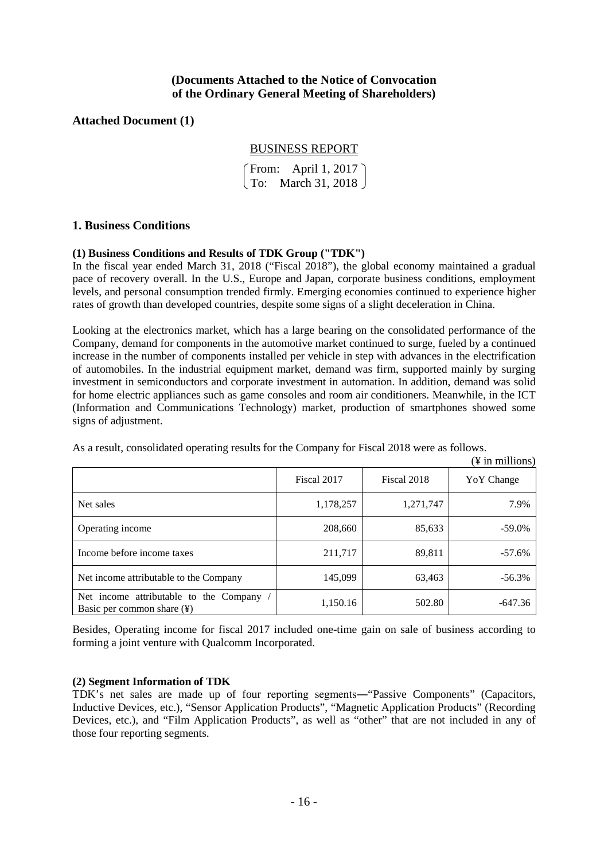# **(Documents Attached to the Notice of Convocation of the Ordinary General Meeting of Shareholders)**

# **Attached Document (1)**

# BUSINESS REPORT

From: April 1, 2017  $\sqrt{\text{To: March 31, 2018}}$ 

# **1. Business Conditions**

# **(1) Business Conditions and Results of TDK Group ("TDK")**

In the fiscal year ended March 31, 2018 ("Fiscal 2018"), the global economy maintained a gradual pace of recovery overall. In the U.S., Europe and Japan, corporate business conditions, employment levels, and personal consumption trended firmly. Emerging economies continued to experience higher rates of growth than developed countries, despite some signs of a slight deceleration in China.

Looking at the electronics market, which has a large bearing on the consolidated performance of the Company, demand for components in the automotive market continued to surge, fueled by a continued increase in the number of components installed per vehicle in step with advances in the electrification of automobiles. In the industrial equipment market, demand was firm, supported mainly by surging investment in semiconductors and corporate investment in automation. In addition, demand was solid for home electric appliances such as game consoles and room air conditioners. Meanwhile, in the ICT (Information and Communications Technology) market, production of smartphones showed some signs of adjustment.

| As a result, consolidated operating results for the Company for Fiscal 2018 were as follows. |  |  |  |
|----------------------------------------------------------------------------------------------|--|--|--|
|                                                                                              |  |  |  |

|                                                                                  |             |             | († 111 ПІППОПS <i>)</i> |
|----------------------------------------------------------------------------------|-------------|-------------|-------------------------|
|                                                                                  | Fiscal 2017 | Fiscal 2018 | Yo Y Change             |
| Net sales                                                                        | 1,178,257   | 1,271,747   | 7.9%                    |
| Operating income                                                                 | 208,660     | 85,633      | $-59.0\%$               |
| Income before income taxes                                                       | 211,717     | 89,811      | $-57.6%$                |
| Net income attributable to the Company                                           | 145,099     | 63,463      | $-56.3%$                |
| Net income attributable to the Company<br>Basic per common share $(\frac{1}{2})$ | 1,150.16    | 502.80      | $-647.36$               |

Besides, Operating income for fiscal 2017 included one-time gain on sale of business according to forming a joint venture with Qualcomm Incorporated.

#### **(2) Segment Information of TDK**

TDK's net sales are made up of four reporting segments―"Passive Components" (Capacitors, Inductive Devices, etc.), "Sensor Application Products", "Magnetic Application Products" (Recording Devices, etc.), and "Film Application Products", as well as "other" that are not included in any of those four reporting segments.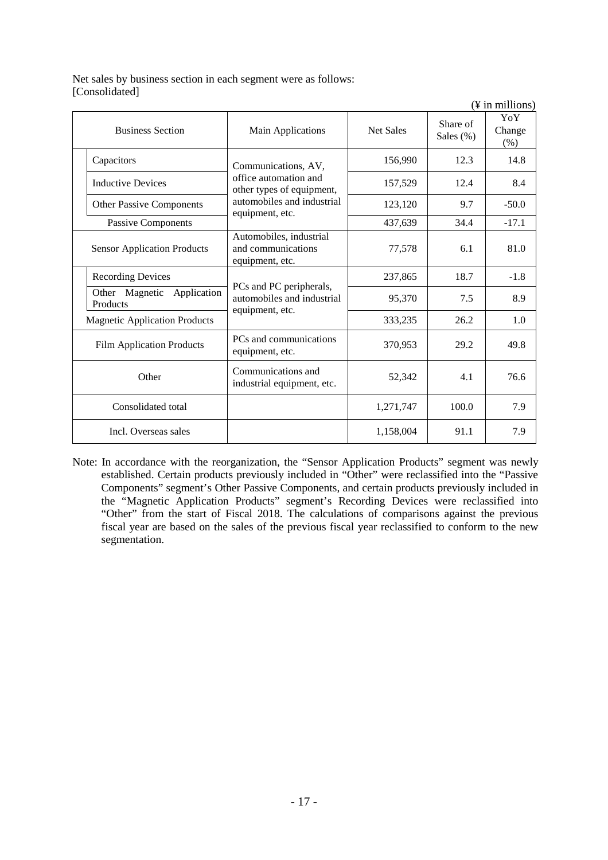Net sales by business section in each segment were as follows: [Consolidated]

|                                              |                                                                          |                  |                          | $(\frac{1}{2})$ in millions) |
|----------------------------------------------|--------------------------------------------------------------------------|------------------|--------------------------|------------------------------|
| <b>Business Section</b>                      | Main Applications                                                        | <b>Net Sales</b> | Share of<br>Sales $(\%)$ | YoY<br>Change<br>(% )        |
| Capacitors                                   | Communications, AV,                                                      | 156,990          | 12.3                     | 14.8                         |
| <b>Inductive Devices</b>                     | office automation and<br>other types of equipment,                       | 157,529          | 12.4                     | 8.4                          |
| <b>Other Passive Components</b>              | automobiles and industrial<br>equipment, etc.                            | 123,120          | 9.7                      | $-50.0$                      |
| <b>Passive Components</b>                    |                                                                          | 437,639          | 34.4                     | $-17.1$                      |
| <b>Sensor Application Products</b>           | Automobiles, industrial<br>and communications<br>equipment, etc.         | 77,578           | 6.1                      | 81.0                         |
| <b>Recording Devices</b>                     |                                                                          | 237,865          | 18.7                     | $-1.8$                       |
| Application<br>Magnetic<br>Other<br>Products | PCs and PC peripherals,<br>automobiles and industrial<br>equipment, etc. | 95,370           | 7.5                      | 8.9                          |
| <b>Magnetic Application Products</b>         |                                                                          | 333,235          | 26.2                     | 1.0                          |
| <b>Film Application Products</b>             | PCs and communications<br>equipment, etc.                                | 370,953          | 29.2                     | 49.8                         |
| Other                                        | Communications and<br>industrial equipment, etc.                         | 52,342           | 4.1                      | 76.6                         |
| Consolidated total                           |                                                                          | 1,271,747        | 100.0                    | 7.9                          |
| Incl. Overseas sales                         |                                                                          | 1,158,004        | 91.1                     | 7.9                          |

Note: In accordance with the reorganization, the "Sensor Application Products" segment was newly established. Certain products previously included in "Other" were reclassified into the "Passive Components" segment's Other Passive Components, and certain products previously included in the "Magnetic Application Products" segment's Recording Devices were reclassified into "Other" from the start of Fiscal 2018. The calculations of comparisons against the previous fiscal year are based on the sales of the previous fiscal year reclassified to conform to the new segmentation.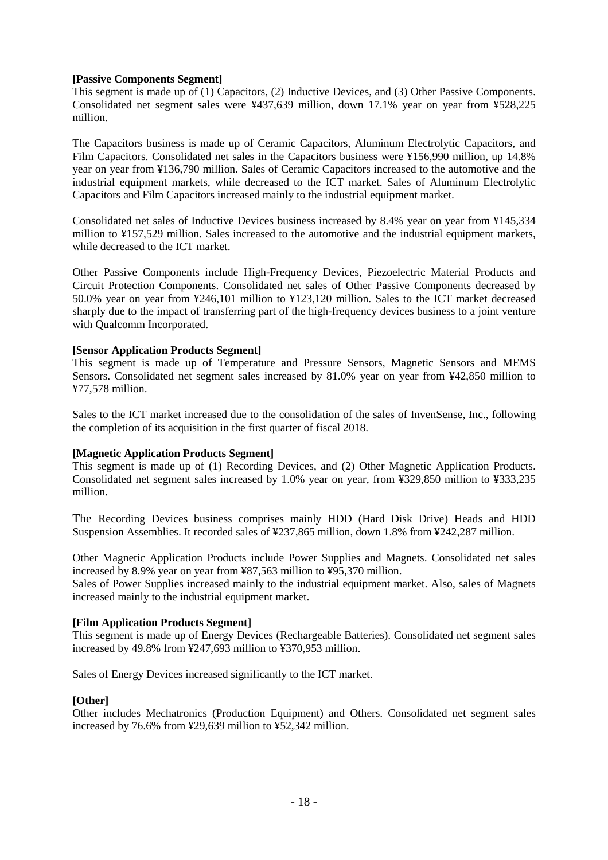#### **[Passive Components Segment]**

This segment is made up of (1) Capacitors, (2) Inductive Devices, and (3) Other Passive Components. Consolidated net segment sales were ¥437,639 million, down 17.1% year on year from ¥528,225 million.

The Capacitors business is made up of Ceramic Capacitors, Aluminum Electrolytic Capacitors, and Film Capacitors. Consolidated net sales in the Capacitors business were ¥156,990 million, up 14.8% year on year from ¥136,790 million. Sales of Ceramic Capacitors increased to the automotive and the industrial equipment markets, while decreased to the ICT market. Sales of Aluminum Electrolytic Capacitors and Film Capacitors increased mainly to the industrial equipment market.

Consolidated net sales of Inductive Devices business increased by 8.4% year on year from ¥145,334 million to ¥157,529 million. Sales increased to the automotive and the industrial equipment markets, while decreased to the ICT market.

Other Passive Components include High-Frequency Devices, Piezoelectric Material Products and Circuit Protection Components. Consolidated net sales of Other Passive Components decreased by 50.0% year on year from ¥246,101 million to ¥123,120 million. Sales to the ICT market decreased sharply due to the impact of transferring part of the high-frequency devices business to a joint venture with Qualcomm Incorporated.

# **[Sensor Application Products Segment]**

This segment is made up of Temperature and Pressure Sensors, Magnetic Sensors and MEMS Sensors. Consolidated net segment sales increased by 81.0% year on year from ¥42,850 million to ¥77,578 million.

Sales to the ICT market increased due to the consolidation of the sales of InvenSense, Inc., following the completion of its acquisition in the first quarter of fiscal 2018.

#### **[Magnetic Application Products Segment]**

This segment is made up of (1) Recording Devices, and (2) Other Magnetic Application Products. Consolidated net segment sales increased by 1.0% year on year, from ¥329,850 million to ¥333,235 million.

The Recording Devices business comprises mainly HDD (Hard Disk Drive) Heads and HDD Suspension Assemblies. It recorded sales of ¥237,865 million, down 1.8% from ¥242,287 million.

Other Magnetic Application Products include Power Supplies and Magnets. Consolidated net sales increased by 8.9% year on year from ¥87,563 million to ¥95,370 million.

Sales of Power Supplies increased mainly to the industrial equipment market. Also, sales of Magnets increased mainly to the industrial equipment market.

#### **[Film Application Products Segment]**

This segment is made up of Energy Devices (Rechargeable Batteries). Consolidated net segment sales increased by 49.8% from ¥247,693 million to ¥370,953 million.

Sales of Energy Devices increased significantly to the ICT market.

#### **[Other]**

Other includes Mechatronics (Production Equipment) and Others. Consolidated net segment sales increased by 76.6% from ¥29,639 million to ¥52,342 million.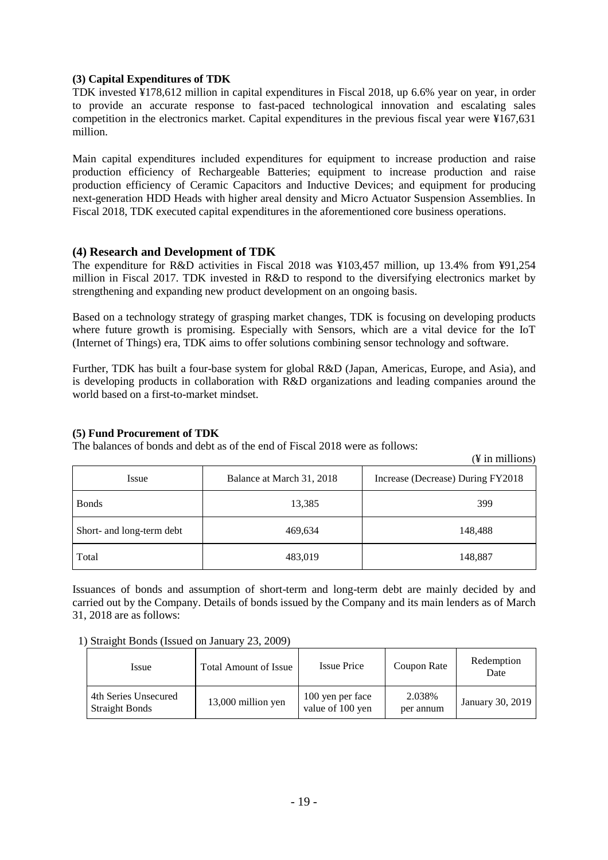# **(3) Capital Expenditures of TDK**

TDK invested ¥178,612 million in capital expenditures in Fiscal 2018, up 6.6% year on year, in order to provide an accurate response to fast-paced technological innovation and escalating sales competition in the electronics market. Capital expenditures in the previous fiscal year were ¥167,631 million.

Main capital expenditures included expenditures for equipment to increase production and raise production efficiency of Rechargeable Batteries; equipment to increase production and raise production efficiency of Ceramic Capacitors and Inductive Devices; and equipment for producing next-generation HDD Heads with higher areal density and Micro Actuator Suspension Assemblies. In Fiscal 2018, TDK executed capital expenditures in the aforementioned core business operations.

# **(4) Research and Development of TDK**

The expenditure for R&D activities in Fiscal 2018 was ¥103,457 million, up 13.4% from ¥91,254 million in Fiscal 2017. TDK invested in R&D to respond to the diversifying electronics market by strengthening and expanding new product development on an ongoing basis.

Based on a technology strategy of grasping market changes, TDK is focusing on developing products where future growth is promising. Especially with Sensors, which are a vital device for the IoT (Internet of Things) era, TDK aims to offer solutions combining sensor technology and software.

Further, TDK has built a four-base system for global R&D (Japan, Americas, Europe, and Asia), and is developing products in collaboration with R&D organizations and leading companies around the world based on a first-to-market mindset.

#### **(5) Fund Procurement of TDK**

The balances of bonds and debt as of the end of Fiscal 2018 were as follows:

|                           |                           | , т ни нишопу                     |
|---------------------------|---------------------------|-----------------------------------|
| Issue                     | Balance at March 31, 2018 | Increase (Decrease) During FY2018 |
| <b>B</b> onds             | 13,385                    | 399                               |
| Short- and long-term debt | 469,634                   | 148,488                           |
| Total                     | 483,019                   | 148,887                           |

 $(V \text{ in millions})$ 

Issuances of bonds and assumption of short-term and long-term debt are mainly decided by and carried out by the Company. Details of bonds issued by the Company and its main lenders as of March 31, 2018 are as follows:

#### 1) Straight Bonds (Issued on January 23, 2009)

| <i>ssue</i>                                   | Total Amount of Issue | <b>Issue Price</b>                   | Coupon Rate         | Redemption<br>Date |
|-----------------------------------------------|-----------------------|--------------------------------------|---------------------|--------------------|
| 4th Series Unsecured<br><b>Straight Bonds</b> | 13,000 million yen    | 100 yen per face<br>value of 100 yen | 2.038%<br>per annum | January 30, 2019   |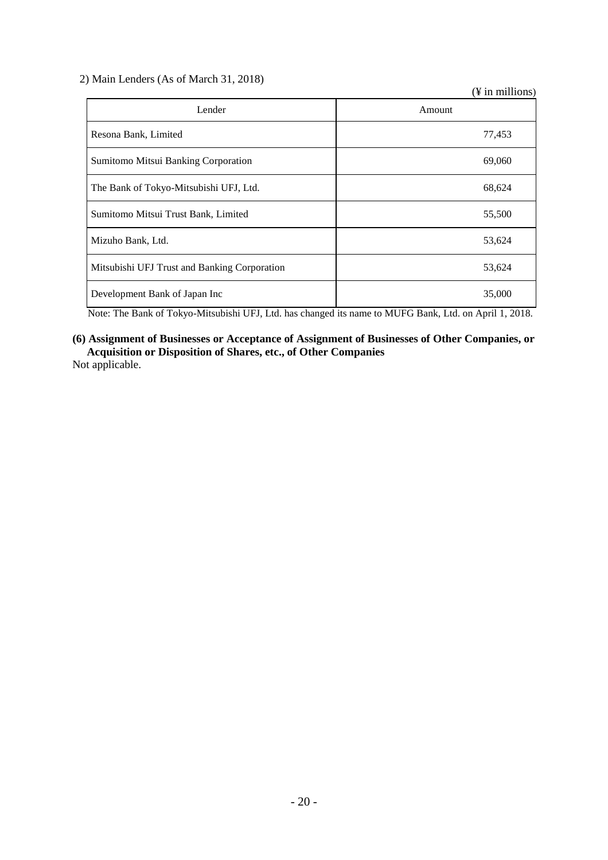2) Main Lenders (As of March 31, 2018)

(¥ in millions)

| Lender                                       | Amount |
|----------------------------------------------|--------|
| Resona Bank, Limited                         | 77,453 |
| Sumitomo Mitsui Banking Corporation          | 69,060 |
| The Bank of Tokyo-Mitsubishi UFJ, Ltd.       | 68,624 |
| Sumitomo Mitsui Trust Bank, Limited          | 55,500 |
| Mizuho Bank, Ltd.                            | 53,624 |
| Mitsubishi UFJ Trust and Banking Corporation | 53,624 |
| Development Bank of Japan Inc                | 35,000 |

Note: The Bank of Tokyo-Mitsubishi UFJ, Ltd. has changed its name to MUFG Bank, Ltd. on April 1, 2018.

# **(6) Assignment of Businesses or Acceptance of Assignment of Businesses of Other Companies, or Acquisition or Disposition of Shares, etc., of Other Companies**

Not applicable.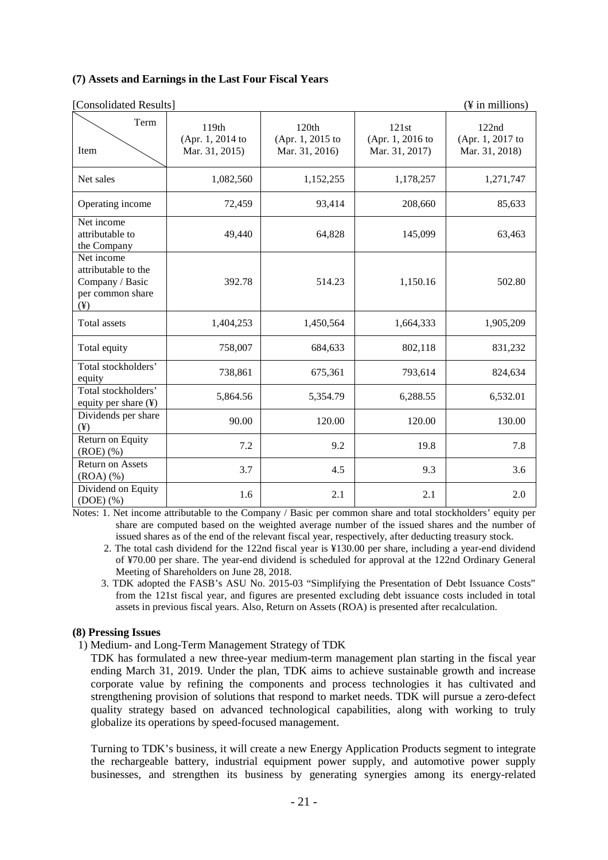#### **(7) Assets and Earnings in the Last Four Fiscal Years**

| Consolidated Results                                                                 |                                             |                                             |                                             | $(\frac{1}{2}$ in millions)                 |
|--------------------------------------------------------------------------------------|---------------------------------------------|---------------------------------------------|---------------------------------------------|---------------------------------------------|
| Term<br>Item                                                                         | 119th<br>(Apr. 1, 2014 to<br>Mar. 31, 2015) | 120th<br>(Apr. 1, 2015 to<br>Mar. 31, 2016) | 121st<br>(Apr. 1, 2016 to<br>Mar. 31, 2017) | 122nd<br>(Apr. 1, 2017 to<br>Mar. 31, 2018) |
| Net sales                                                                            | 1,082,560                                   | 1,152,255                                   | 1,178,257                                   | 1,271,747                                   |
| Operating income                                                                     | 72,459                                      | 93,414                                      | 208,660                                     | 85,633                                      |
| Net income<br>attributable to<br>the Company                                         | 49,440                                      | 64,828                                      | 145,099                                     | 63,463                                      |
| Net income<br>attributable to the<br>Company / Basic<br>per common share<br>$(\yen)$ | 392.78                                      | 514.23                                      | 1,150.16                                    | 502.80                                      |
| <b>Total assets</b>                                                                  | 1,404,253                                   | 1,450,564                                   | 1,664,333                                   | 1,905,209                                   |
| Total equity                                                                         | 758,007                                     | 684,633                                     | 802,118                                     | 831,232                                     |
| Total stockholders'<br>equity                                                        | 738,861                                     | 675,361                                     | 793,614                                     | 824,634                                     |
| Total stockholders'<br>equity per share (¥)                                          | 5,864.56                                    | 5,354.79                                    | 6,288.55                                    | 6,532.01                                    |
| Dividends per share<br>$(\yen)$                                                      | 90.00                                       | 120.00                                      | 120.00                                      | 130.00                                      |
| Return on Equity<br>$(ROE)$ $(\%)$                                                   | 7.2                                         | 9.2                                         | 19.8                                        | 7.8                                         |
| <b>Return on Assets</b><br>(ROA)(%                                                   | 3.7                                         | 4.5                                         | 9.3                                         | 3.6                                         |
| Dividend on Equity<br>$(DOE)$ $(\%)$                                                 | 1.6                                         | 2.1                                         | 2.1                                         | 2.0                                         |

Notes: 1. Net income attributable to the Company / Basic per common share and total stockholders' equity per share are computed based on the weighted average number of the issued shares and the number of issued shares as of the end of the relevant fiscal year, respectively, after deducting treasury stock.

2. The total cash dividend for the 122nd fiscal year is ¥130.00 per share, including a year-end dividend of ¥70.00 per share. The year-end dividend is scheduled for approval at the 122nd Ordinary General Meeting of Shareholders on June 28, 2018.

3. TDK adopted the FASB's ASU No. 2015-03 "Simplifying the Presentation of Debt Issuance Costs" from the 121st fiscal year, and figures are presented excluding debt issuance costs included in total assets in previous fiscal years. Also, Return on Assets (ROA) is presented after recalculation.

# **(8) Pressing Issues**

1) Medium- and Long-Term Management Strategy of TDK

TDK has formulated a new three-year medium-term management plan starting in the fiscal year ending March 31, 2019. Under the plan, TDK aims to achieve sustainable growth and increase corporate value by refining the components and process technologies it has cultivated and strengthening provision of solutions that respond to market needs. TDK will pursue a zero-defect quality strategy based on advanced technological capabilities, along with working to truly globalize its operations by speed-focused management.

Turning to TDK's business, it will create a new Energy Application Products segment to integrate the rechargeable battery, industrial equipment power supply, and automotive power supply businesses, and strengthen its business by generating synergies among its energy-related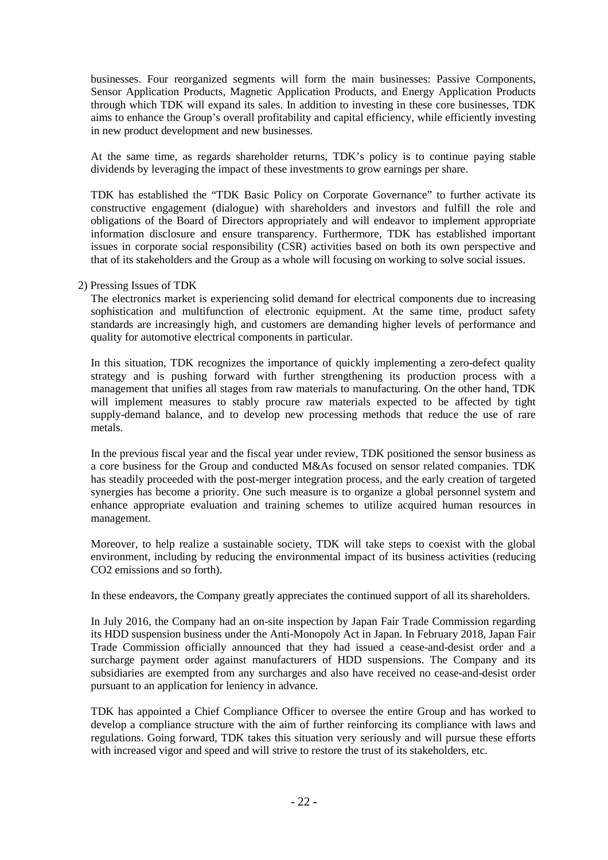businesses. Four reorganized segments will form the main businesses: Passive Components, Sensor Application Products, Magnetic Application Products, and Energy Application Products through which TDK will expand its sales. In addition to investing in these core businesses, TDK aims to enhance the Group's overall profitability and capital efficiency, while efficiently investing in new product development and new businesses.

At the same time, as regards shareholder returns, TDK's policy is to continue paying stable dividends by leveraging the impact of these investments to grow earnings per share.

TDK has established the "TDK Basic Policy on Corporate Governance" to further activate its constructive engagement (dialogue) with shareholders and investors and fulfill the role and obligations of the Board of Directors appropriately and will endeavor to implement appropriate information disclosure and ensure transparency. Furthermore, TDK has established important issues in corporate social responsibility (CSR) activities based on both its own perspective and that of its stakeholders and the Group as a whole will focusing on working to solve social issues.

#### 2) Pressing Issues of TDK

The electronics market is experiencing solid demand for electrical components due to increasing sophistication and multifunction of electronic equipment. At the same time, product safety standards are increasingly high, and customers are demanding higher levels of performance and quality for automotive electrical components in particular.

In this situation, TDK recognizes the importance of quickly implementing a zero-defect quality strategy and is pushing forward with further strengthening its production process with a management that unifies all stages from raw materials to manufacturing. On the other hand, TDK will implement measures to stably procure raw materials expected to be affected by tight supply-demand balance, and to develop new processing methods that reduce the use of rare metals.

In the previous fiscal year and the fiscal year under review, TDK positioned the sensor business as a core business for the Group and conducted M&As focused on sensor related companies. TDK has steadily proceeded with the post-merger integration process, and the early creation of targeted synergies has become a priority. One such measure is to organize a global personnel system and enhance appropriate evaluation and training schemes to utilize acquired human resources in management.

Moreover, to help realize a sustainable society, TDK will take steps to coexist with the global environment, including by reducing the environmental impact of its business activities (reducing CO2 emissions and so forth).

In these endeavors, the Company greatly appreciates the continued support of all its shareholders.

In July 2016, the Company had an on-site inspection by Japan Fair Trade Commission regarding its HDD suspension business under the Anti-Monopoly Act in Japan. In February 2018, Japan Fair Trade Commission officially announced that they had issued a cease-and-desist order and a surcharge payment order against manufacturers of HDD suspensions. The Company and its subsidiaries are exempted from any surcharges and also have received no cease-and-desist order pursuant to an application for leniency in advance.

TDK has appointed a Chief Compliance Officer to oversee the entire Group and has worked to develop a compliance structure with the aim of further reinforcing its compliance with laws and regulations. Going forward, TDK takes this situation very seriously and will pursue these efforts with increased vigor and speed and will strive to restore the trust of its stakeholders, etc.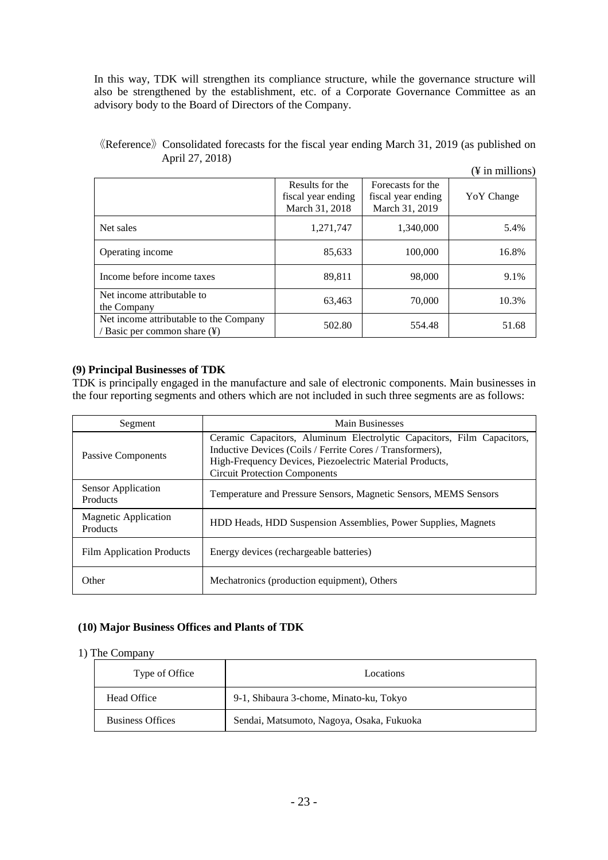In this way, TDK will strengthen its compliance structure, while the governance structure will also be strengthened by the establishment, etc. of a Corporate Governance Committee as an advisory body to the Board of Directors of the Company.

《Reference》Consolidated forecasts for the fiscal year ending March 31, 2019 (as published on April 27, 2018)

|                                                                        |                                                         |                                                           | $(\frac{1}{2}$ in millions) |
|------------------------------------------------------------------------|---------------------------------------------------------|-----------------------------------------------------------|-----------------------------|
|                                                                        | Results for the<br>fiscal year ending<br>March 31, 2018 | Forecasts for the<br>fiscal year ending<br>March 31, 2019 | YoY Change                  |
| Net sales                                                              | 1,271,747                                               | 1,340,000                                                 | 5.4%                        |
| Operating income                                                       | 85,633                                                  | 100,000                                                   | 16.8%                       |
| Income before income taxes                                             | 89,811                                                  | 98,000                                                    | 9.1%                        |
| Net income attributable to<br>the Company                              | 63,463                                                  | 70,000                                                    | 10.3%                       |
| Net income attributable to the Company<br>/ Basic per common share (¥) | 502.80                                                  | 554.48                                                    | 51.68                       |

# **(9) Principal Businesses of TDK**

TDK is principally engaged in the manufacture and sale of electronic components. Main businesses in the four reporting segments and others which are not included in such three segments are as follows:

| Segment                                 | <b>Main Businesses</b>                                                                                                                                                                                                                  |
|-----------------------------------------|-----------------------------------------------------------------------------------------------------------------------------------------------------------------------------------------------------------------------------------------|
| Passive Components                      | Ceramic Capacitors, Aluminum Electrolytic Capacitors, Film Capacitors,<br>Inductive Devices (Coils / Ferrite Cores / Transformers),<br>High-Frequency Devices, Piezoelectric Material Products,<br><b>Circuit Protection Components</b> |
| Sensor Application<br>Products          | Temperature and Pressure Sensors, Magnetic Sensors, MEMS Sensors                                                                                                                                                                        |
| <b>Magnetic Application</b><br>Products | HDD Heads, HDD Suspension Assemblies, Power Supplies, Magnets                                                                                                                                                                           |
| <b>Film Application Products</b>        | Energy devices (rechargeable batteries)                                                                                                                                                                                                 |
| Other                                   | Mechatronics (production equipment), Others                                                                                                                                                                                             |

#### **(10) Major Business Offices and Plants of TDK**

#### 1) The Company

| Type of Office          | Locations                                 |
|-------------------------|-------------------------------------------|
| Head Office             | 9-1, Shibaura 3-chome, Minato-ku, Tokyo   |
| <b>Business Offices</b> | Sendai, Matsumoto, Nagoya, Osaka, Fukuoka |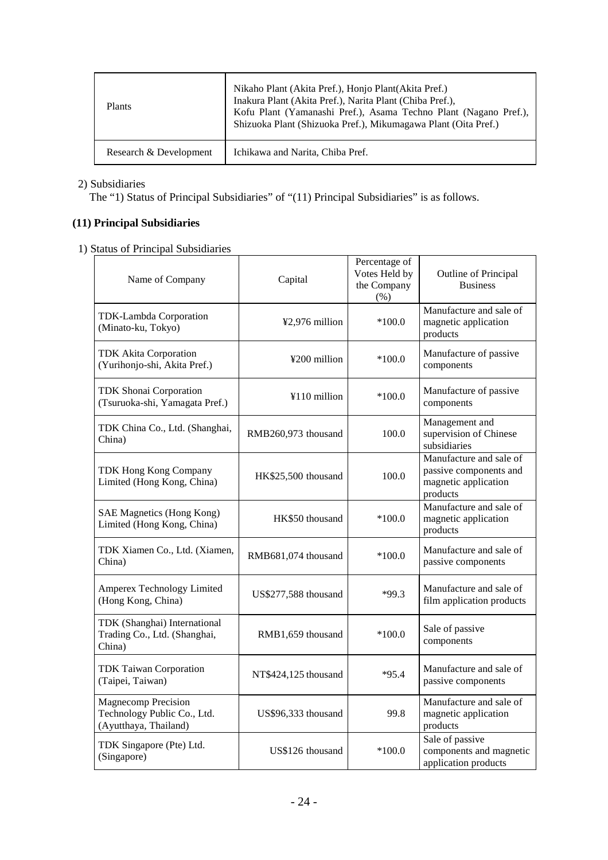| <b>Plants</b>          | Nikaho Plant (Akita Pref.), Honjo Plant (Akita Pref.)<br>Inakura Plant (Akita Pref.), Narita Plant (Chiba Pref.),<br>Kofu Plant (Yamanashi Pref.), Asama Techno Plant (Nagano Pref.),<br>Shizuoka Plant (Shizuoka Pref.), Mikumagawa Plant (Oita Pref.) |
|------------------------|---------------------------------------------------------------------------------------------------------------------------------------------------------------------------------------------------------------------------------------------------------|
| Research & Development | Ichikawa and Narita, Chiba Pref.                                                                                                                                                                                                                        |

### 2) Subsidiaries

The "1) Status of Principal Subsidiaries" of "(11) Principal Subsidiaries" is as follows.

# **(11) Principal Subsidiaries**

1) Status of Principal Subsidiaries

| Name of Company                                                                    | Capital              | Percentage of<br>Votes Held by<br>the Company<br>$(\% )$ | Outline of Principal<br><b>Business</b>                                               |
|------------------------------------------------------------------------------------|----------------------|----------------------------------------------------------|---------------------------------------------------------------------------------------|
| TDK-Lambda Corporation<br>(Minato-ku, Tokyo)                                       | ¥2,976 million       | $*100.0$                                                 | Manufacture and sale of<br>magnetic application<br>products                           |
| <b>TDK Akita Corporation</b><br>(Yurihonjo-shi, Akita Pref.)                       | ¥200 million         | $*100.0$                                                 | Manufacture of passive<br>components                                                  |
| <b>TDK Shonai Corporation</b><br>(Tsuruoka-shi, Yamagata Pref.)                    | ¥110 million         | $*100.0$                                                 | Manufacture of passive<br>components                                                  |
| TDK China Co., Ltd. (Shanghai,<br>China)                                           | RMB260,973 thousand  | 100.0                                                    | Management and<br>supervision of Chinese<br>subsidiaries                              |
| TDK Hong Kong Company<br>Limited (Hong Kong, China)                                | HK\$25,500 thousand  | 100.0                                                    | Manufacture and sale of<br>passive components and<br>magnetic application<br>products |
| <b>SAE Magnetics (Hong Kong)</b><br>Limited (Hong Kong, China)                     | HK\$50 thousand      | $*100.0$                                                 | Manufacture and sale of<br>magnetic application<br>products                           |
| TDK Xiamen Co., Ltd. (Xiamen,<br>China)                                            | RMB681,074 thousand  | $*100.0$                                                 | Manufacture and sale of<br>passive components                                         |
| <b>Amperex Technology Limited</b><br>(Hong Kong, China)                            | US\$277,588 thousand | $*99.3$                                                  | Manufacture and sale of<br>film application products                                  |
| TDK (Shanghai) International<br>Trading Co., Ltd. (Shanghai,<br>China)             | RMB1,659 thousand    | $*100.0$                                                 | Sale of passive<br>components                                                         |
| <b>TDK Taiwan Corporation</b><br>(Taipei, Taiwan)                                  | NT\$424,125 thousand | $*95.4$                                                  | Manufacture and sale of<br>passive components                                         |
| <b>Magnecomp Precision</b><br>Technology Public Co., Ltd.<br>(Ayutthaya, Thailand) | US\$96,333 thousand  | 99.8                                                     | Manufacture and sale of<br>magnetic application<br>products                           |
| TDK Singapore (Pte) Ltd.<br>(Singapore)                                            | US\$126 thousand     | $*100.0$                                                 | Sale of passive<br>components and magnetic<br>application products                    |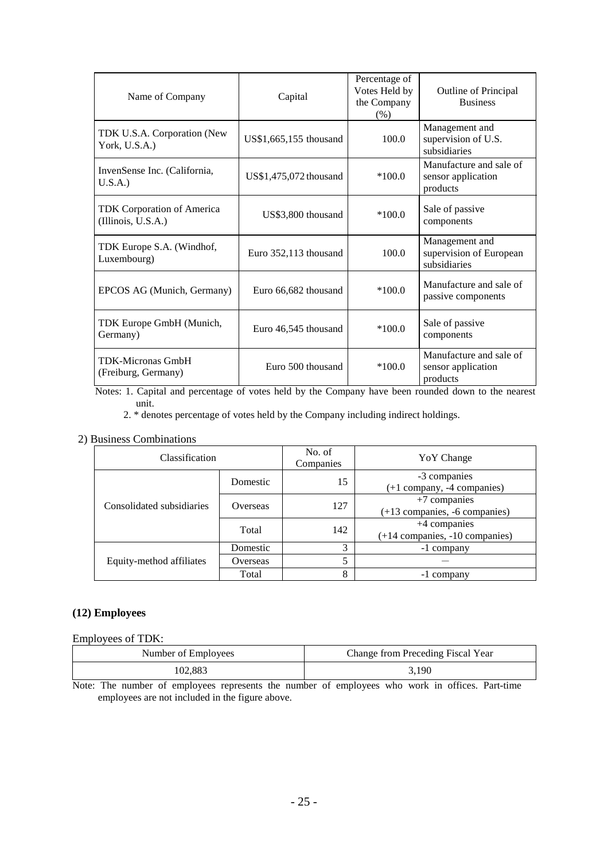| Name of Company                                  | Capital                 | Percentage of<br>Votes Held by<br>the Company<br>(% ) | Outline of Principal<br><b>Business</b>                   |
|--------------------------------------------------|-------------------------|-------------------------------------------------------|-----------------------------------------------------------|
| TDK U.S.A. Corporation (New<br>York, U.S.A.)     | US\$1,665,155 thousand  | 100.0                                                 | Management and<br>supervision of U.S.<br>subsidiaries     |
| InvenSense Inc. (California,<br>U.S.A.           | US\$1,475,072 thousand  | $*100.0$                                              | Manufacture and sale of<br>sensor application<br>products |
| TDK Corporation of America<br>(Illinois, U.S.A.) | US\$3,800 thousand      | $*100.0$                                              | Sale of passive<br>components                             |
| TDK Europe S.A. (Windhof,<br>Luxembourg)         | Euro $352,113$ thousand | 100.0                                                 | Management and<br>supervision of European<br>subsidiaries |
| EPCOS AG (Munich, Germany)                       | Euro 66,682 thousand    | $*100.0$                                              | Manufacture and sale of<br>passive components             |
| TDK Europe GmbH (Munich,<br>Germany)             | Euro 46,545 thousand    | $*100.0$                                              | Sale of passive<br>components                             |
| <b>TDK-Micronas GmbH</b><br>(Freiburg, Germany)  | Euro 500 thousand       | $*100.0$                                              | Manufacture and sale of<br>sensor application<br>products |

Notes: 1. Capital and percentage of votes held by the Company have been rounded down to the nearest unit.

2. \* denotes percentage of votes held by the Company including indirect holdings.

# 2) Business Combinations

| Classification            |          | No. of<br>Companies | Yo Y Change                                          |
|---------------------------|----------|---------------------|------------------------------------------------------|
|                           | Domestic | 15                  | -3 companies<br>$(+1$ company, -4 companies)         |
| Consolidated subsidiaries | Overseas | 127                 | $+7$ companies<br>$(+13$ companies, $-6$ companies)  |
|                           | Total    | 142                 | $+4$ companies<br>$(+14$ companies, $-10$ companies) |
|                           | Domestic | 3                   | -1 company                                           |
| Equity-method affiliates  | Overseas | 5                   |                                                      |
|                           | Total    | 8                   | -1 company                                           |

# **(12) Employees**

# Employees of TDK:

| Number of Employees | Change from Preceding Fiscal Year |
|---------------------|-----------------------------------|
| 102.883             | 3.190                             |

Note: The number of employees represents the number of employees who work in offices. Part-time employees are not included in the figure above.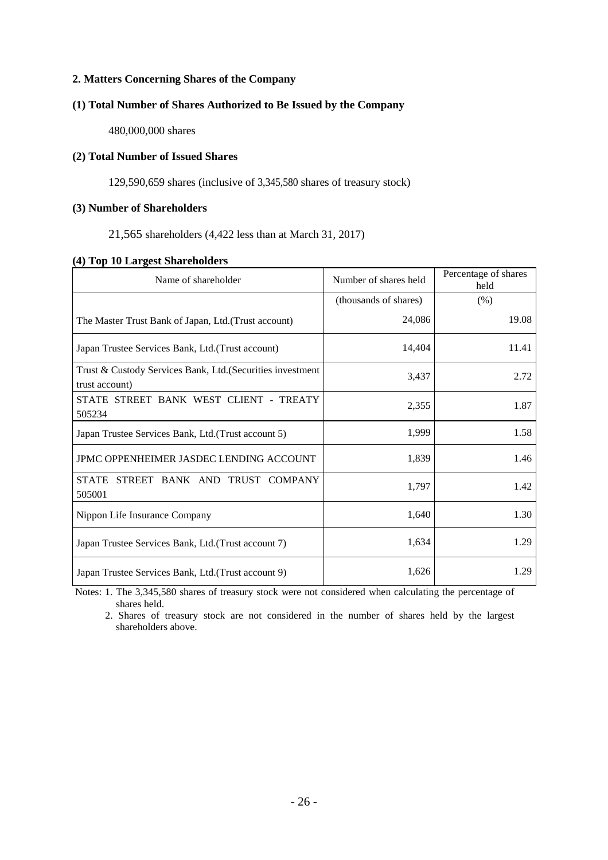# **2. Matters Concerning Shares of the Company**

# **(1) Total Number of Shares Authorized to Be Issued by the Company**

480,000,000 shares

# **(2) Total Number of Issued Shares**

129,590,659 shares (inclusive of 3,345,580 shares of treasury stock)

# **(3) Number of Shareholders**

21,565 shareholders (4,422 less than at March 31, 2017)

#### **(4) Top 10 Largest Shareholders**

| Name of shareholder                                                          | Number of shares held | Percentage of shares<br>held |
|------------------------------------------------------------------------------|-----------------------|------------------------------|
|                                                                              | (thousands of shares) | (% )                         |
| The Master Trust Bank of Japan, Ltd. (Trust account)                         | 24,086                | 19.08                        |
| Japan Trustee Services Bank, Ltd. (Trust account)                            | 14,404                | 11.41                        |
| Trust & Custody Services Bank, Ltd. (Securities investment<br>trust account) | 3,437                 | 2.72                         |
| STATE STREET BANK WEST CLIENT - TREATY<br>505234                             | 2,355                 | 1.87                         |
| Japan Trustee Services Bank, Ltd. (Trust account 5)                          | 1,999                 | 1.58                         |
| JPMC OPPENHEIMER JASDEC LENDING ACCOUNT                                      | 1,839                 | 1.46                         |
| <b>STATE</b><br>STREET BANK AND<br>TRUST COMPANY<br>505001                   | 1,797                 | 1.42                         |
| Nippon Life Insurance Company                                                | 1,640                 | 1.30                         |
| Japan Trustee Services Bank, Ltd. (Trust account 7)                          | 1,634                 | 1.29                         |
| Japan Trustee Services Bank, Ltd. (Trust account 9)                          | 1,626                 | 1.29                         |

Notes: 1. The 3,345,580 shares of treasury stock were not considered when calculating the percentage of shares held.

2. Shares of treasury stock are not considered in the number of shares held by the largest shareholders above.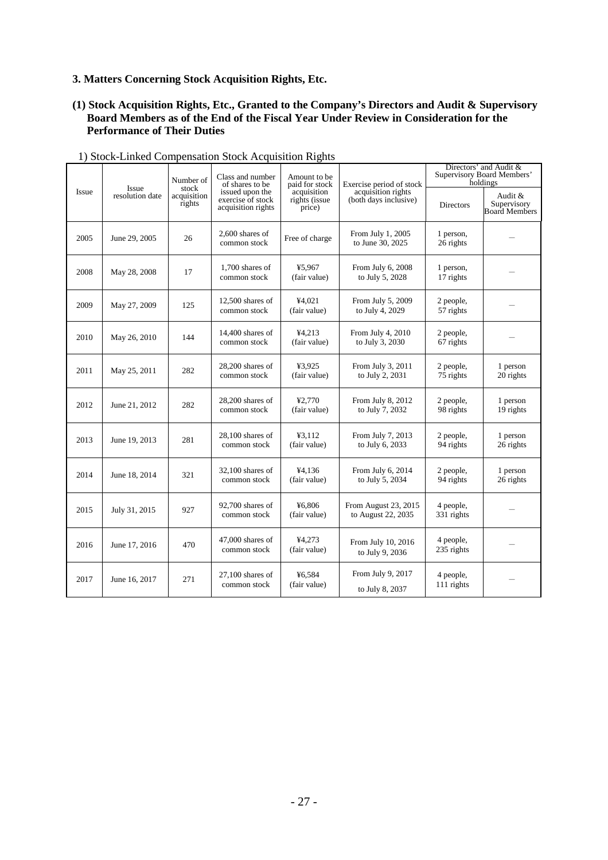# **3. Matters Concerning Stock Acquisition Rights, Etc.**

# **(1) Stock Acquisition Rights, Etc., Granted to the Company's Directors and Audit & Supervisory Board Members as of the End of the Fiscal Year Under Review in Consideration for the Performance of Their Duties**

|       | Issue           | Number of<br>stock    | Class and number<br>of shares to be                        | Amount to be<br>paid for stock         | Exercise period of stock                    | Directors' and Audit &<br><b>Supervisory Board Members'</b><br>holdings |                                         |
|-------|-----------------|-----------------------|------------------------------------------------------------|----------------------------------------|---------------------------------------------|-------------------------------------------------------------------------|-----------------------------------------|
| Issue | resolution date | acquisition<br>rights | issued upon the<br>exercise of stock<br>acquisition rights | acquisition<br>rights (issue<br>price) | acquisition rights<br>(both days inclusive) | <b>Directors</b>                                                        | Audit &<br>Supervisory<br>Board Members |
| 2005  | June 29, 2005   | 26                    | 2,600 shares of<br>common stock                            | Free of charge                         | From July 1, 2005<br>to June 30, 2025       | 1 person,<br>26 rights                                                  |                                         |
| 2008  | May 28, 2008    | 17                    | 1,700 shares of<br>common stock                            | ¥5,967<br>(fair value)                 | From July 6, 2008<br>to July 5, 2028        | 1 person,<br>17 rights                                                  |                                         |
| 2009  | May 27, 2009    | 125                   | $12,500$ shares of<br>common stock                         | ¥4,021<br>(fair value)                 | From July 5, 2009<br>to July 4, 2029        | 2 people,<br>57 rights                                                  |                                         |
| 2010  | May 26, 2010    | 144                   | 14,400 shares of<br>common stock                           | ¥4,213<br>(fair value)                 | From July 4, 2010<br>to July 3, 2030        | 2 people,<br>67 rights                                                  |                                         |
| 2011  | May 25, 2011    | 282                   | 28,200 shares of<br>common stock                           | ¥3,925<br>(fair value)                 | From July 3, 2011<br>to July 2, 2031        | 2 people,<br>75 rights                                                  | 1 person<br>20 rights                   |
| 2012  | June 21, 2012   | 282                   | $28.200$ shares of<br>common stock                         | ¥2.770<br>(fair value)                 | From July 8, 2012<br>to July 7, 2032        | 2 people,<br>98 rights                                                  | 1 person<br>19 rights                   |
| 2013  | June 19, 2013   | 281                   | $28,100$ shares of<br>common stock                         | ¥3,112<br>(fair value)                 | From July 7, 2013<br>to July 6, 2033        | 2 people,<br>94 rights                                                  | 1 person<br>26 rights                   |
| 2014  | June 18, 2014   | 321                   | $32,100$ shares of<br>common stock                         | ¥4,136<br>(fair value)                 | From July 6, 2014<br>to July 5, 2034        | 2 people,<br>94 rights                                                  | 1 person<br>26 rights                   |
| 2015  | July 31, 2015   | 927                   | $92,700$ shares of<br>common stock                         | ¥6.806<br>(fair value)                 | From August 23, 2015<br>to August 22, 2035  | 4 people,<br>331 rights                                                 |                                         |
| 2016  | June 17, 2016   | 470                   | $47,000$ shares of<br>common stock                         | ¥4,273<br>(fair value)                 | From July 10, 2016<br>to July 9, 2036       | 4 people,<br>235 rights                                                 |                                         |
| 2017  | June 16, 2017   | 271                   | $27.100$ shares of<br>common stock                         | ¥6.584<br>(fair value)                 | From July 9, 2017<br>to July 8, 2037        | 4 people,<br>111 rights                                                 |                                         |

# 1) Stock-Linked Compensation Stock Acquisition Rights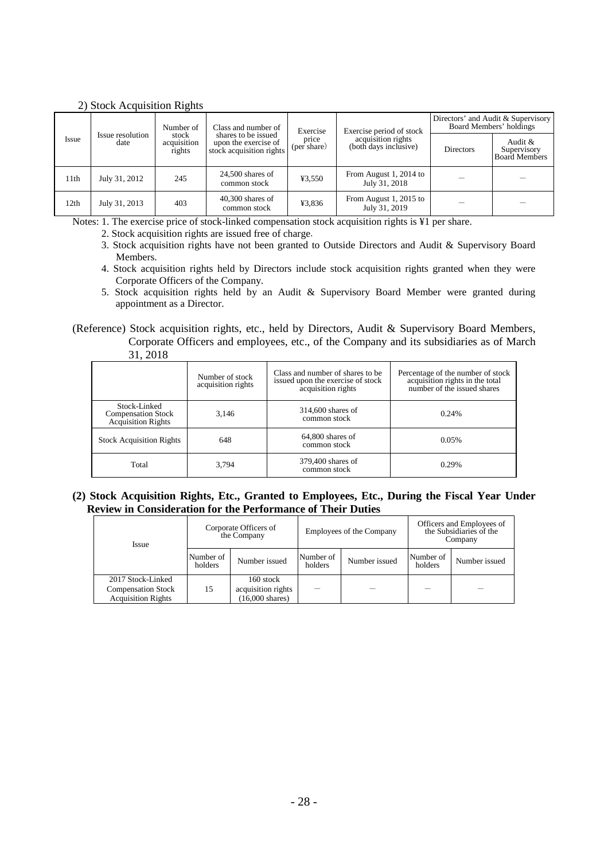|                  |                          | Number of                      | Class and number of                                                     | Exercise             | Exercise period of stock                    | Directors' and Audit & Supervisory<br>Board Members' holdings |                                         |
|------------------|--------------------------|--------------------------------|-------------------------------------------------------------------------|----------------------|---------------------------------------------|---------------------------------------------------------------|-----------------------------------------|
| Issue            | Issue resolution<br>date | stock<br>acquisition<br>rights | shares to be issued<br>upon the exercise of<br>stock acquisition rights | price<br>(per share) | acquisition rights<br>(both days inclusive) | <b>Directors</b>                                              | Audit &<br>Supervisory<br>Board Members |
| 11th             | July 31, 2012            | 245                            | $24,500$ shares of<br>common stock                                      | ¥3,550               | From August 1, 2014 to<br>July 31, 2018     |                                                               |                                         |
| 12 <sub>th</sub> | July 31, 2013            | 403                            | $40,300$ shares of<br>common stock                                      | ¥3,836               | From August 1, 2015 to<br>July 31, 2019     |                                                               |                                         |

Notes: 1. The exercise price of stock-linked compensation stock acquisition rights is ¥1 per share.

2. Stock acquisition rights are issued free of charge.

- 3. Stock acquisition rights have not been granted to Outside Directors and Audit & Supervisory Board Members.
- 4. Stock acquisition rights held by Directors include stock acquisition rights granted when they were Corporate Officers of the Company.
- 5. Stock acquisition rights held by an Audit & Supervisory Board Member were granted during appointment as a Director.

(Reference) Stock acquisition rights, etc., held by Directors, Audit & Supervisory Board Members, Corporate Officers and employees, etc., of the Company and its subsidiaries as of March 31, 2018

|                                                                 | Number of stock<br>acquisition rights | Class and number of shares to be.<br>issued upon the exercise of stock<br>acquisition rights | Percentage of the number of stock<br>acquisition rights in the total<br>number of the issued shares |
|-----------------------------------------------------------------|---------------------------------------|----------------------------------------------------------------------------------------------|-----------------------------------------------------------------------------------------------------|
| Stock-Linked<br><b>Compensation Stock</b><br>Acquisition Rights | 3.146                                 | 314,600 shares of<br>common stock                                                            | 0.24%                                                                                               |
| <b>Stock Acquisition Rights</b>                                 | 648                                   | $64,800$ shares of<br>common stock                                                           | 0.05%                                                                                               |
| Total                                                           | 3.794                                 | 379,400 shares of<br>common stock                                                            | 0.29%                                                                                               |

#### **(2) Stock Acquisition Rights, Etc., Granted to Employees, Etc., During the Fiscal Year Under Review in Consideration for the Performance of Their Duties**

| <b>Issue</b>                                                                |                      | Corporate Officers of<br>the Company                         | Employees of the Company |               | Officers and Employees of<br>the Subsidiaries of the<br>Company |               |
|-----------------------------------------------------------------------------|----------------------|--------------------------------------------------------------|--------------------------|---------------|-----------------------------------------------------------------|---------------|
|                                                                             | Number of<br>holders | Number issued                                                | Number of<br>holders     | Number issued | Number of<br>holders                                            | Number issued |
| 2017 Stock-Linked<br><b>Compensation Stock</b><br><b>Acquisition Rights</b> | 15                   | 160 stock<br>acquisition rights<br>$(16,000 \text{ shares})$ |                          |               |                                                                 |               |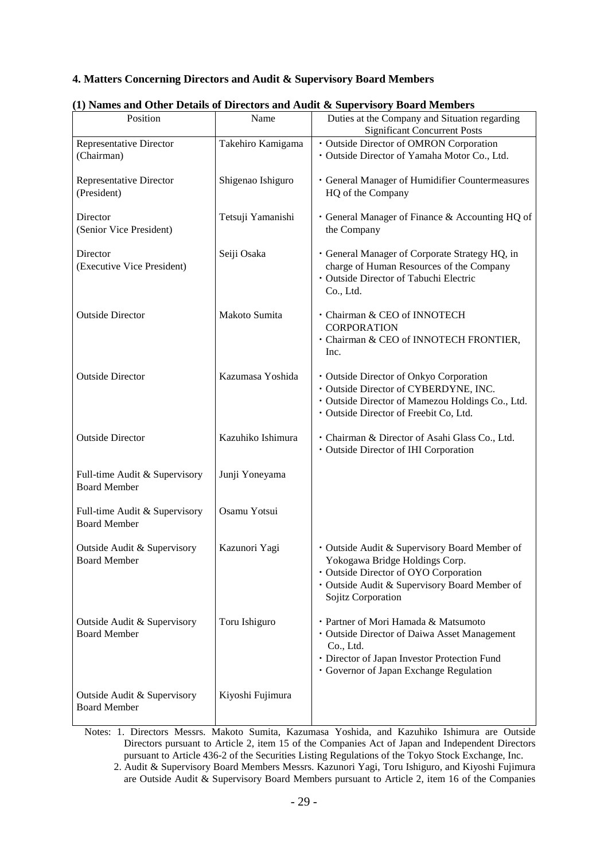# **4. Matters Concerning Directors and Audit & Supervisory Board Members**

| Position                                             | Name              | (1) Names and Other Details of Directors and Audit & Supervisory Board Members<br>Duties at the Company and Situation regarding                                                                 |
|------------------------------------------------------|-------------------|-------------------------------------------------------------------------------------------------------------------------------------------------------------------------------------------------|
|                                                      |                   | <b>Significant Concurrent Posts</b>                                                                                                                                                             |
| <b>Representative Director</b><br>(Chairman)         | Takehiro Kamigama | · Outside Director of OMRON Corporation<br>· Outside Director of Yamaha Motor Co., Ltd.                                                                                                         |
| <b>Representative Director</b><br>(President)        | Shigenao Ishiguro | · General Manager of Humidifier Countermeasures<br>HQ of the Company                                                                                                                            |
| Director<br>(Senior Vice President)                  | Tetsuji Yamanishi | • General Manager of Finance & Accounting HQ of<br>the Company                                                                                                                                  |
| Director<br>(Executive Vice President)               | Seiji Osaka       | · General Manager of Corporate Strategy HQ, in<br>charge of Human Resources of the Company<br>· Outside Director of Tabuchi Electric<br>Co., Ltd.                                               |
| <b>Outside Director</b>                              | Makoto Sumita     | · Chairman & CEO of INNOTECH<br><b>CORPORATION</b><br>· Chairman & CEO of INNOTECH FRONTIER,<br>Inc.                                                                                            |
| <b>Outside Director</b>                              | Kazumasa Yoshida  | · Outside Director of Onkyo Corporation<br>· Outside Director of CYBERDYNE, INC.<br>· Outside Director of Mamezou Holdings Co., Ltd.<br>· Outside Director of Freebit Co, Ltd.                  |
| <b>Outside Director</b>                              | Kazuhiko Ishimura | · Chairman & Director of Asahi Glass Co., Ltd.<br>· Outside Director of IHI Corporation                                                                                                         |
| Full-time Audit & Supervisory<br><b>Board Member</b> | Junji Yoneyama    |                                                                                                                                                                                                 |
| Full-time Audit & Supervisory<br><b>Board Member</b> | Osamu Yotsui      |                                                                                                                                                                                                 |
| Outside Audit & Supervisory<br>Board Member          | Kazunori Yagi     | · Outside Audit & Supervisory Board Member of<br>Yokogawa Bridge Holdings Corp.<br>· Outside Director of OYO Corporation<br>· Outside Audit & Supervisory Board Member of<br>Sojitz Corporation |
| Outside Audit & Supervisory<br><b>Board Member</b>   | Toru Ishiguro     | · Partner of Mori Hamada & Matsumoto<br>· Outside Director of Daiwa Asset Management<br>Co., Ltd.<br>· Director of Japan Investor Protection Fund<br>· Governor of Japan Exchange Regulation    |
| Outside Audit & Supervisory<br><b>Board Member</b>   | Kiyoshi Fujimura  |                                                                                                                                                                                                 |

# **(1) Names and Other Details of Directors and Audit & Supervisory Board Members**

Notes: 1. Directors Messrs. Makoto Sumita, Kazumasa Yoshida, and Kazuhiko Ishimura are Outside Directors pursuant to Article 2, item 15 of the Companies Act of Japan and Independent Directors pursuant to Article 436-2 of the Securities Listing Regulations of the Tokyo Stock Exchange, Inc.

2. Audit & Supervisory Board Members Messrs. Kazunori Yagi, Toru Ishiguro, and Kiyoshi Fujimura are Outside Audit & Supervisory Board Members pursuant to Article 2, item 16 of the Companies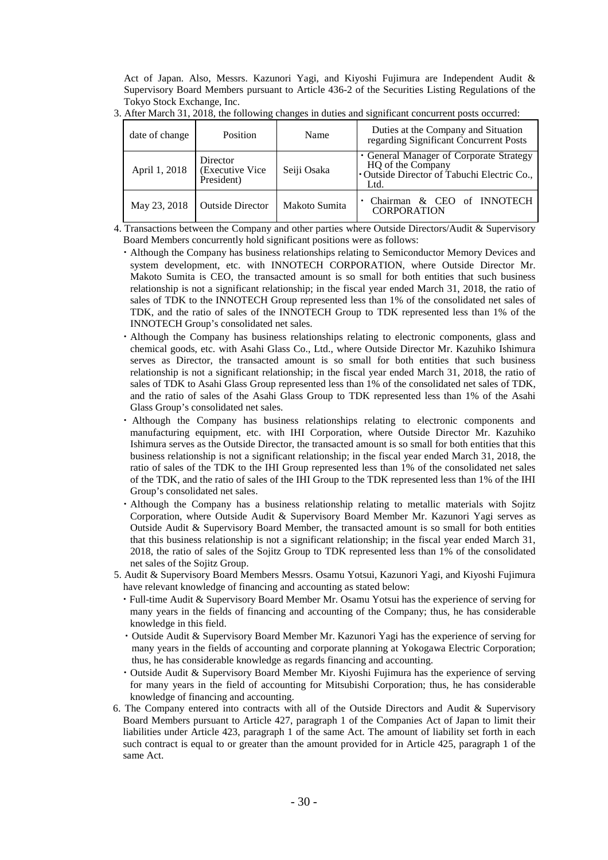Act of Japan. Also, Messrs. Kazunori Yagi, and Kiyoshi Fujimura are Independent Audit & Supervisory Board Members pursuant to Article 436-2 of the Securities Listing Regulations of the Tokyo Stock Exchange, Inc.

| date of change | <b>Position</b>                           | Name          | Duties at the Company and Situation<br>regarding Significant Concurrent Posts                                       |
|----------------|-------------------------------------------|---------------|---------------------------------------------------------------------------------------------------------------------|
| April 1, 2018  | Director<br>(Executive Vice<br>President) | Seiji Osaka   | · General Manager of Corporate Strategy<br>HQ of the Company<br>• Outside Director of Tabuchi Electric Co.,<br>Ltd. |
| May 23, 2018   | <b>Outside Director</b>                   | Makoto Sumita | & CEO of INNOTECH<br>Chairman<br><b>CORPORATION</b>                                                                 |

3. After March 31, 2018, the following changes in duties and significant concurrent posts occurred:

4. Transactions between the Company and other parties where Outside Directors/Audit & Supervisory Board Members concurrently hold significant positions were as follows:

- ・Although the Company has business relationships relating to Semiconductor Memory Devices and system development, etc. with INNOTECH CORPORATION, where Outside Director Mr. Makoto Sumita is CEO, the transacted amount is so small for both entities that such business relationship is not a significant relationship; in the fiscal year ended March 31, 2018, the ratio of sales of TDK to the INNOTECH Group represented less than 1% of the consolidated net sales of TDK, and the ratio of sales of the INNOTECH Group to TDK represented less than 1% of the INNOTECH Group's consolidated net sales.
- ・Although the Company has business relationships relating to electronic components, glass and chemical goods, etc. with Asahi Glass Co., Ltd., where Outside Director Mr. Kazuhiko Ishimura serves as Director, the transacted amount is so small for both entities that such business relationship is not a significant relationship; in the fiscal year ended March 31, 2018, the ratio of sales of TDK to Asahi Glass Group represented less than 1% of the consolidated net sales of TDK, and the ratio of sales of the Asahi Glass Group to TDK represented less than 1% of the Asahi Glass Group's consolidated net sales.
- ・ Although the Company has business relationships relating to electronic components and manufacturing equipment, etc. with IHI Corporation, where Outside Director Mr. Kazuhiko Ishimura serves as the Outside Director, the transacted amount is so small for both entities that this business relationship is not a significant relationship; in the fiscal year ended March 31, 2018, the ratio of sales of the TDK to the IHI Group represented less than 1% of the consolidated net sales of the TDK, and the ratio of sales of the IHI Group to the TDK represented less than 1% of the IHI Group's consolidated net sales.
- ・Although the Company has a business relationship relating to metallic materials with Sojitz Corporation, where Outside Audit & Supervisory Board Member Mr. Kazunori Yagi serves as Outside Audit & Supervisory Board Member, the transacted amount is so small for both entities that this business relationship is not a significant relationship; in the fiscal year ended March 31, 2018, the ratio of sales of the Sojitz Group to TDK represented less than 1% of the consolidated net sales of the Sojitz Group.
- 5. Audit & Supervisory Board Members Messrs. Osamu Yotsui, Kazunori Yagi, and Kiyoshi Fujimura have relevant knowledge of financing and accounting as stated below:
	- ・Full-time Audit & Supervisory Board Member Mr. Osamu Yotsui has the experience of serving for many years in the fields of financing and accounting of the Company; thus, he has considerable knowledge in this field.
	- ・Outside Audit & Supervisory Board Member Mr. Kazunori Yagi has the experience of serving for many years in the fields of accounting and corporate planning at Yokogawa Electric Corporation; thus, he has considerable knowledge as regards financing and accounting.
	- ・Outside Audit & Supervisory Board Member Mr. Kiyoshi Fujimura has the experience of serving for many years in the field of accounting for Mitsubishi Corporation; thus, he has considerable knowledge of financing and accounting.
- 6. The Company entered into contracts with all of the Outside Directors and Audit & Supervisory Board Members pursuant to Article 427, paragraph 1 of the Companies Act of Japan to limit their liabilities under Article 423, paragraph 1 of the same Act. The amount of liability set forth in each such contract is equal to or greater than the amount provided for in Article 425, paragraph 1 of the same Act.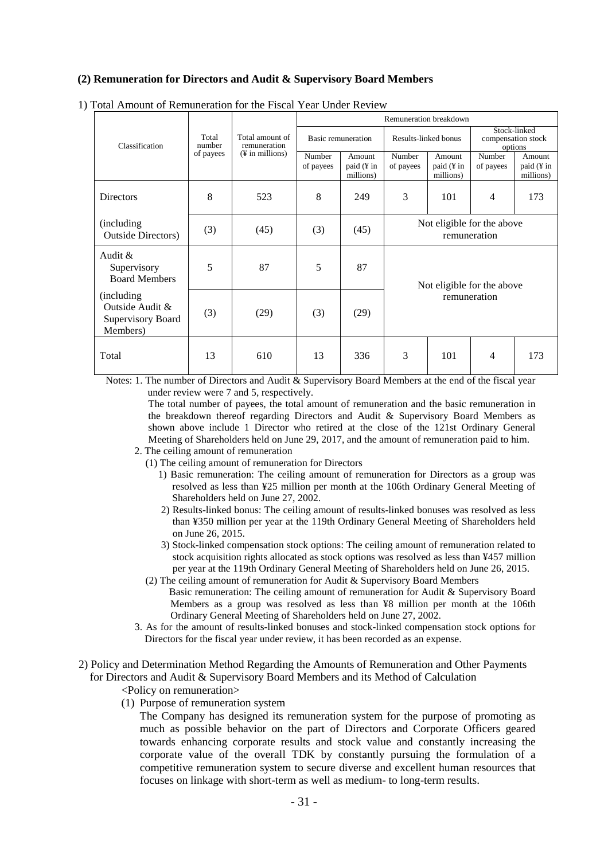# **(2) Remuneration for Directors and Audit & Supervisory Board Members**

|                                                                 |                              | Total amount of<br>remuneration<br>$(\frac{1}{2}$ in millions) | Remuneration breakdown |                                   |                                            |                                   |                                               |                                   |
|-----------------------------------------------------------------|------------------------------|----------------------------------------------------------------|------------------------|-----------------------------------|--------------------------------------------|-----------------------------------|-----------------------------------------------|-----------------------------------|
| Classification                                                  | Total<br>number<br>of payees |                                                                | Basic remuneration     |                                   | Results-linked bonus                       |                                   | Stock-linked<br>compensation stock<br>options |                                   |
|                                                                 |                              |                                                                | Number<br>of payees    | Amount<br>paid (¥ in<br>millions) | Number<br>of payees                        | Amount<br>paid (¥ in<br>millions) | Number<br>of payees                           | Amount<br>paid (¥ in<br>millions) |
| <b>Directors</b>                                                | 8                            | 523                                                            | 8                      | 249                               | 3                                          | 101                               | 4                                             | 173                               |
| (including)<br><b>Outside Directors</b> )                       | (3)                          | (45)                                                           | (3)                    | (45)                              | Not eligible for the above<br>remuneration |                                   |                                               |                                   |
| Audit $&$<br>Supervisory<br><b>Board Members</b>                | 5                            | 87                                                             | 5                      | 87                                | Not eligible for the above<br>remuneration |                                   |                                               |                                   |
| (including)<br>Outside Audit &<br>Supervisory Board<br>Members) | (3)                          | (29)                                                           | (3)                    | (29)                              |                                            |                                   |                                               |                                   |
| Total                                                           | 13                           | 610                                                            | 13                     | 336                               | 3                                          | 101                               | 4                                             | 173                               |

#### 1) Total Amount of Remuneration for the Fiscal Year Under Review

Notes: 1. The number of Directors and Audit & Supervisory Board Members at the end of the fiscal year under review were 7 and 5, respectively.

The total number of payees, the total amount of remuneration and the basic remuneration in the breakdown thereof regarding Directors and Audit & Supervisory Board Members as shown above include 1 Director who retired at the close of the 121st Ordinary General Meeting of Shareholders held on June 29, 2017, and the amount of remuneration paid to him.

- 2. The ceiling amount of remuneration
	- (1) The ceiling amount of remuneration for Directors
		- 1) Basic remuneration: The ceiling amount of remuneration for Directors as a group was resolved as less than ¥25 million per month at the 106th Ordinary General Meeting of Shareholders held on June 27, 2002.
		- 2) Results-linked bonus: The ceiling amount of results-linked bonuses was resolved as less than ¥350 million per year at the 119th Ordinary General Meeting of Shareholders held on June 26, 2015.
		- 3) Stock-linked compensation stock options: The ceiling amount of remuneration related to stock acquisition rights allocated as stock options was resolved as less than ¥457 million per year at the 119th Ordinary General Meeting of Shareholders held on June 26, 2015.
	- (2) The ceiling amount of remuneration for Audit & Supervisory Board Members Basic remuneration: The ceiling amount of remuneration for Audit & Supervisory Board Members as a group was resolved as less than ¥8 million per month at the 106th Ordinary General Meeting of Shareholders held on June 27, 2002.
- 3. As for the amount of results-linked bonuses and stock-linked compensation stock options for Directors for the fiscal year under review, it has been recorded as an expense.
- 2) Policy and Determination Method Regarding the Amounts of Remuneration and Other Payments for Directors and Audit & Supervisory Board Members and its Method of Calculation
	- <Policy on remuneration>
	- (1) Purpose of remuneration system

The Company has designed its remuneration system for the purpose of promoting as much as possible behavior on the part of Directors and Corporate Officers geared towards enhancing corporate results and stock value and constantly increasing the corporate value of the overall TDK by constantly pursuing the formulation of a competitive remuneration system to secure diverse and excellent human resources that focuses on linkage with short-term as well as medium- to long-term results.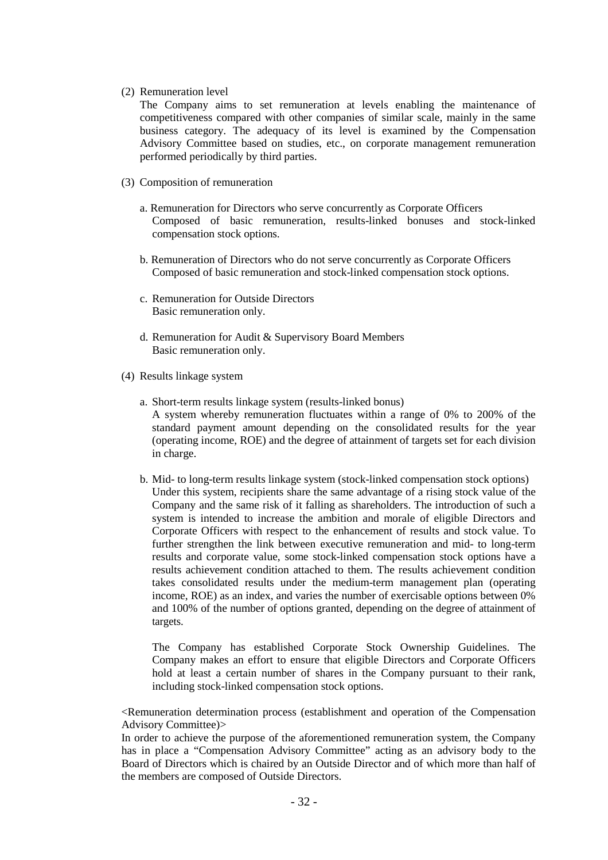#### (2) Remuneration level

The Company aims to set remuneration at levels enabling the maintenance of competitiveness compared with other companies of similar scale, mainly in the same business category. The adequacy of its level is examined by the Compensation Advisory Committee based on studies, etc., on corporate management remuneration performed periodically by third parties.

- (3) Composition of remuneration
	- a. Remuneration for Directors who serve concurrently as Corporate Officers Composed of basic remuneration, results-linked bonuses and stock-linked compensation stock options.
	- b. Remuneration of Directors who do not serve concurrently as Corporate Officers Composed of basic remuneration and stock-linked compensation stock options.
	- c. Remuneration for Outside Directors Basic remuneration only.
	- d. Remuneration for Audit & Supervisory Board Members Basic remuneration only.
- (4) Results linkage system
	- a. Short-term results linkage system (results-linked bonus) A system whereby remuneration fluctuates within a range of 0% to 200% of the standard payment amount depending on the consolidated results for the year (operating income, ROE) and the degree of attainment of targets set for each division in charge.
	- b. Mid- to long-term results linkage system (stock-linked compensation stock options) Under this system, recipients share the same advantage of a rising stock value of the Company and the same risk of it falling as shareholders. The introduction of such a system is intended to increase the ambition and morale of eligible Directors and Corporate Officers with respect to the enhancement of results and stock value. To further strengthen the link between executive remuneration and mid- to long-term results and corporate value, some stock-linked compensation stock options have a results achievement condition attached to them. The results achievement condition takes consolidated results under the medium-term management plan (operating income, ROE) as an index, and varies the number of exercisable options between 0% and 100% of the number of options granted, depending on the degree of attainment of targets.

The Company has established Corporate Stock Ownership Guidelines. The Company makes an effort to ensure that eligible Directors and Corporate Officers hold at least a certain number of shares in the Company pursuant to their rank, including stock-linked compensation stock options.

<Remuneration determination process (establishment and operation of the Compensation Advisory Committee)>

In order to achieve the purpose of the aforementioned remuneration system, the Company has in place a "Compensation Advisory Committee" acting as an advisory body to the Board of Directors which is chaired by an Outside Director and of which more than half of the members are composed of Outside Directors.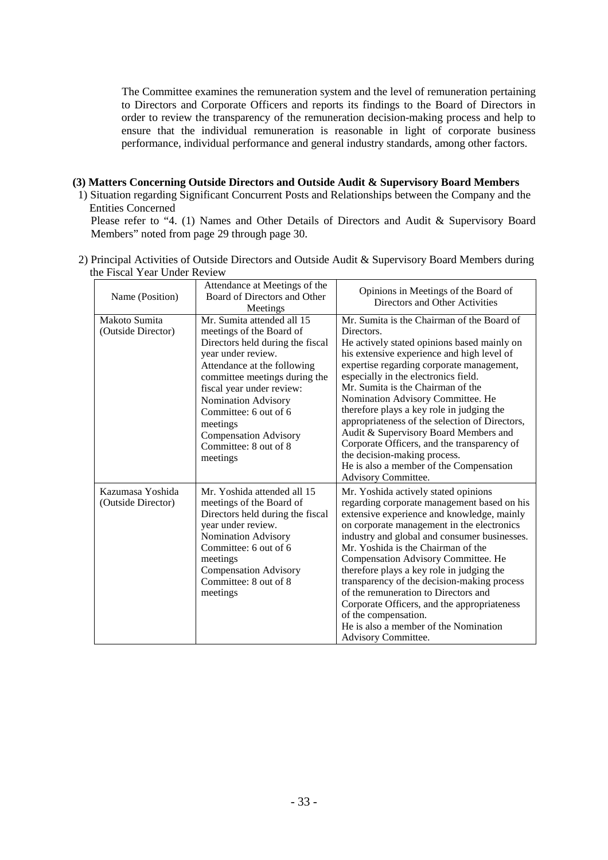The Committee examines the remuneration system and the level of remuneration pertaining to Directors and Corporate Officers and reports its findings to the Board of Directors in order to review the transparency of the remuneration decision-making process and help to ensure that the individual remuneration is reasonable in light of corporate business performance, individual performance and general industry standards, among other factors.

# **(3) Matters Concerning Outside Directors and Outside Audit & Supervisory Board Members**

1) Situation regarding Significant Concurrent Posts and Relationships between the Company and the Entities Concerned

Please refer to "4. (1) Names and Other Details of Directors and Audit & Supervisory Board Members" noted from page 29 through page 30.

2) Principal Activities of Outside Directors and Outside Audit & Supervisory Board Members during the Fiscal Year Under Review

| Name (Position)                        | Attendance at Meetings of the<br>Board of Directors and Other<br>Meetings                                                                                                                                                                                                                                                                      | Opinions in Meetings of the Board of<br>Directors and Other Activities                                                                                                                                                                                                                                                                                                                                                                                                                                                                                                                                               |
|----------------------------------------|------------------------------------------------------------------------------------------------------------------------------------------------------------------------------------------------------------------------------------------------------------------------------------------------------------------------------------------------|----------------------------------------------------------------------------------------------------------------------------------------------------------------------------------------------------------------------------------------------------------------------------------------------------------------------------------------------------------------------------------------------------------------------------------------------------------------------------------------------------------------------------------------------------------------------------------------------------------------------|
| Makoto Sumita<br>(Outside Director)    | Mr. Sumita attended all 15<br>meetings of the Board of<br>Directors held during the fiscal<br>year under review.<br>Attendance at the following<br>committee meetings during the<br>fiscal year under review:<br>Nomination Advisory<br>Committee: 6 out of 6<br>meetings<br><b>Compensation Advisory</b><br>Committee: 8 out of 8<br>meetings | Mr. Sumita is the Chairman of the Board of<br>Directors.<br>He actively stated opinions based mainly on<br>his extensive experience and high level of<br>expertise regarding corporate management,<br>especially in the electronics field.<br>Mr. Sumita is the Chairman of the<br>Nomination Advisory Committee. He<br>therefore plays a key role in judging the<br>appropriateness of the selection of Directors,<br>Audit & Supervisory Board Members and<br>Corporate Officers, and the transparency of<br>the decision-making process.<br>He is also a member of the Compensation<br><b>Advisory Committee.</b> |
| Kazumasa Yoshida<br>(Outside Director) | Mr. Yoshida attended all 15<br>meetings of the Board of<br>Directors held during the fiscal<br>year under review.<br>Nomination Advisory<br>Committee: 6 out of 6<br>meetings<br><b>Compensation Advisory</b><br>Committee: 8 out of 8<br>meetings                                                                                             | Mr. Yoshida actively stated opinions<br>regarding corporate management based on his<br>extensive experience and knowledge, mainly<br>on corporate management in the electronics<br>industry and global and consumer businesses.<br>Mr. Yoshida is the Chairman of the<br>Compensation Advisory Committee. He<br>therefore plays a key role in judging the<br>transparency of the decision-making process<br>of the remuneration to Directors and<br>Corporate Officers, and the appropriateness<br>of the compensation.<br>He is also a member of the Nomination<br>Advisory Committee.                              |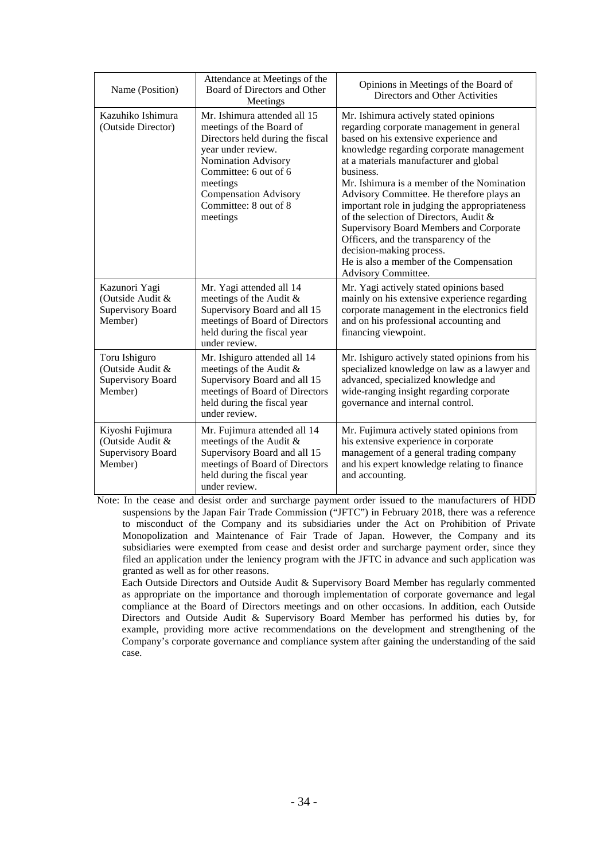| Name (Position)                                                             | Attendance at Meetings of the<br>Board of Directors and Other<br>Meetings                                                                                                                                                                           | Opinions in Meetings of the Board of<br>Directors and Other Activities                                                                                                                                                                                                                                                                                                                                                                                                                                                                                                                                 |
|-----------------------------------------------------------------------------|-----------------------------------------------------------------------------------------------------------------------------------------------------------------------------------------------------------------------------------------------------|--------------------------------------------------------------------------------------------------------------------------------------------------------------------------------------------------------------------------------------------------------------------------------------------------------------------------------------------------------------------------------------------------------------------------------------------------------------------------------------------------------------------------------------------------------------------------------------------------------|
| Kazuhiko Ishimura<br>(Outside Director)                                     | Mr. Ishimura attended all 15<br>meetings of the Board of<br>Directors held during the fiscal<br>year under review.<br>Nomination Advisory<br>Committee: 6 out of 6<br>meetings<br><b>Compensation Advisory</b><br>Committee: 8 out of 8<br>meetings | Mr. Ishimura actively stated opinions<br>regarding corporate management in general<br>based on his extensive experience and<br>knowledge regarding corporate management<br>at a materials manufacturer and global<br>business.<br>Mr. Ishimura is a member of the Nomination<br>Advisory Committee. He therefore plays an<br>important role in judging the appropriateness<br>of the selection of Directors, Audit &<br>Supervisory Board Members and Corporate<br>Officers, and the transparency of the<br>decision-making process.<br>He is also a member of the Compensation<br>Advisory Committee. |
| Kazunori Yagi<br>(Outside Audit &<br><b>Supervisory Board</b><br>Member)    | Mr. Yagi attended all 14<br>meetings of the Audit &<br>Supervisory Board and all 15<br>meetings of Board of Directors<br>held during the fiscal year<br>under review.                                                                               | Mr. Yagi actively stated opinions based<br>mainly on his extensive experience regarding<br>corporate management in the electronics field<br>and on his professional accounting and<br>financing viewpoint.                                                                                                                                                                                                                                                                                                                                                                                             |
| Toru Ishiguro<br>(Outside Audit &<br><b>Supervisory Board</b><br>Member)    | Mr. Ishiguro attended all 14<br>meetings of the Audit &<br>Supervisory Board and all 15<br>meetings of Board of Directors<br>held during the fiscal year<br>under review.                                                                           | Mr. Ishiguro actively stated opinions from his<br>specialized knowledge on law as a lawyer and<br>advanced, specialized knowledge and<br>wide-ranging insight regarding corporate<br>governance and internal control.                                                                                                                                                                                                                                                                                                                                                                                  |
| Kiyoshi Fujimura<br>(Outside Audit &<br><b>Supervisory Board</b><br>Member) | Mr. Fujimura attended all 14<br>meetings of the Audit &<br>Supervisory Board and all 15<br>meetings of Board of Directors<br>held during the fiscal year<br>under review.                                                                           | Mr. Fujimura actively stated opinions from<br>his extensive experience in corporate<br>management of a general trading company<br>and his expert knowledge relating to finance<br>and accounting.                                                                                                                                                                                                                                                                                                                                                                                                      |

Note: In the cease and desist order and surcharge payment order issued to the manufacturers of HDD suspensions by the Japan Fair Trade Commission ("JFTC") in February 2018, there was a reference to misconduct of the Company and its subsidiaries under the Act on Prohibition of Private Monopolization and Maintenance of Fair Trade of Japan. However, the Company and its subsidiaries were exempted from cease and desist order and surcharge payment order, since they filed an application under the leniency program with the JFTC in advance and such application was granted as well as for other reasons.

Each Outside Directors and Outside Audit & Supervisory Board Member has regularly commented as appropriate on the importance and thorough implementation of corporate governance and legal compliance at the Board of Directors meetings and on other occasions. In addition, each Outside Directors and Outside Audit & Supervisory Board Member has performed his duties by, for example, providing more active recommendations on the development and strengthening of the Company's corporate governance and compliance system after gaining the understanding of the said case.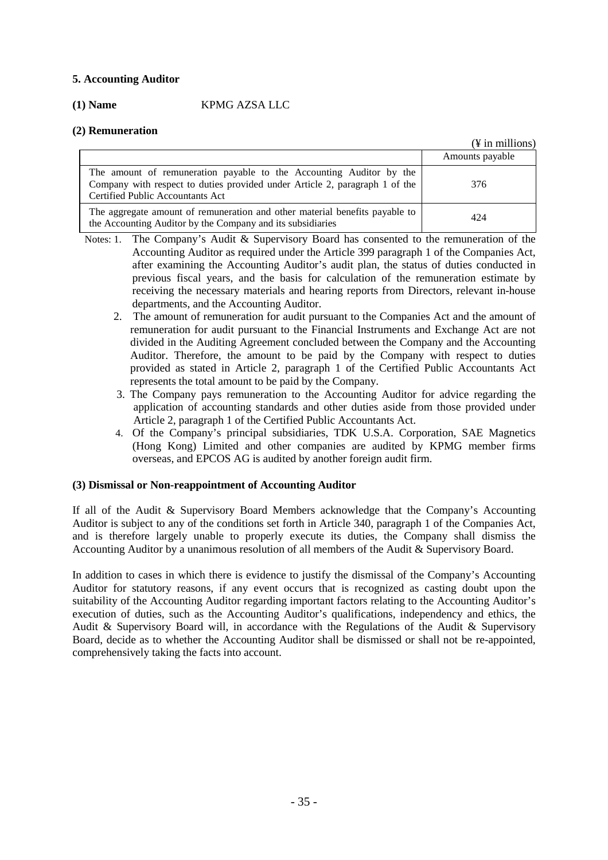# **5. Accounting Auditor**

# **(1) Name** KPMG AZSA LLC

# **(2) Remuneration**

|                                                                                                                                                                                        | $(\frac{1}{2}$ in millions) |
|----------------------------------------------------------------------------------------------------------------------------------------------------------------------------------------|-----------------------------|
|                                                                                                                                                                                        | Amounts payable             |
| The amount of remuneration payable to the Accounting Auditor by the<br>Company with respect to duties provided under Article 2, paragraph 1 of the<br>Certified Public Accountants Act | 376                         |
| The aggregate amount of remuneration and other material benefits payable to<br>the Accounting Auditor by the Company and its subsidiaries                                              | 424                         |

- Notes: 1. The Company's Audit & Supervisory Board has consented to the remuneration of the Accounting Auditor as required under the Article 399 paragraph 1 of the Companies Act, after examining the Accounting Auditor's audit plan, the status of duties conducted in previous fiscal years, and the basis for calculation of the remuneration estimate by receiving the necessary materials and hearing reports from Directors, relevant in-house departments, and the Accounting Auditor.
	- 2. The amount of remuneration for audit pursuant to the Companies Act and the amount of remuneration for audit pursuant to the Financial Instruments and Exchange Act are not divided in the Auditing Agreement concluded between the Company and the Accounting Auditor. Therefore, the amount to be paid by the Company with respect to duties provided as stated in Article 2, paragraph 1 of the Certified Public Accountants Act represents the total amount to be paid by the Company.
	- 3. The Company pays remuneration to the Accounting Auditor for advice regarding the application of accounting standards and other duties aside from those provided under Article 2, paragraph 1 of the Certified Public Accountants Act.
	- 4. Of the Company's principal subsidiaries, TDK U.S.A. Corporation, SAE Magnetics (Hong Kong) Limited and other companies are audited by KPMG member firms overseas, and EPCOS AG is audited by another foreign audit firm.

# **(3) Dismissal or Non-reappointment of Accounting Auditor**

If all of the Audit & Supervisory Board Members acknowledge that the Company's Accounting Auditor is subject to any of the conditions set forth in Article 340, paragraph 1 of the Companies Act, and is therefore largely unable to properly execute its duties, the Company shall dismiss the Accounting Auditor by a unanimous resolution of all members of the Audit & Supervisory Board.

In addition to cases in which there is evidence to justify the dismissal of the Company's Accounting Auditor for statutory reasons, if any event occurs that is recognized as casting doubt upon the suitability of the Accounting Auditor regarding important factors relating to the Accounting Auditor's execution of duties, such as the Accounting Auditor's qualifications, independency and ethics, the Audit & Supervisory Board will, in accordance with the Regulations of the Audit & Supervisory Board, decide as to whether the Accounting Auditor shall be dismissed or shall not be re-appointed, comprehensively taking the facts into account.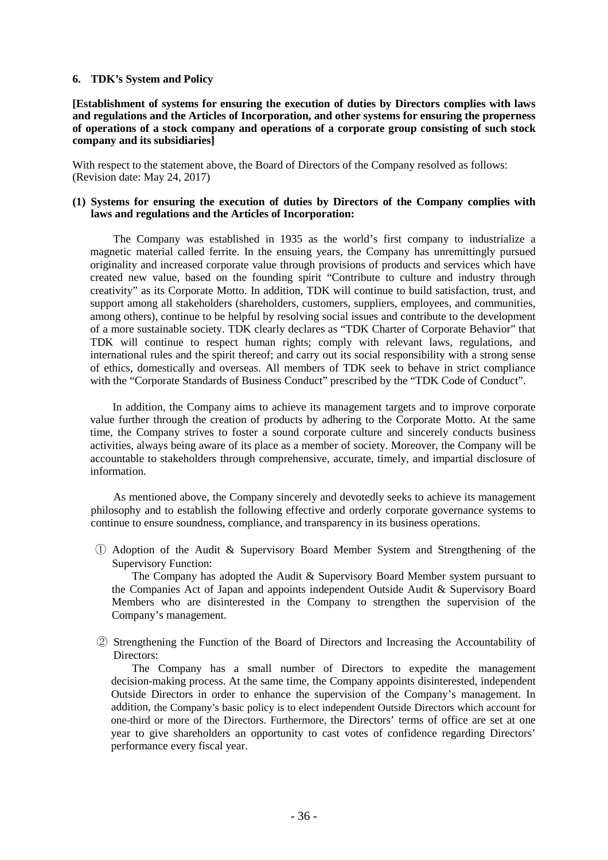#### **6. TDK's System and Policy**

**[Establishment of systems for ensuring the execution of duties by Directors complies with laws and regulations and the Articles of Incorporation, and other systems for ensuring the properness of operations of a stock company and operations of a corporate group consisting of such stock company and its subsidiaries]**

With respect to the statement above, the Board of Directors of the Company resolved as follows: (Revision date: May 24, 2017)

#### **(1) Systems for ensuring the execution of duties by Directors of the Company complies with laws and regulations and the Articles of Incorporation:**

The Company was established in 1935 as the world's first company to industrialize a magnetic material called ferrite. In the ensuing years, the Company has unremittingly pursued originality and increased corporate value through provisions of products and services which have created new value, based on the founding spirit "Contribute to culture and industry through creativity" as its Corporate Motto. In addition, TDK will continue to build satisfaction, trust, and support among all stakeholders (shareholders, customers, suppliers, employees, and communities, among others), continue to be helpful by resolving social issues and contribute to the development of a more sustainable society. TDK clearly declares as "TDK Charter of Corporate Behavior" that TDK will continue to respect human rights; comply with relevant laws, regulations, and international rules and the spirit thereof; and carry out its social responsibility with a strong sense of ethics, domestically and overseas. All members of TDK seek to behave in strict compliance with the "Corporate Standards of Business Conduct" prescribed by the "TDK Code of Conduct".

In addition, the Company aims to achieve its management targets and to improve corporate value further through the creation of products by adhering to the Corporate Motto. At the same time, the Company strives to foster a sound corporate culture and sincerely conducts business activities, always being aware of its place as a member of society. Moreover, the Company will be accountable to stakeholders through comprehensive, accurate, timely, and impartial disclosure of information.

As mentioned above, the Company sincerely and devotedly seeks to achieve its management philosophy and to establish the following effective and orderly corporate governance systems to continue to ensure soundness, compliance, and transparency in its business operations.

① Adoption of the Audit & Supervisory Board Member System and Strengthening of the Supervisory Function:

The Company has adopted the Audit & Supervisory Board Member system pursuant to the Companies Act of Japan and appoints independent Outside Audit & Supervisory Board Members who are disinterested in the Company to strengthen the supervision of the Company's management.

② Strengthening the Function of the Board of Directors and Increasing the Accountability of Directors:

The Company has a small number of Directors to expedite the management decision-making process. At the same time, the Company appoints disinterested, independent Outside Directors in order to enhance the supervision of the Company's management. In addition, the Company's basic policy is to elect independent Outside Directors which account for one-third or more of the Directors. Furthermore, the Directors' terms of office are set at one year to give shareholders an opportunity to cast votes of confidence regarding Directors' performance every fiscal year.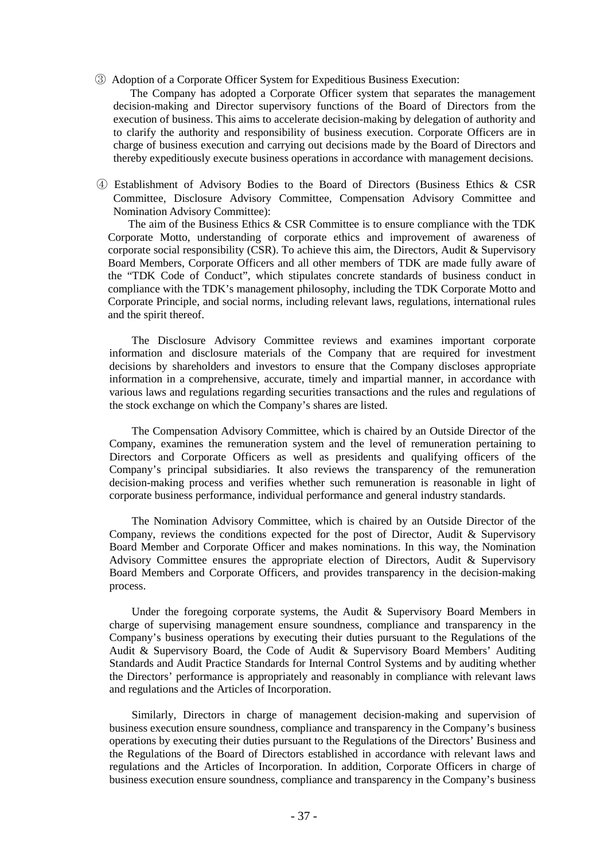③ Adoption of a Corporate Officer System for Expeditious Business Execution:

 The Company has adopted a Corporate Officer system that separates the management decision-making and Director supervisory functions of the Board of Directors from the execution of business. This aims to accelerate decision-making by delegation of authority and to clarify the authority and responsibility of business execution. Corporate Officers are in charge of business execution and carrying out decisions made by the Board of Directors and thereby expeditiously execute business operations in accordance with management decisions.

④ Establishment of Advisory Bodies to the Board of Directors (Business Ethics & CSR Committee, Disclosure Advisory Committee, Compensation Advisory Committee and Nomination Advisory Committee):

 The aim of the Business Ethics & CSR Committee is to ensure compliance with the TDK Corporate Motto, understanding of corporate ethics and improvement of awareness of corporate social responsibility (CSR). To achieve this aim, the Directors, Audit & Supervisory Board Members, Corporate Officers and all other members of TDK are made fully aware of the "TDK Code of Conduct", which stipulates concrete standards of business conduct in compliance with the TDK's management philosophy, including the TDK Corporate Motto and Corporate Principle, and social norms, including relevant laws, regulations, international rules and the spirit thereof.

The Disclosure Advisory Committee reviews and examines important corporate information and disclosure materials of the Company that are required for investment decisions by shareholders and investors to ensure that the Company discloses appropriate information in a comprehensive, accurate, timely and impartial manner, in accordance with various laws and regulations regarding securities transactions and the rules and regulations of the stock exchange on which the Company's shares are listed.

The Compensation Advisory Committee, which is chaired by an Outside Director of the Company, examines the remuneration system and the level of remuneration pertaining to Directors and Corporate Officers as well as presidents and qualifying officers of the Company's principal subsidiaries. It also reviews the transparency of the remuneration decision-making process and verifies whether such remuneration is reasonable in light of corporate business performance, individual performance and general industry standards.

The Nomination Advisory Committee, which is chaired by an Outside Director of the Company, reviews the conditions expected for the post of Director, Audit & Supervisory Board Member and Corporate Officer and makes nominations. In this way, the Nomination Advisory Committee ensures the appropriate election of Directors, Audit & Supervisory Board Members and Corporate Officers, and provides transparency in the decision-making process.

Under the foregoing corporate systems, the Audit & Supervisory Board Members in charge of supervising management ensure soundness, compliance and transparency in the Company's business operations by executing their duties pursuant to the Regulations of the Audit & Supervisory Board, the Code of Audit & Supervisory Board Members' Auditing Standards and Audit Practice Standards for Internal Control Systems and by auditing whether the Directors' performance is appropriately and reasonably in compliance with relevant laws and regulations and the Articles of Incorporation.

Similarly, Directors in charge of management decision-making and supervision of business execution ensure soundness, compliance and transparency in the Company's business operations by executing their duties pursuant to the Regulations of the Directors' Business and the Regulations of the Board of Directors established in accordance with relevant laws and regulations and the Articles of Incorporation. In addition, Corporate Officers in charge of business execution ensure soundness, compliance and transparency in the Company's business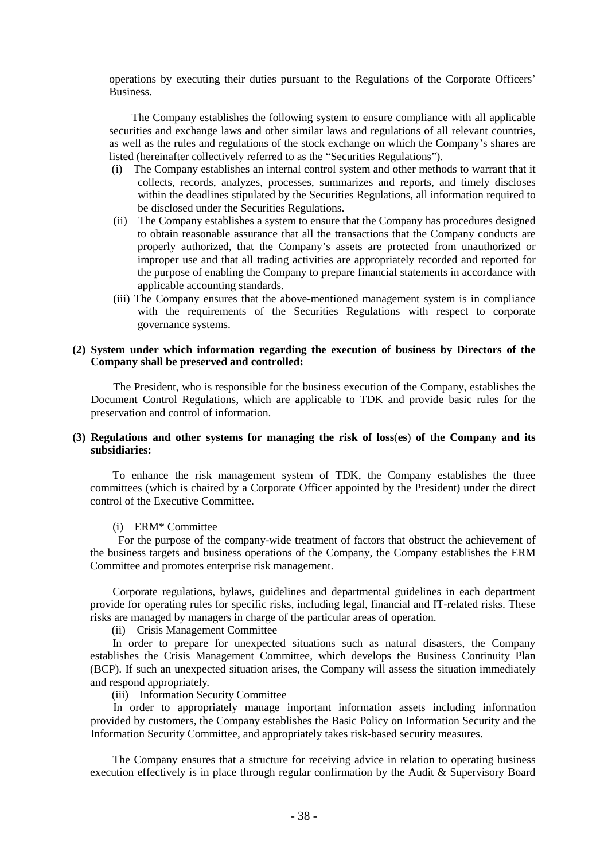operations by executing their duties pursuant to the Regulations of the Corporate Officers' Business.

The Company establishes the following system to ensure compliance with all applicable securities and exchange laws and other similar laws and regulations of all relevant countries, as well as the rules and regulations of the stock exchange on which the Company's shares are listed (hereinafter collectively referred to as the "Securities Regulations").

- (i) The Company establishes an internal control system and other methods to warrant that it collects, records, analyzes, processes, summarizes and reports, and timely discloses within the deadlines stipulated by the Securities Regulations, all information required to be disclosed under the Securities Regulations.
- (ii) The Company establishes a system to ensure that the Company has procedures designed to obtain reasonable assurance that all the transactions that the Company conducts are properly authorized, that the Company's assets are protected from unauthorized or improper use and that all trading activities are appropriately recorded and reported for the purpose of enabling the Company to prepare financial statements in accordance with applicable accounting standards.
- (iii) The Company ensures that the above-mentioned management system is in compliance with the requirements of the Securities Regulations with respect to corporate governance systems.

#### **(2) System under which information regarding the execution of business by Directors of the Company shall be preserved and controlled:**

The President, who is responsible for the business execution of the Company, establishes the Document Control Regulations, which are applicable to TDK and provide basic rules for the preservation and control of information.

#### **(3) Regulations and other systems for managing the risk of loss**(**es**) **of the Company and its subsidiaries:**

To enhance the risk management system of TDK, the Company establishes the three committees (which is chaired by a Corporate Officer appointed by the President) under the direct control of the Executive Committee.

#### (i) ERM\* Committee

For the purpose of the company-wide treatment of factors that obstruct the achievement of the business targets and business operations of the Company, the Company establishes the ERM Committee and promotes enterprise risk management.

Corporate regulations, bylaws, guidelines and departmental guidelines in each department provide for operating rules for specific risks, including legal, financial and IT-related risks. These risks are managed by managers in charge of the particular areas of operation.

(ii) Crisis Management Committee

In order to prepare for unexpected situations such as natural disasters, the Company establishes the Crisis Management Committee, which develops the Business Continuity Plan (BCP). If such an unexpected situation arises, the Company will assess the situation immediately and respond appropriately.

(iii) Information Security Committee

In order to appropriately manage important information assets including information provided by customers, the Company establishes the Basic Policy on Information Security and the Information Security Committee, and appropriately takes risk-based security measures.

The Company ensures that a structure for receiving advice in relation to operating business execution effectively is in place through regular confirmation by the Audit & Supervisory Board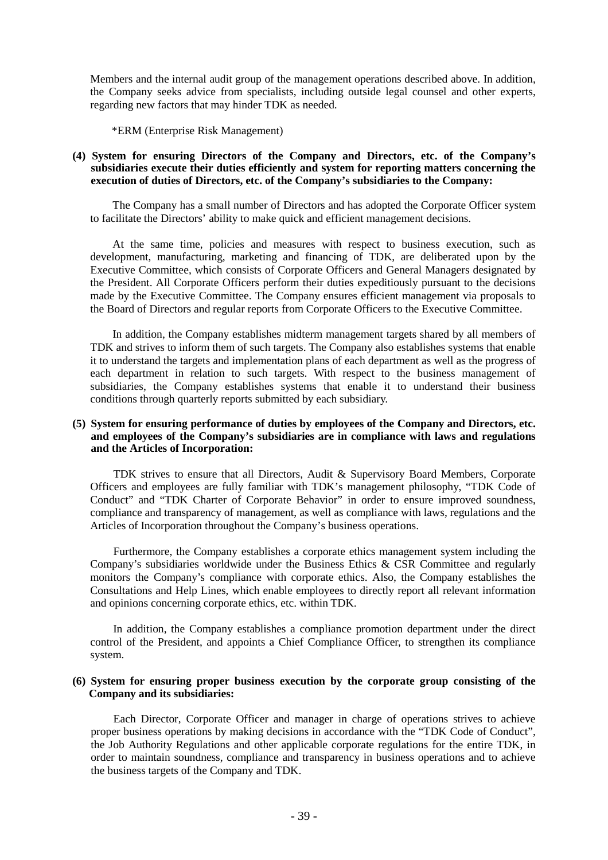Members and the internal audit group of the management operations described above. In addition, the Company seeks advice from specialists, including outside legal counsel and other experts, regarding new factors that may hinder TDK as needed.

\*ERM (Enterprise Risk Management)

#### **(4) System for ensuring Directors of the Company and Directors, etc. of the Company's subsidiaries execute their duties efficiently and system for reporting matters concerning the execution of duties of Directors, etc. of the Company's subsidiaries to the Company:**

The Company has a small number of Directors and has adopted the Corporate Officer system to facilitate the Directors' ability to make quick and efficient management decisions.

At the same time, policies and measures with respect to business execution, such as development, manufacturing, marketing and financing of TDK, are deliberated upon by the Executive Committee, which consists of Corporate Officers and General Managers designated by the President. All Corporate Officers perform their duties expeditiously pursuant to the decisions made by the Executive Committee. The Company ensures efficient management via proposals to the Board of Directors and regular reports from Corporate Officers to the Executive Committee.

In addition, the Company establishes midterm management targets shared by all members of TDK and strives to inform them of such targets. The Company also establishes systems that enable it to understand the targets and implementation plans of each department as well as the progress of each department in relation to such targets. With respect to the business management of subsidiaries, the Company establishes systems that enable it to understand their business conditions through quarterly reports submitted by each subsidiary.

#### **(5) System for ensuring performance of duties by employees of the Company and Directors, etc. and employees of the Company's subsidiaries are in compliance with laws and regulations and the Articles of Incorporation:**

TDK strives to ensure that all Directors, Audit & Supervisory Board Members, Corporate Officers and employees are fully familiar with TDK's management philosophy, "TDK Code of Conduct" and "TDK Charter of Corporate Behavior" in order to ensure improved soundness, compliance and transparency of management, as well as compliance with laws, regulations and the Articles of Incorporation throughout the Company's business operations.

Furthermore, the Company establishes a corporate ethics management system including the Company's subsidiaries worldwide under the Business Ethics & CSR Committee and regularly monitors the Company's compliance with corporate ethics. Also, the Company establishes the Consultations and Help Lines, which enable employees to directly report all relevant information and opinions concerning corporate ethics, etc. within TDK.

In addition, the Company establishes a compliance promotion department under the direct control of the President, and appoints a Chief Compliance Officer, to strengthen its compliance system.

#### **(6) System for ensuring proper business execution by the corporate group consisting of the Company and its subsidiaries:**

Each Director, Corporate Officer and manager in charge of operations strives to achieve proper business operations by making decisions in accordance with the "TDK Code of Conduct", the Job Authority Regulations and other applicable corporate regulations for the entire TDK, in order to maintain soundness, compliance and transparency in business operations and to achieve the business targets of the Company and TDK.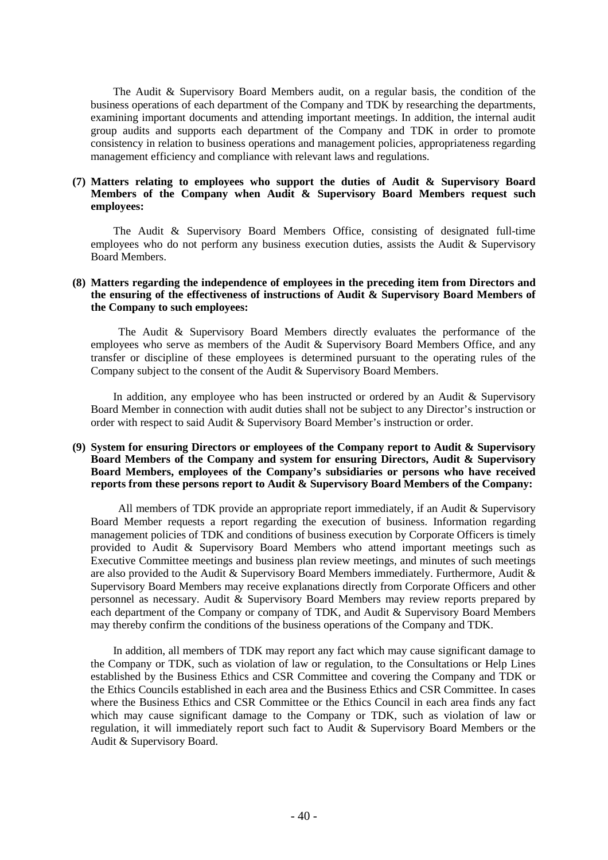The Audit & Supervisory Board Members audit, on a regular basis, the condition of the business operations of each department of the Company and TDK by researching the departments, examining important documents and attending important meetings. In addition, the internal audit group audits and supports each department of the Company and TDK in order to promote consistency in relation to business operations and management policies, appropriateness regarding management efficiency and compliance with relevant laws and regulations.

#### **(7) Matters relating to employees who support the duties of Audit & Supervisory Board Members of the Company when Audit & Supervisory Board Members request such employees:**

The Audit & Supervisory Board Members Office, consisting of designated full-time employees who do not perform any business execution duties, assists the Audit & Supervisory Board Members.

#### **(8) Matters regarding the independence of employees in the preceding item from Directors and the ensuring of the effectiveness of instructions of Audit & Supervisory Board Members of the Company to such employees:**

The Audit & Supervisory Board Members directly evaluates the performance of the employees who serve as members of the Audit & Supervisory Board Members Office, and any transfer or discipline of these employees is determined pursuant to the operating rules of the Company subject to the consent of the Audit & Supervisory Board Members.

In addition, any employee who has been instructed or ordered by an Audit & Supervisory Board Member in connection with audit duties shall not be subject to any Director's instruction or order with respect to said Audit & Supervisory Board Member's instruction or order.

#### **(9) System for ensuring Directors or employees of the Company report to Audit & Supervisory Board Members of the Company and system for ensuring Directors, Audit & Supervisory Board Members, employees of the Company's subsidiaries or persons who have received reports from these persons report to Audit & Supervisory Board Members of the Company:**

All members of TDK provide an appropriate report immediately, if an Audit & Supervisory Board Member requests a report regarding the execution of business. Information regarding management policies of TDK and conditions of business execution by Corporate Officers is timely provided to Audit & Supervisory Board Members who attend important meetings such as Executive Committee meetings and business plan review meetings, and minutes of such meetings are also provided to the Audit & Supervisory Board Members immediately. Furthermore, Audit & Supervisory Board Members may receive explanations directly from Corporate Officers and other personnel as necessary. Audit & Supervisory Board Members may review reports prepared by each department of the Company or company of TDK, and Audit & Supervisory Board Members may thereby confirm the conditions of the business operations of the Company and TDK.

In addition, all members of TDK may report any fact which may cause significant damage to the Company or TDK, such as violation of law or regulation, to the Consultations or Help Lines established by the Business Ethics and CSR Committee and covering the Company and TDK or the Ethics Councils established in each area and the Business Ethics and CSR Committee. In cases where the Business Ethics and CSR Committee or the Ethics Council in each area finds any fact which may cause significant damage to the Company or TDK, such as violation of law or regulation, it will immediately report such fact to Audit & Supervisory Board Members or the Audit & Supervisory Board.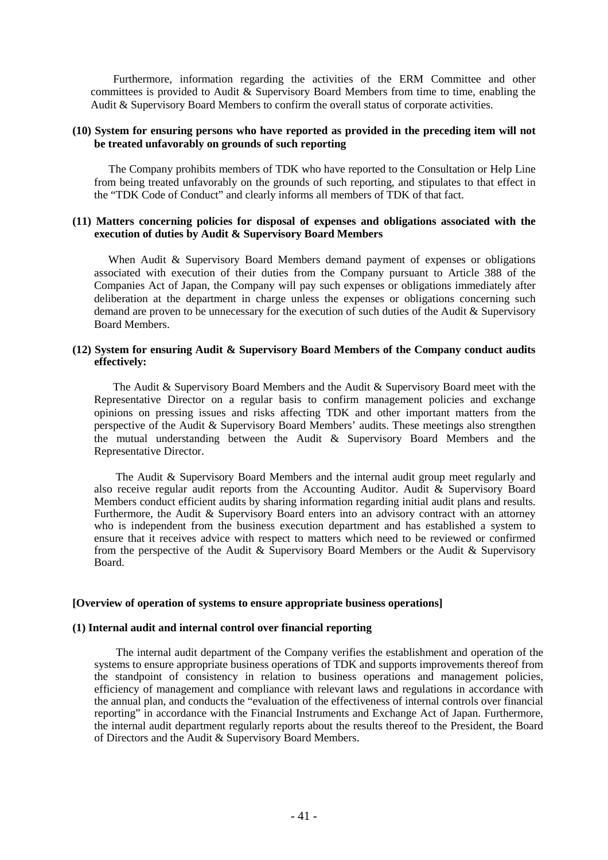Furthermore, information regarding the activities of the ERM Committee and other committees is provided to Audit & Supervisory Board Members from time to time, enabling the Audit & Supervisory Board Members to confirm the overall status of corporate activities.

#### **(10) System for ensuring persons who have reported as provided in the preceding item will not be treated unfavorably on grounds of such reporting**

The Company prohibits members of TDK who have reported to the Consultation or Help Line from being treated unfavorably on the grounds of such reporting, and stipulates to that effect in the "TDK Code of Conduct" and clearly informs all members of TDK of that fact.

#### **(11) Matters concerning policies for disposal of expenses and obligations associated with the execution of duties by Audit & Supervisory Board Members**

When Audit & Supervisory Board Members demand payment of expenses or obligations associated with execution of their duties from the Company pursuant to Article 388 of the Companies Act of Japan, the Company will pay such expenses or obligations immediately after deliberation at the department in charge unless the expenses or obligations concerning such demand are proven to be unnecessary for the execution of such duties of the Audit & Supervisory Board Members.

#### **(12) System for ensuring Audit & Supervisory Board Members of the Company conduct audits effectively:**

The Audit & Supervisory Board Members and the Audit & Supervisory Board meet with the Representative Director on a regular basis to confirm management policies and exchange opinions on pressing issues and risks affecting TDK and other important matters from the perspective of the Audit & Supervisory Board Members' audits. These meetings also strengthen the mutual understanding between the Audit & Supervisory Board Members and the Representative Director.

The Audit & Supervisory Board Members and the internal audit group meet regularly and also receive regular audit reports from the Accounting Auditor. Audit & Supervisory Board Members conduct efficient audits by sharing information regarding initial audit plans and results. Furthermore, the Audit & Supervisory Board enters into an advisory contract with an attorney who is independent from the business execution department and has established a system to ensure that it receives advice with respect to matters which need to be reviewed or confirmed from the perspective of the Audit & Supervisory Board Members or the Audit & Supervisory Board.

#### **[Overview of operation of systems to ensure appropriate business operations]**

#### **(1) Internal audit and internal control over financial reporting**

The internal audit department of the Company verifies the establishment and operation of the systems to ensure appropriate business operations of TDK and supports improvements thereof from the standpoint of consistency in relation to business operations and management policies, efficiency of management and compliance with relevant laws and regulations in accordance with the annual plan, and conducts the "evaluation of the effectiveness of internal controls over financial reporting" in accordance with the Financial Instruments and Exchange Act of Japan. Furthermore, the internal audit department regularly reports about the results thereof to the President, the Board of Directors and the Audit & Supervisory Board Members.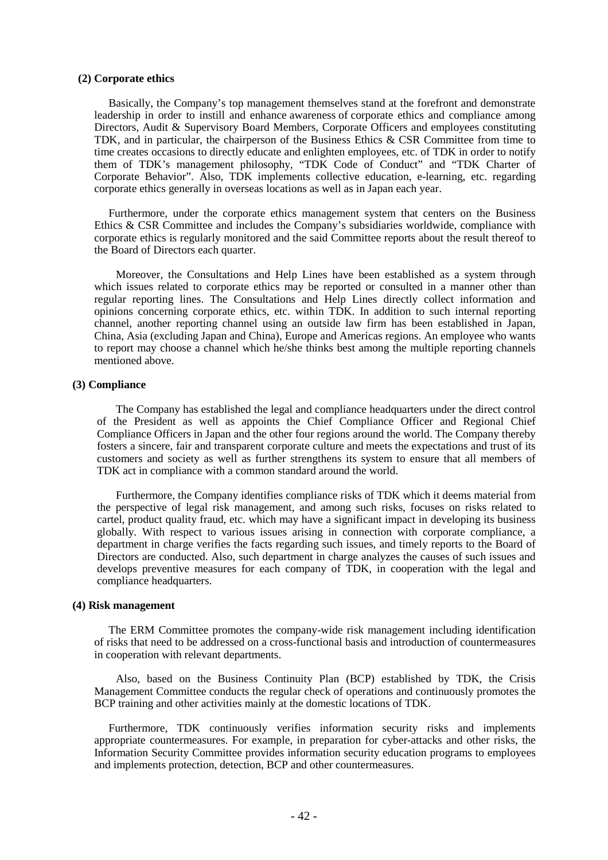#### **(2) Corporate ethics**

Basically, the Company's top management themselves stand at the forefront and demonstrate leadership in order to instill and enhance awareness of corporate ethics and compliance among Directors, Audit & Supervisory Board Members, Corporate Officers and employees constituting TDK, and in particular, the chairperson of the Business Ethics & CSR Committee from time to time creates occasions to directly educate and enlighten employees, etc. of TDK in order to notify them of TDK's management philosophy, "TDK Code of Conduct" and "TDK Charter of Corporate Behavior". Also, TDK implements collective education, e-learning, etc. regarding corporate ethics generally in overseas locations as well as in Japan each year.

Furthermore, under the corporate ethics management system that centers on the Business Ethics & CSR Committee and includes the Company's subsidiaries worldwide, compliance with corporate ethics is regularly monitored and the said Committee reports about the result thereof to the Board of Directors each quarter.

Moreover, the Consultations and Help Lines have been established as a system through which issues related to corporate ethics may be reported or consulted in a manner other than regular reporting lines. The Consultations and Help Lines directly collect information and opinions concerning corporate ethics, etc. within TDK. In addition to such internal reporting channel, another reporting channel using an outside law firm has been established in Japan, China, Asia (excluding Japan and China), Europe and Americas regions. An employee who wants to report may choose a channel which he/she thinks best among the multiple reporting channels mentioned above.

#### **(3) Compliance**

The Company has established the legal and compliance headquarters under the direct control of the President as well as appoints the Chief Compliance Officer and Regional Chief Compliance Officers in Japan and the other four regions around the world. The Company thereby fosters a sincere, fair and transparent corporate culture and meets the expectations and trust of its customers and society as well as further strengthens its system to ensure that all members of TDK act in compliance with a common standard around the world.

Furthermore, the Company identifies compliance risks of TDK which it deems material from the perspective of legal risk management, and among such risks, focuses on risks related to cartel, product quality fraud, etc. which may have a significant impact in developing its business globally. With respect to various issues arising in connection with corporate compliance, a department in charge verifies the facts regarding such issues, and timely reports to the Board of Directors are conducted. Also, such department in charge analyzes the causes of such issues and develops preventive measures for each company of TDK, in cooperation with the legal and compliance headquarters.

#### **(4) Risk management**

The ERM Committee promotes the company-wide risk management including identification of risks that need to be addressed on a cross-functional basis and introduction of countermeasures in cooperation with relevant departments.

Also, based on the Business Continuity Plan (BCP) established by TDK, the Crisis Management Committee conducts the regular check of operations and continuously promotes the BCP training and other activities mainly at the domestic locations of TDK.

Furthermore, TDK continuously verifies information security risks and implements appropriate countermeasures. For example, in preparation for cyber-attacks and other risks, the Information Security Committee provides information security education programs to employees and implements protection, detection, BCP and other countermeasures.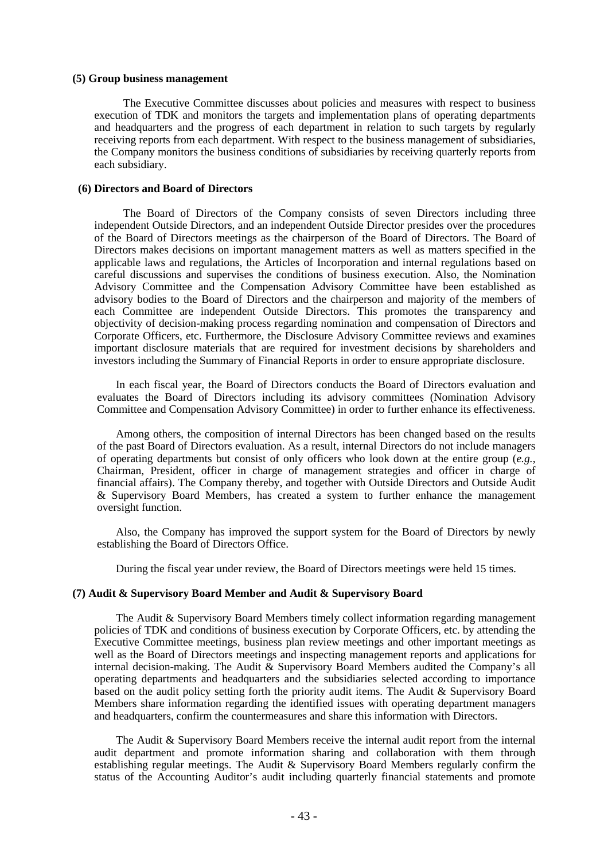#### **(5) Group business management**

The Executive Committee discusses about policies and measures with respect to business execution of TDK and monitors the targets and implementation plans of operating departments and headquarters and the progress of each department in relation to such targets by regularly receiving reports from each department. With respect to the business management of subsidiaries, the Company monitors the business conditions of subsidiaries by receiving quarterly reports from each subsidiary.

#### **(6) Directors and Board of Directors**

The Board of Directors of the Company consists of seven Directors including three independent Outside Directors, and an independent Outside Director presides over the procedures of the Board of Directors meetings as the chairperson of the Board of Directors. The Board of Directors makes decisions on important management matters as well as matters specified in the applicable laws and regulations, the Articles of Incorporation and internal regulations based on careful discussions and supervises the conditions of business execution. Also, the Nomination Advisory Committee and the Compensation Advisory Committee have been established as advisory bodies to the Board of Directors and the chairperson and majority of the members of each Committee are independent Outside Directors. This promotes the transparency and objectivity of decision-making process regarding nomination and compensation of Directors and Corporate Officers, etc. Furthermore, the Disclosure Advisory Committee reviews and examines important disclosure materials that are required for investment decisions by shareholders and investors including the Summary of Financial Reports in order to ensure appropriate disclosure.

In each fiscal year, the Board of Directors conducts the Board of Directors evaluation and evaluates the Board of Directors including its advisory committees (Nomination Advisory Committee and Compensation Advisory Committee) in order to further enhance its effectiveness.

Among others, the composition of internal Directors has been changed based on the results of the past Board of Directors evaluation. As a result, internal Directors do not include managers of operating departments but consist of only officers who look down at the entire group (*e.g.*, Chairman, President, officer in charge of management strategies and officer in charge of financial affairs). The Company thereby, and together with Outside Directors and Outside Audit & Supervisory Board Members, has created a system to further enhance the management oversight function.

Also, the Company has improved the support system for the Board of Directors by newly establishing the Board of Directors Office.

During the fiscal year under review, the Board of Directors meetings were held 15 times.

#### **(7) Audit & Supervisory Board Member and Audit & Supervisory Board**

The Audit & Supervisory Board Members timely collect information regarding management policies of TDK and conditions of business execution by Corporate Officers, etc. by attending the Executive Committee meetings, business plan review meetings and other important meetings as well as the Board of Directors meetings and inspecting management reports and applications for internal decision-making. The Audit & Supervisory Board Members audited the Company's all operating departments and headquarters and the subsidiaries selected according to importance based on the audit policy setting forth the priority audit items. The Audit & Supervisory Board Members share information regarding the identified issues with operating department managers and headquarters, confirm the countermeasures and share this information with Directors.

The Audit & Supervisory Board Members receive the internal audit report from the internal audit department and promote information sharing and collaboration with them through establishing regular meetings. The Audit & Supervisory Board Members regularly confirm the status of the Accounting Auditor's audit including quarterly financial statements and promote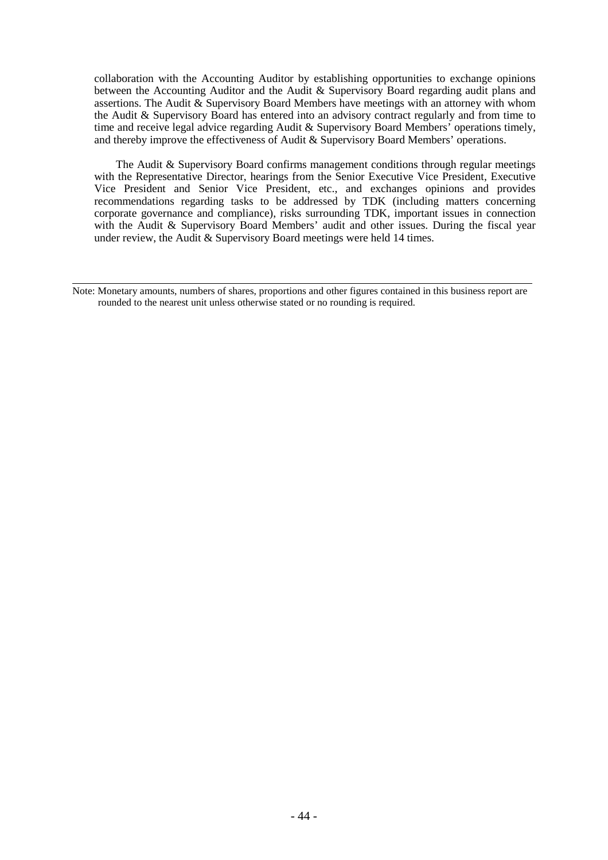collaboration with the Accounting Auditor by establishing opportunities to exchange opinions between the Accounting Auditor and the Audit & Supervisory Board regarding audit plans and assertions. The Audit & Supervisory Board Members have meetings with an attorney with whom the Audit & Supervisory Board has entered into an advisory contract regularly and from time to time and receive legal advice regarding Audit & Supervisory Board Members' operations timely, and thereby improve the effectiveness of Audit & Supervisory Board Members' operations.

The Audit & Supervisory Board confirms management conditions through regular meetings with the Representative Director, hearings from the Senior Executive Vice President, Executive Vice President and Senior Vice President, etc., and exchanges opinions and provides recommendations regarding tasks to be addressed by TDK (including matters concerning corporate governance and compliance), risks surrounding TDK, important issues in connection with the Audit & Supervisory Board Members' audit and other issues. During the fiscal year under review, the Audit & Supervisory Board meetings were held 14 times.

l, Note: Monetary amounts, numbers of shares, proportions and other figures contained in this business report are rounded to the nearest unit unless otherwise stated or no rounding is required.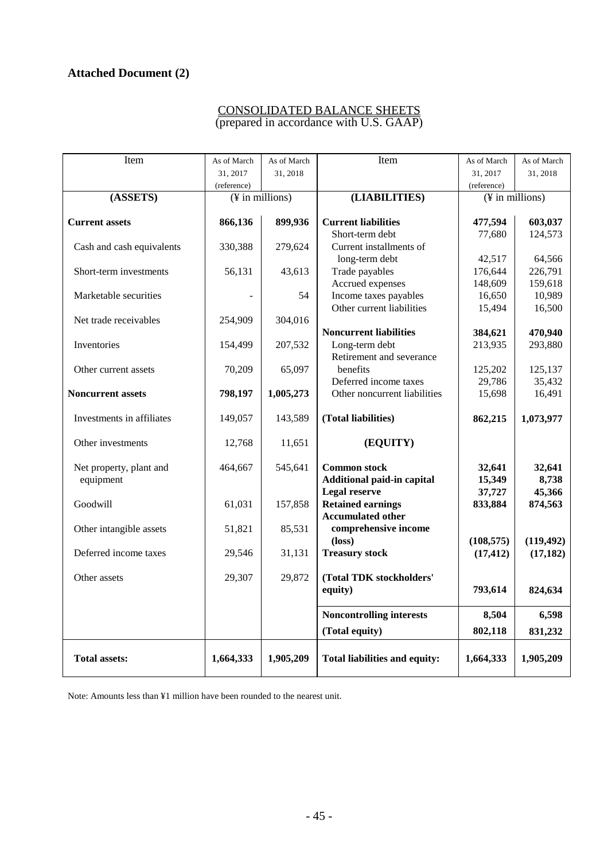# **Attached Document (2)**

# CONSOLIDATED BALANCE SHEETS (prepared in accordance with U.S. GAAP)

| Item                      | As of March                  | As of March | Item                                      | As of March             | As of March                  |  |
|---------------------------|------------------------------|-------------|-------------------------------------------|-------------------------|------------------------------|--|
|                           | 31, 2017                     | 31, 2018    |                                           | 31, 2017                | 31, 2018                     |  |
|                           | (reference)                  |             |                                           | (reference)             |                              |  |
| (ASSETS)                  | $(\frac{1}{2})$ in millions) |             | (LIABILITIES)                             |                         | $(\frac{1}{2})$ in millions) |  |
|                           |                              |             |                                           |                         |                              |  |
| <b>Current assets</b>     | 866,136                      | 899,936     | <b>Current liabilities</b>                | 477,594                 | 603,037                      |  |
|                           |                              |             | Short-term debt                           | 77,680                  | 124,573                      |  |
| Cash and cash equivalents | 330,388                      | 279,624     | Current installments of<br>long-term debt | 42,517                  | 64,566                       |  |
| Short-term investments    | 56,131                       | 43,613      | Trade payables                            | 176,644                 | 226,791                      |  |
|                           |                              |             | Accrued expenses                          | 148,609                 | 159,618                      |  |
| Marketable securities     |                              | 54          | Income taxes payables                     | 16,650                  | 10,989                       |  |
|                           |                              |             | Other current liabilities                 | 15,494                  | 16,500                       |  |
| Net trade receivables     | 254,909                      | 304,016     |                                           |                         |                              |  |
|                           |                              |             | <b>Noncurrent liabilities</b>             | 384,621                 | 470,940                      |  |
| Inventories               | 154,499                      | 207,532     | Long-term debt                            | 213,935                 | 293,880                      |  |
|                           |                              |             | Retirement and severance                  |                         |                              |  |
| Other current assets      | 70,209                       | 65,097      | benefits                                  | 125,202                 | 125,137                      |  |
|                           |                              |             | Deferred income taxes                     | 29,786                  | 35,432                       |  |
| <b>Noncurrent assets</b>  | 798,197                      | 1,005,273   | Other noncurrent liabilities              | 15,698                  | 16,491                       |  |
| Investments in affiliates | 149,057                      | 143,589     | (Total liabilities)                       | 862,215                 | 1,073,977                    |  |
|                           |                              |             |                                           |                         |                              |  |
| Other investments         | 12,768                       | 11,651      | (EQUITY)                                  |                         |                              |  |
|                           |                              |             |                                           |                         |                              |  |
| Net property, plant and   | 464,667                      | 545,641     | <b>Common stock</b>                       | 32,641                  | 32,641                       |  |
| equipment                 |                              |             | Additional paid-in capital                | 15,349                  | 8,738                        |  |
|                           |                              |             | <b>Legal reserve</b>                      | 37,727                  | 45,366                       |  |
| Goodwill                  | 61,031                       | 157,858     | <b>Retained earnings</b>                  | 833,884                 | 874,563                      |  |
|                           |                              |             | <b>Accumulated other</b>                  |                         |                              |  |
| Other intangible assets   | 51,821                       | 85,531      | comprehensive income                      |                         |                              |  |
| Deferred income taxes     | 29,546                       | 31,131      | $(\text{loss})$<br><b>Treasury stock</b>  | (108, 575)<br>(17, 412) | (119, 492)<br>(17, 182)      |  |
|                           |                              |             |                                           |                         |                              |  |
| Other assets              | 29,307                       | 29,872      | (Total TDK stockholders'                  |                         |                              |  |
|                           |                              |             | equity)                                   | 793,614                 | 824,634                      |  |
|                           |                              |             |                                           |                         |                              |  |
|                           |                              |             | <b>Noncontrolling interests</b>           | 8,504                   | 6,598                        |  |
|                           |                              |             | (Total equity)                            | 802,118                 | 831,232                      |  |
| <b>Total assets:</b>      | 1,664,333                    | 1,905,209   |                                           |                         |                              |  |
|                           |                              |             | Total liabilities and equity:             | 1,664,333               | 1,905,209                    |  |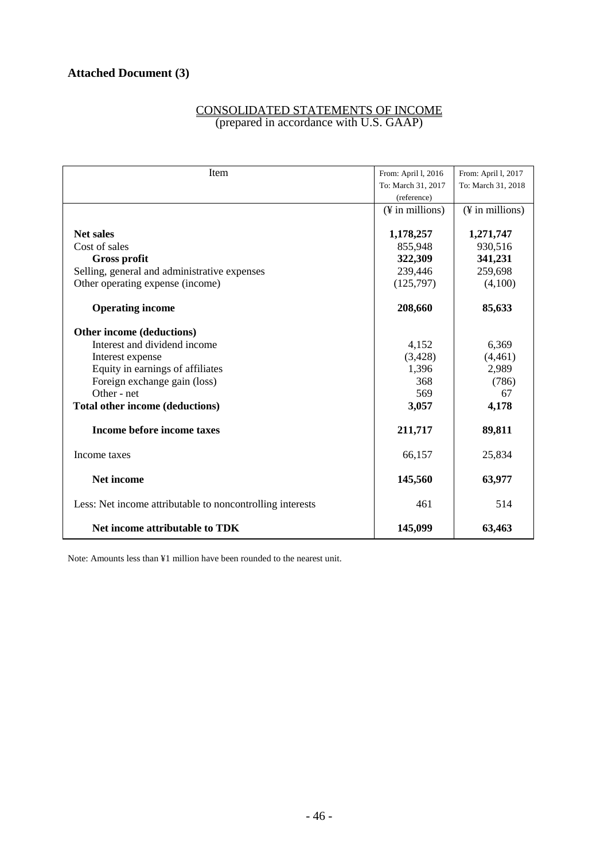# CONSOLIDATED STATEMENTS OF INCOME (prepared in accordance with U.S. GAAP)

| Item                                                      | From: April 1, 2016         | From: April 1, 2017         |
|-----------------------------------------------------------|-----------------------------|-----------------------------|
|                                                           | To: March 31, 2017          | To: March 31, 2018          |
|                                                           | (reference)                 |                             |
|                                                           | $(\frac{1}{2}$ in millions) | $(\frac{1}{2}$ in millions) |
|                                                           |                             |                             |
| <b>Net sales</b>                                          | 1,178,257                   | 1,271,747                   |
| Cost of sales                                             | 855,948                     | 930,516                     |
| <b>Gross profit</b>                                       | 322,309                     | 341,231                     |
| Selling, general and administrative expenses              | 239,446                     | 259,698                     |
| Other operating expense (income)                          | (125,797)                   | (4,100)                     |
| <b>Operating income</b>                                   | 208,660                     | 85,633                      |
| Other income (deductions)                                 |                             |                             |
| Interest and dividend income                              | 4,152                       | 6,369                       |
| Interest expense                                          | (3,428)                     | (4, 461)                    |
| Equity in earnings of affiliates                          | 1,396                       | 2,989                       |
| Foreign exchange gain (loss)                              | 368                         | (786)                       |
| Other - net                                               | 569                         | 67                          |
| Total other income (deductions)                           | 3,057                       | 4,178                       |
| Income before income taxes                                | 211,717                     | 89,811                      |
| Income taxes                                              | 66,157                      | 25,834                      |
| Net income                                                | 145,560                     | 63,977                      |
| Less: Net income attributable to noncontrolling interests | 461                         | 514                         |
| Net income attributable to TDK                            | 145,099                     | 63,463                      |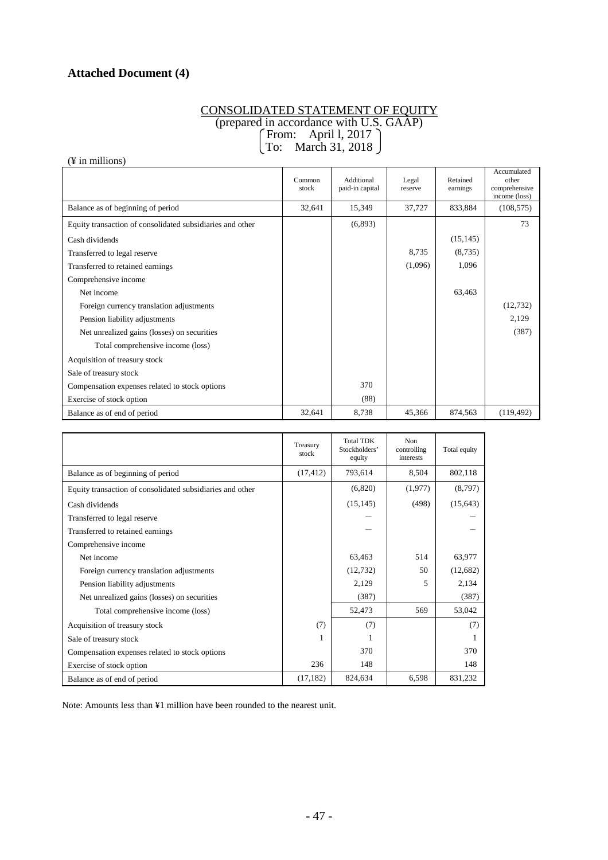# **Attached Document (4)**

#### CONSOLIDATED STATEMENT OF EQUITY (prepared in accordance with U.S. GAAP) From: April l, 2017 To: March 31, 2018

(¥ in millions)

|                                                           | Common<br>stock | Additional<br>paid-in capital | Legal<br>reserve | Retained<br>earnings | Accumulated<br>other<br>comprehensive<br>income (loss) |
|-----------------------------------------------------------|-----------------|-------------------------------|------------------|----------------------|--------------------------------------------------------|
| Balance as of beginning of period                         | 32,641          | 15,349                        | 37,727           | 833,884              | (108, 575)                                             |
| Equity transaction of consolidated subsidiaries and other |                 | (6,893)                       |                  |                      | 73                                                     |
| Cash dividends                                            |                 |                               |                  | (15, 145)            |                                                        |
| Transferred to legal reserve                              |                 |                               | 8,735            | (8,735)              |                                                        |
| Transferred to retained earnings                          |                 |                               | (1,096)          | 1,096                |                                                        |
| Comprehensive income                                      |                 |                               |                  |                      |                                                        |
| Net income                                                |                 |                               |                  | 63,463               |                                                        |
| Foreign currency translation adjustments                  |                 |                               |                  |                      | (12, 732)                                              |
| Pension liability adjustments                             |                 |                               |                  |                      | 2,129                                                  |
| Net unrealized gains (losses) on securities               |                 |                               |                  |                      | (387)                                                  |
| Total comprehensive income (loss)                         |                 |                               |                  |                      |                                                        |
| Acquisition of treasury stock                             |                 |                               |                  |                      |                                                        |
| Sale of treasury stock                                    |                 |                               |                  |                      |                                                        |
| Compensation expenses related to stock options            |                 | 370                           |                  |                      |                                                        |
| Exercise of stock option                                  |                 | (88)                          |                  |                      |                                                        |
| Balance as of end of period                               | 32,641          | 8,738                         | 45,366           | 874,563              | (119, 492)                                             |

|                                                           | Treasury<br>stock | <b>Total TDK</b><br>Stockholders'<br>equity | <b>Non</b><br>controlling<br>interests | Total equity |
|-----------------------------------------------------------|-------------------|---------------------------------------------|----------------------------------------|--------------|
| Balance as of beginning of period                         | (17, 412)         | 793,614                                     | 8,504                                  | 802,118      |
| Equity transaction of consolidated subsidiaries and other |                   | (6,820)                                     | (1,977)                                | (8,797)      |
| Cash dividends                                            |                   | (15, 145)                                   | (498)                                  | (15, 643)    |
| Transferred to legal reserve                              |                   |                                             |                                        |              |
| Transferred to retained earnings                          |                   |                                             |                                        |              |
| Comprehensive income                                      |                   |                                             |                                        |              |
| Net income                                                |                   | 63,463                                      | 514                                    | 63,977       |
| Foreign currency translation adjustments                  |                   | (12, 732)                                   | 50                                     | (12,682)     |
| Pension liability adjustments                             |                   | 2,129                                       | 5                                      | 2,134        |
| Net unrealized gains (losses) on securities               |                   | (387)                                       |                                        | (387)        |
| Total comprehensive income (loss)                         |                   | 52,473                                      | 569                                    | 53,042       |
| Acquisition of treasury stock                             | (7)               | (7)                                         |                                        | (7)          |
| Sale of treasury stock                                    |                   |                                             |                                        |              |
| Compensation expenses related to stock options            |                   | 370                                         |                                        | 370          |
| Exercise of stock option                                  | 236               | 148                                         |                                        | 148          |
| Balance as of end of period                               | (17, 182)         | 824.634                                     | 6,598                                  | 831,232      |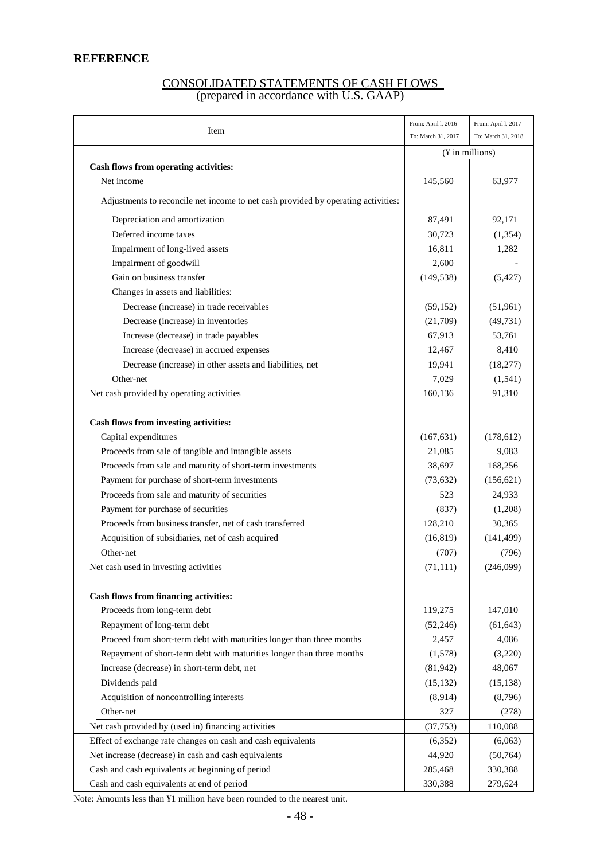# **REFERENCE**

# CONSOLIDATED STATEMENTS OF CASH FLOWS (prepared in accordance with U.S. GAAP)

| Item                                                                              | From: April I, 2016<br>To: March 31, 2017 | From: April I, 2017<br>To: March 31, 2018 |
|-----------------------------------------------------------------------------------|-------------------------------------------|-------------------------------------------|
|                                                                                   |                                           |                                           |
|                                                                                   |                                           | (¥ in millions)                           |
| Cash flows from operating activities:<br>Net income                               | 145,560                                   | 63,977                                    |
|                                                                                   |                                           |                                           |
| Adjustments to reconcile net income to net cash provided by operating activities: |                                           |                                           |
| Depreciation and amortization                                                     | 87,491                                    | 92,171                                    |
| Deferred income taxes                                                             | 30,723                                    | (1, 354)                                  |
| Impairment of long-lived assets                                                   | 16,811                                    | 1,282                                     |
| Impairment of goodwill                                                            | 2,600                                     |                                           |
| Gain on business transfer                                                         | (149, 538)                                | (5, 427)                                  |
| Changes in assets and liabilities:                                                |                                           |                                           |
| Decrease (increase) in trade receivables                                          | (59, 152)                                 | (51,961)                                  |
| Decrease (increase) in inventories                                                | (21,709)                                  | (49, 731)                                 |
| Increase (decrease) in trade payables                                             | 67,913                                    | 53,761                                    |
| Increase (decrease) in accrued expenses                                           | 12,467                                    | 8,410                                     |
| Decrease (increase) in other assets and liabilities, net                          | 19,941                                    | (18, 277)                                 |
| Other-net                                                                         | 7,029                                     | (1, 541)                                  |
| Net cash provided by operating activities                                         | 160,136                                   | 91,310                                    |
|                                                                                   |                                           |                                           |
| Cash flows from investing activities:                                             |                                           |                                           |
| Capital expenditures                                                              | (167, 631)                                | (178, 612)                                |
| Proceeds from sale of tangible and intangible assets                              | 21,085                                    | 9,083                                     |
| Proceeds from sale and maturity of short-term investments                         | 38,697                                    | 168,256                                   |
| Payment for purchase of short-term investments                                    | (73, 632)                                 | (156, 621)                                |
| Proceeds from sale and maturity of securities                                     | 523                                       | 24,933                                    |
| Payment for purchase of securities                                                | (837)                                     | (1,208)                                   |
| Proceeds from business transfer, net of cash transferred                          | 128,210                                   | 30,365                                    |
| Acquisition of subsidiaries, net of cash acquired                                 | (16, 819)                                 | (141, 499)                                |
| Other-net                                                                         | (707)                                     | (796)                                     |
| Net cash used in investing activities                                             | (71, 111)                                 | (246,099)                                 |
|                                                                                   |                                           |                                           |
| <b>Cash flows from financing activities:</b>                                      |                                           |                                           |
| Proceeds from long-term debt                                                      | 119,275                                   | 147,010                                   |
| Repayment of long-term debt                                                       | (52, 246)                                 | (61, 643)                                 |
| Proceed from short-term debt with maturities longer than three months             | 2,457                                     | 4,086                                     |
| Repayment of short-term debt with maturities longer than three months             | (1,578)                                   | (3,220)                                   |
| Increase (decrease) in short-term debt, net                                       | (81, 942)                                 | 48,067                                    |
| Dividends paid                                                                    | (15, 132)                                 | (15, 138)                                 |
| Acquisition of noncontrolling interests                                           | (8,914)                                   | (8,796)                                   |
| Other-net                                                                         | 327                                       | (278)                                     |
| Net cash provided by (used in) financing activities                               | (37, 753)                                 | 110,088                                   |
| Effect of exchange rate changes on cash and cash equivalents                      | (6,352)                                   | (6,063)                                   |
| Net increase (decrease) in cash and cash equivalents                              | 44,920                                    | (50, 764)                                 |
| Cash and cash equivalents at beginning of period                                  | 285,468                                   | 330,388                                   |
| Cash and cash equivalents at end of period                                        | 330,388                                   | 279,624                                   |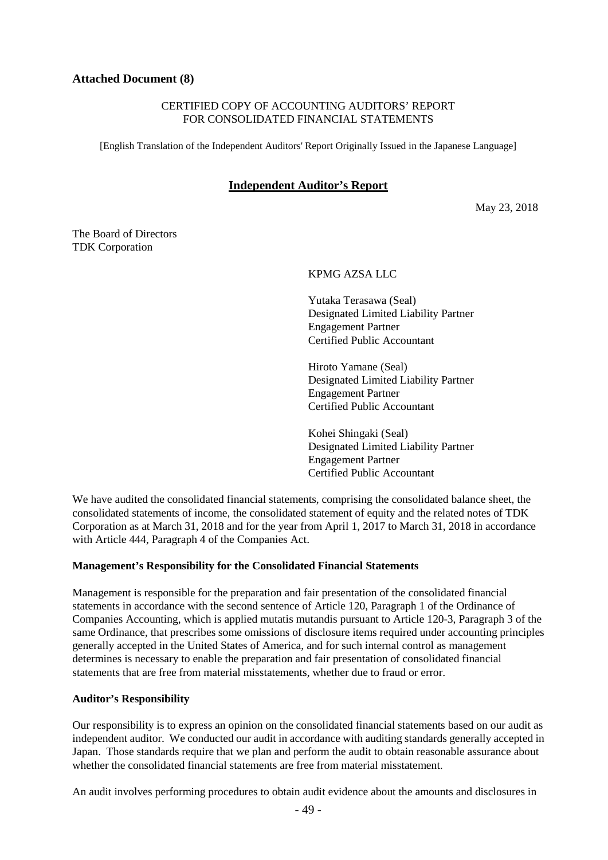# **Attached Document (8)**

# CERTIFIED COPY OF ACCOUNTING AUDITORS' REPORT FOR CONSOLIDATED FINANCIAL STATEMENTS

[English Translation of the Independent Auditors' Report Originally Issued in the Japanese Language]

# **Independent Auditor's Report**

May 23, 2018

The Board of Directors TDK Corporation

KPMG AZSA LLC

Yutaka Terasawa (Seal) Designated Limited Liability Partner Engagement Partner Certified Public Accountant

Hiroto Yamane (Seal) Designated Limited Liability Partner Engagement Partner Certified Public Accountant

Kohei Shingaki (Seal) Designated Limited Liability Partner Engagement Partner Certified Public Accountant

We have audited the consolidated financial statements, comprising the consolidated balance sheet, the consolidated statements of income, the consolidated statement of equity and the related notes of TDK Corporation as at March 31, 2018 and for the year from April 1, 2017 to March 31, 2018 in accordance with Article 444, Paragraph 4 of the Companies Act.

#### **Management's Responsibility for the Consolidated Financial Statements**

Management is responsible for the preparation and fair presentation of the consolidated financial statements in accordance with the second sentence of Article 120, Paragraph 1 of the Ordinance of Companies Accounting, which is applied mutatis mutandis pursuant to Article 120-3, Paragraph 3 of the same Ordinance, that prescribes some omissions of disclosure items required under accounting principles generally accepted in the United States of America, and for such internal control as management determines is necessary to enable the preparation and fair presentation of consolidated financial statements that are free from material misstatements, whether due to fraud or error.

#### **Auditor's Responsibility**

Our responsibility is to express an opinion on the consolidated financial statements based on our audit as independent auditor. We conducted our audit in accordance with auditing standards generally accepted in Japan. Those standards require that we plan and perform the audit to obtain reasonable assurance about whether the consolidated financial statements are free from material misstatement.

An audit involves performing procedures to obtain audit evidence about the amounts and disclosures in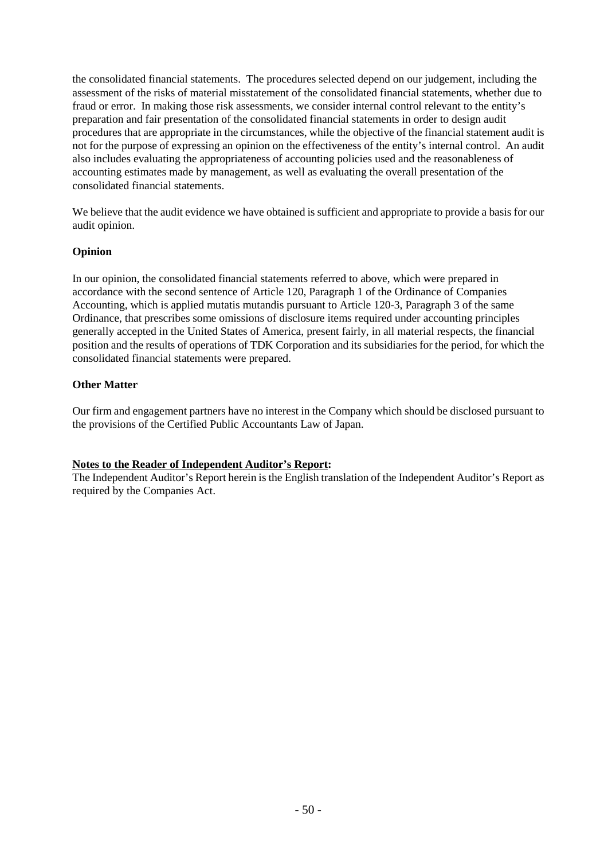the consolidated financial statements. The procedures selected depend on our judgement, including the assessment of the risks of material misstatement of the consolidated financial statements, whether due to fraud or error. In making those risk assessments, we consider internal control relevant to the entity's preparation and fair presentation of the consolidated financial statements in order to design audit procedures that are appropriate in the circumstances, while the objective of the financial statement audit is not for the purpose of expressing an opinion on the effectiveness of the entity's internal control. An audit also includes evaluating the appropriateness of accounting policies used and the reasonableness of accounting estimates made by management, as well as evaluating the overall presentation of the consolidated financial statements.

We believe that the audit evidence we have obtained is sufficient and appropriate to provide a basis for our audit opinion.

# **Opinion**

In our opinion, the consolidated financial statements referred to above, which were prepared in accordance with the second sentence of Article 120, Paragraph 1 of the Ordinance of Companies Accounting, which is applied mutatis mutandis pursuant to Article 120-3, Paragraph 3 of the same Ordinance, that prescribes some omissions of disclosure items required under accounting principles generally accepted in the United States of America, present fairly, in all material respects, the financial position and the results of operations of TDK Corporation and its subsidiaries for the period, for which the consolidated financial statements were prepared.

# **Other Matter**

Our firm and engagement partners have no interest in the Company which should be disclosed pursuant to the provisions of the Certified Public Accountants Law of Japan.

# **Notes to the Reader of Independent Auditor's Report:**

The Independent Auditor's Report herein is the English translation of the Independent Auditor's Report as required by the Companies Act.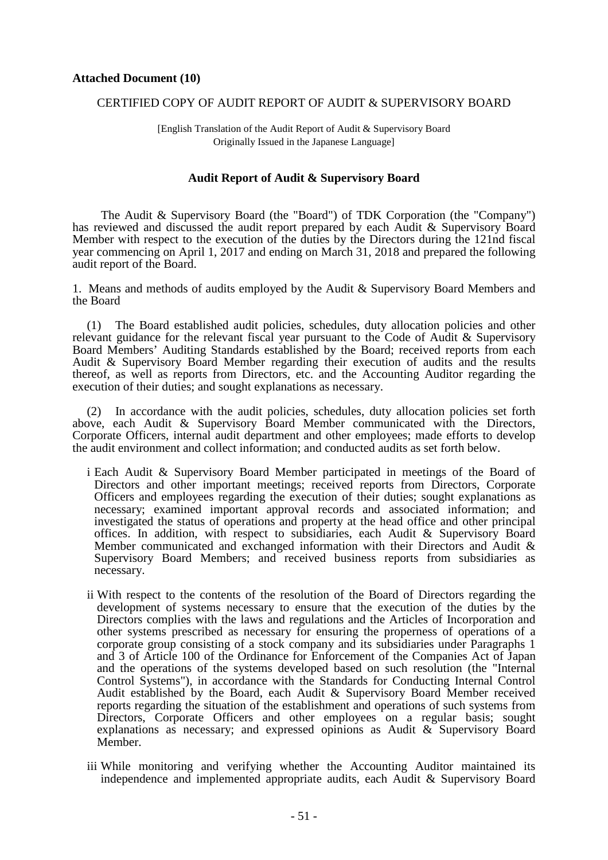#### CERTIFIED COPY OF AUDIT REPORT OF AUDIT & SUPERVISORY BOARD

[English Translation of the Audit Report of Audit & Supervisory Board Originally Issued in the Japanese Language]

#### **Audit Report of Audit & Supervisory Board**

The Audit & Supervisory Board (the "Board") of TDK Corporation (the "Company") has reviewed and discussed the audit report prepared by each Audit & Supervisory Board Member with respect to the execution of the duties by the Directors during the 121nd fiscal year commencing on April 1, 2017 and ending on March 31, 2018 and prepared the following audit report of the Board.

1. Means and methods of audits employed by the Audit & Supervisory Board Members and the Board

(1) The Board established audit policies, schedules, duty allocation policies and other relevant guidance for the relevant fiscal year pursuant to the Code of Audit & Supervisory Board Members' Auditing Standards established by the Board; received reports from each Audit & Supervisory Board Member regarding their execution of audits and the results thereof, as well as reports from Directors, etc. and the Accounting Auditor regarding the execution of their duties; and sought explanations as necessary.

(2) In accordance with the audit policies, schedules, duty allocation policies set forth above, each Audit & Supervisory Board Member communicated with the Directors, Corporate Officers, internal audit department and other employees; made efforts to develop the audit environment and collect information; and conducted audits as set forth below.

- i Each Audit & Supervisory Board Member participated in meetings of the Board of Directors and other important meetings; received reports from Directors, Corporate Officers and employees regarding the execution of their duties; sought explanations as necessary; examined important approval records and associated information; and investigated the status of operations and property at the head office and other principal offices. In addition, with respect to subsidiaries, each Audit & Supervisory Board Member communicated and exchanged information with their Directors and Audit & Supervisory Board Members; and received business reports from subsidiaries as necessary.
- ii With respect to the contents of the resolution of the Board of Directors regarding the development of systems necessary to ensure that the execution of the duties by the Directors complies with the laws and regulations and the Articles of Incorporation and other systems prescribed as necessary for ensuring the properness of operations of a corporate group consisting of a stock company and its subsidiaries under Paragraphs 1 and 3 of Article 100 of the Ordinance for Enforcement of the Companies Act of Japan and the operations of the systems developed based on such resolution (the "Internal Control Systems"), in accordance with the Standards for Conducting Internal Control Audit established by the Board, each Audit & Supervisory Board Member received reports regarding the situation of the establishment and operations of such systems from Directors, Corporate Officers and other employees on a regular basis; sought explanations as necessary; and expressed opinions as Audit & Supervisory Board Member.
- iii While monitoring and verifying whether the Accounting Auditor maintained its independence and implemented appropriate audits, each Audit & Supervisory Board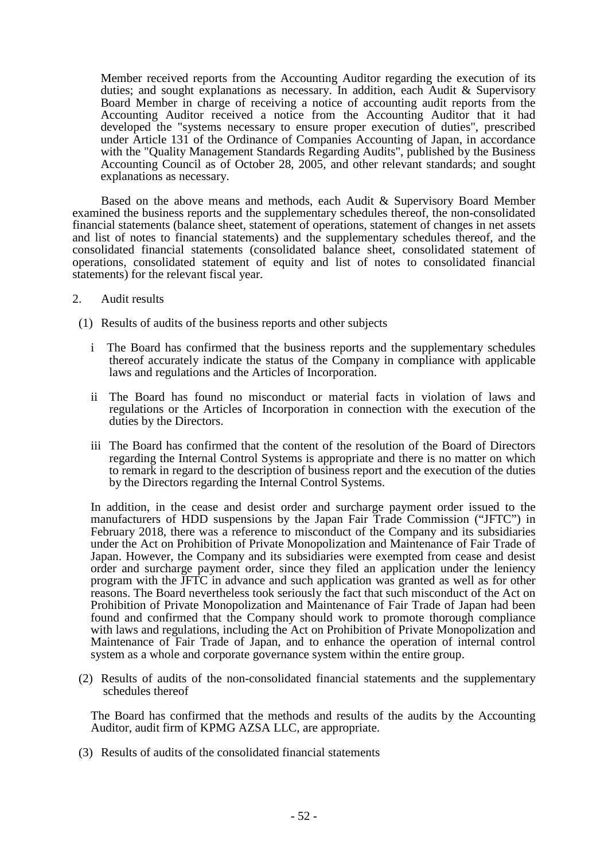Member received reports from the Accounting Auditor regarding the execution of its duties; and sought explanations as necessary. In addition, each Audit & Supervisory Board Member in charge of receiving a notice of accounting audit reports from the Accounting Auditor received a notice from the Accounting Auditor that it had developed the "systems necessary to ensure proper execution of duties", prescribed under Article 131 of the Ordinance of Companies Accounting of Japan, in accordance with the "Quality Management Standards Regarding Audits", published by the Business Accounting Council as of October 28, 2005, and other relevant standards; and sought explanations as necessary.

Based on the above means and methods, each Audit & Supervisory Board Member examined the business reports and the supplementary schedules thereof, the non-consolidated financial statements (balance sheet, statement of operations, statement of changes in net assets and list of notes to financial statements) and the supplementary schedules thereof, and the consolidated financial statements (consolidated balance sheet, consolidated statement of operations, consolidated statement of equity and list of notes to consolidated financial statements) for the relevant fiscal year.

- 2. Audit results
- (1) Results of audits of the business reports and other subjects
	- i The Board has confirmed that the business reports and the supplementary schedules thereof accurately indicate the status of the Company in compliance with applicable laws and regulations and the Articles of Incorporation.
	- ii The Board has found no misconduct or material facts in violation of laws and regulations or the Articles of Incorporation in connection with the execution of the duties by the Directors.
	- iii The Board has confirmed that the content of the resolution of the Board of Directors regarding the Internal Control Systems is appropriate and there is no matter on which to remark in regard to the description of business report and the execution of the duties by the Directors regarding the Internal Control Systems.

In addition, in the cease and desist order and surcharge payment order issued to the manufacturers of HDD suspensions by the Japan Fair Trade Commission ("JFTC") in February 2018, there was a reference to misconduct of the Company and its subsidiaries under the Act on Prohibition of Private Monopolization and Maintenance of Fair Trade of Japan. However, the Company and its subsidiaries were exempted from cease and desist order and surcharge payment order, since they filed an application under the leniency program with the JFTC in advance and such application was granted as well as for other reasons. The Board nevertheless took seriously the fact that such misconduct of the Act on Prohibition of Private Monopolization and Maintenance of Fair Trade of Japan had been found and confirmed that the Company should work to promote thorough compliance with laws and regulations, including the Act on Prohibition of Private Monopolization and Maintenance of Fair Trade of Japan, and to enhance the operation of internal control system as a whole and corporate governance system within the entire group.

(2) Results of audits of the non-consolidated financial statements and the supplementary schedules thereof

The Board has confirmed that the methods and results of the audits by the Accounting Auditor, audit firm of KPMG AZSA LLC, are appropriate.

(3) Results of audits of the consolidated financial statements